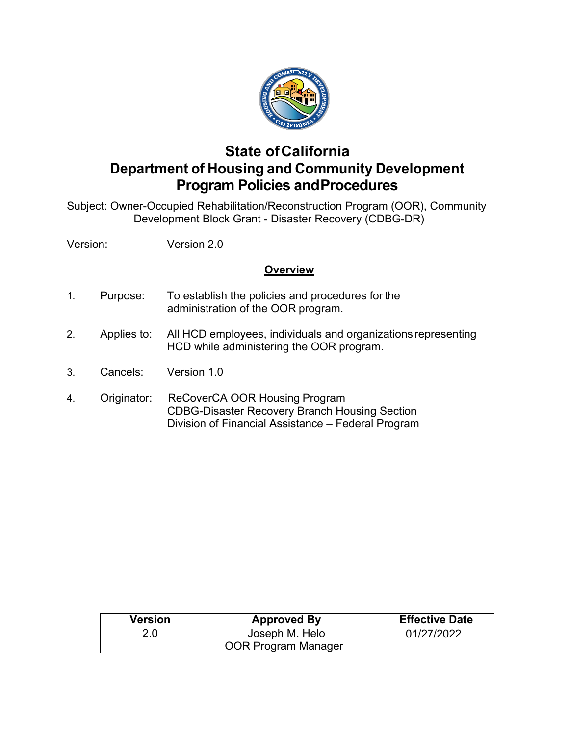

## <span id="page-0-0"></span> **State ofCalifornia Department of Housing and Community Development Program Policies andProcedures**

Subject: Owner-Occupied Rehabilitation/Reconstruction Program (OOR), Community Development Block Grant - Disaster Recovery (CDBG-DR)

Version: Version 2.0

#### **Overview**

- administration of the OOR program. 1. Purpose: To establish the policies and procedures for the
- Applies to: HCD while administering the OOR program. 2. Applies to: All HCD employees, individuals and organizations representing
- 3. Cancels: Version 1.0
- 4. Originator: ReCoverCA OOR Housing Program Division of Financial Assistance – Federal Program CDBG-Disaster Recovery Branch Housing Section

| Version | <b>Approved By</b>  | <b>Effective Date</b> |  |
|---------|---------------------|-----------------------|--|
| 2.0     | Joseph M. Helo      | 01/27/2022            |  |
|         | OOR Program Manager |                       |  |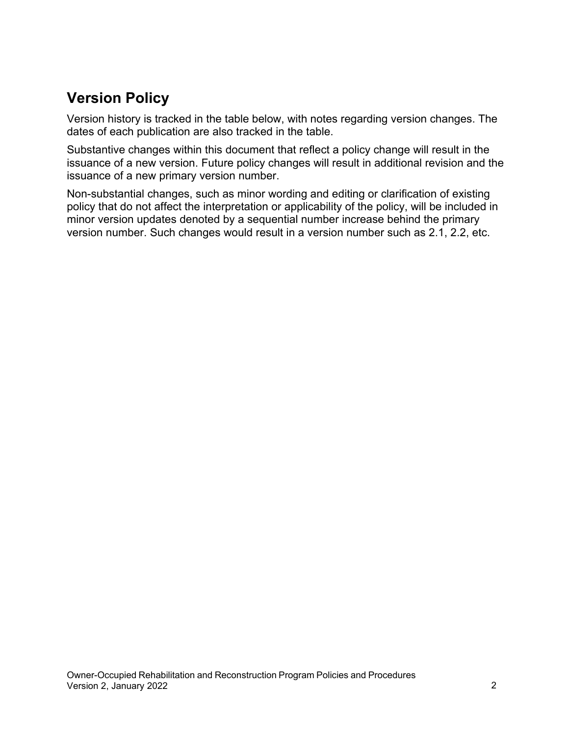## <span id="page-1-0"></span>**Version Policy**

Version history is tracked in the table below, with notes regarding version changes. The dates of each publication are also tracked in the table.

 Substantive changes within this document that reflect a policy change will result in the issuance of a new version. Future policy changes will result in additional revision and the issuance of a new primary version number.

Non-substantial changes, such as minor wording and editing or clarification of existing policy that do not affect the interpretation or applicability of the policy, will be included in minor version updates denoted by a sequential number increase behind the primary version number. Such changes would result in a version number such as 2.1, 2.2, etc.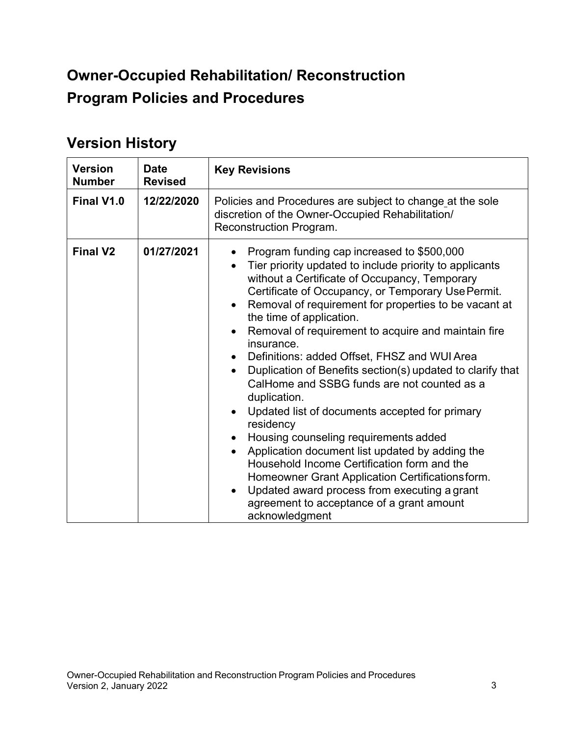# <span id="page-2-0"></span> **Program Policies and Procedures Owner-Occupied Rehabilitation/ Reconstruction**

## <span id="page-2-1"></span>**Version History**

| <b>Version</b><br><b>Number</b> | <b>Date</b><br><b>Revised</b> | <b>Key Revisions</b>                                                                                                                                                                                                                                                                                                                                                                                                                                                                                                                                                                                                                                                                                                                                                                                                                                                                                                                                       |  |  |
|---------------------------------|-------------------------------|------------------------------------------------------------------------------------------------------------------------------------------------------------------------------------------------------------------------------------------------------------------------------------------------------------------------------------------------------------------------------------------------------------------------------------------------------------------------------------------------------------------------------------------------------------------------------------------------------------------------------------------------------------------------------------------------------------------------------------------------------------------------------------------------------------------------------------------------------------------------------------------------------------------------------------------------------------|--|--|
| Final V1.0                      | 12/22/2020                    | Policies and Procedures are subject to change at the sole<br>discretion of the Owner-Occupied Rehabilitation/<br>Reconstruction Program.                                                                                                                                                                                                                                                                                                                                                                                                                                                                                                                                                                                                                                                                                                                                                                                                                   |  |  |
| <b>Final V2</b>                 | 01/27/2021                    | Program funding cap increased to \$500,000<br>Tier priority updated to include priority to applicants<br>without a Certificate of Occupancy, Temporary<br>Certificate of Occupancy, or Temporary Use Permit.<br>Removal of requirement for properties to be vacant at<br>the time of application.<br>Removal of requirement to acquire and maintain fire<br>insurance.<br>Definitions: added Offset, FHSZ and WUI Area<br>Duplication of Benefits section(s) updated to clarify that<br>$\bullet$<br>CalHome and SSBG funds are not counted as a<br>duplication.<br>Updated list of documents accepted for primary<br>residency<br>Housing counseling requirements added<br>Application document list updated by adding the<br>$\bullet$<br>Household Income Certification form and the<br>Homeowner Grant Application Certifications form.<br>Updated award process from executing a grant<br>agreement to acceptance of a grant amount<br>acknowledgment |  |  |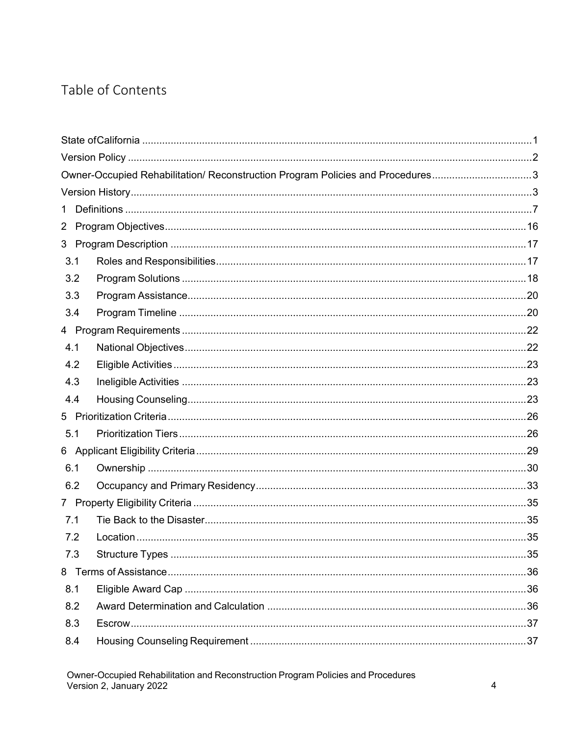## Table of Contents

|                | Owner-Occupied Rehabilitation/ Reconstruction Program Policies and Procedures3 |  |
|----------------|--------------------------------------------------------------------------------|--|
|                |                                                                                |  |
| $\mathbf 1$    |                                                                                |  |
| $\overline{2}$ |                                                                                |  |
|                |                                                                                |  |
| 3.1            |                                                                                |  |
| 3.2            |                                                                                |  |
| 3.3            |                                                                                |  |
| 3.4            |                                                                                |  |
|                |                                                                                |  |
| 4.1            |                                                                                |  |
| 4.2            |                                                                                |  |
| 4.3            |                                                                                |  |
| 4.4            |                                                                                |  |
|                |                                                                                |  |
| 5.1            |                                                                                |  |
|                |                                                                                |  |
| 6.1            |                                                                                |  |
| 6.2            |                                                                                |  |
|                |                                                                                |  |
| 7.1            |                                                                                |  |
| 7.2            |                                                                                |  |
| 7.3            |                                                                                |  |
|                |                                                                                |  |
| 8.1            |                                                                                |  |
| 8.2            |                                                                                |  |
| 8.3            |                                                                                |  |
| 8.4            |                                                                                |  |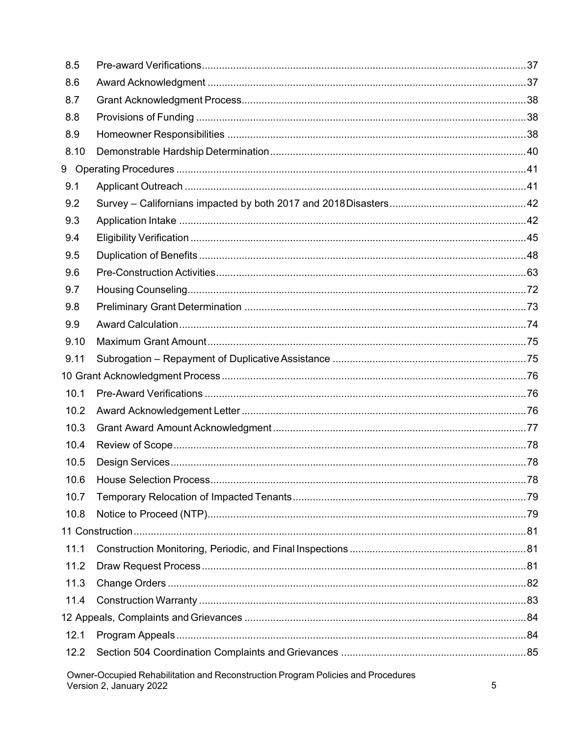| 8.5  |                                                                                                             |   |
|------|-------------------------------------------------------------------------------------------------------------|---|
| 8.6  |                                                                                                             |   |
| 8.7  |                                                                                                             |   |
| 8.8  |                                                                                                             |   |
| 8.9  |                                                                                                             |   |
| 8.10 |                                                                                                             |   |
|      |                                                                                                             |   |
| 9.1  |                                                                                                             |   |
| 9.2  |                                                                                                             |   |
| 9.3  |                                                                                                             |   |
| 9.4  |                                                                                                             |   |
| 9.5  |                                                                                                             |   |
| 9.6  |                                                                                                             |   |
| 9.7  |                                                                                                             |   |
| 9.8  |                                                                                                             |   |
| 9.9  |                                                                                                             |   |
| 9.10 |                                                                                                             |   |
| 9.11 |                                                                                                             |   |
|      |                                                                                                             |   |
| 10.1 |                                                                                                             |   |
| 10.2 |                                                                                                             |   |
| 10.3 |                                                                                                             |   |
| 10.4 |                                                                                                             |   |
| 10.5 |                                                                                                             |   |
| 10.6 |                                                                                                             |   |
| 10.7 |                                                                                                             |   |
| 10.8 |                                                                                                             |   |
|      |                                                                                                             |   |
| 11.1 |                                                                                                             |   |
| 11.2 |                                                                                                             |   |
| 11.3 |                                                                                                             |   |
| 11.4 |                                                                                                             |   |
|      |                                                                                                             |   |
| 12.1 |                                                                                                             |   |
| 12.2 |                                                                                                             |   |
|      | Owner-Occupied Rehabilitation and Reconstruction Program Policies and Procedures<br>Version 2, January 2022 | 5 |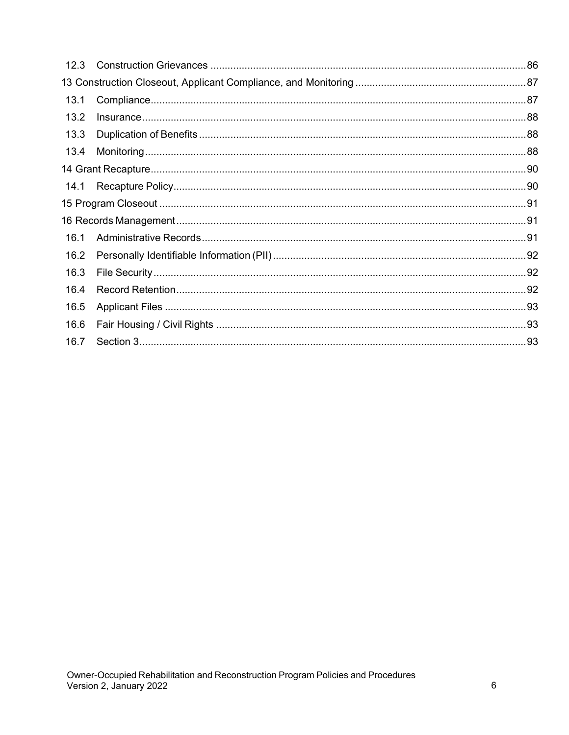| 12.3 |  |
|------|--|
|      |  |
| 13.1 |  |
| 13.2 |  |
| 13.3 |  |
| 13.4 |  |
|      |  |
| 14.1 |  |
|      |  |
|      |  |
| 16.1 |  |
| 16.2 |  |
| 16.3 |  |
| 16.4 |  |
| 16.5 |  |
| 16.6 |  |
| 16.7 |  |
|      |  |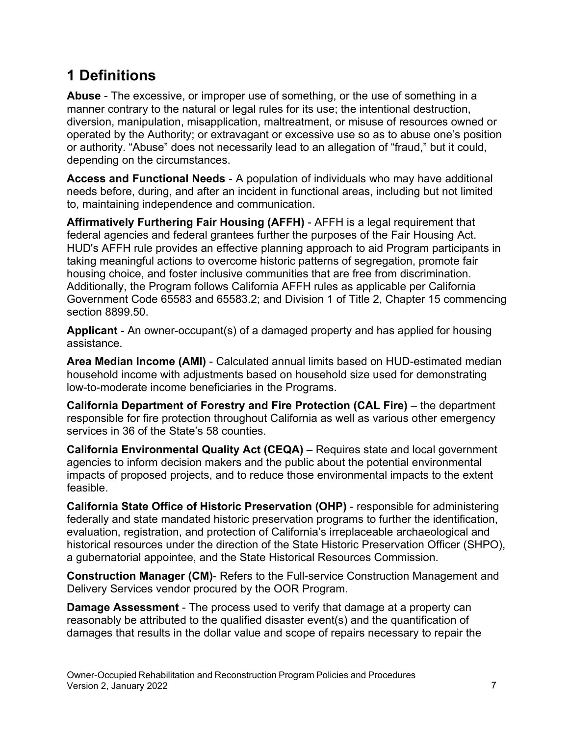# <span id="page-6-0"></span>**1 Definitions**

 manner contrary to the natural or legal rules for its use; the intentional destruction, diversion, manipulation, misapplication, maltreatment, or misuse of resources owned or **Abuse** - The excessive, or improper use of something, or the use of something in a operated by the Authority; or extravagant or excessive use so as to abuse one's position or authority. "Abuse" does not necessarily lead to an allegation of "fraud," but it could, depending on the circumstances.

**Access and Functional Needs** - A population of individuals who may have additional needs before, during, and after an incident in functional areas, including but not limited to, maintaining independence and communication.

**Affirmatively Furthering Fair Housing (AFFH)** - AFFH is a legal requirement that federal agencies and federal grantees further the purposes of the Fair Housing Act. HUD's AFFH rule provides an effective planning approach to aid Program participants in taking meaningful actions to overcome historic patterns of segregation, promote fair housing choice, and foster inclusive communities that are free from discrimination. Additionally, the Program follows California AFFH rules as applicable per California Government Code 65583 and 65583.2; and Division 1 of Title 2, Chapter 15 commencing section 8899.50.

**Applicant** - An owner-occupant(s) of a damaged property and has applied for housing assistance.

**Area Median Income (AMI)** - Calculated annual limits based on HUD-estimated median household income with adjustments based on household size used for demonstrating low-to-moderate income beneficiaries in the Programs.

**California Department of Forestry and Fire Protection (CAL Fire)** – the department responsible for fire protection throughout California as well as various other emergency services in 36 of the State's 58 counties.

**California Environmental Quality Act (CEQA)** – Requires state and local government agencies to inform decision makers and the public about the potential environmental impacts of proposed projects, and to reduce those environmental impacts to the extent feasible.

**California State Office of Historic Preservation (OHP)** - responsible for administering federally and state mandated historic preservation programs to further the identification, evaluation, registration, and protection of California's irreplaceable archaeological and historical resources under the direction of the State Historic Preservation Officer (SHPO), a gubernatorial appointee, and the State Historical Resources Commission.

**Construction Manager (CM)**- Refers to the Full-service Construction Management and Delivery Services vendor procured by the OOR Program.

**Damage Assessment** - The process used to verify that damage at a property can reasonably be attributed to the qualified disaster event(s) and the quantification of damages that results in the dollar value and scope of repairs necessary to repair the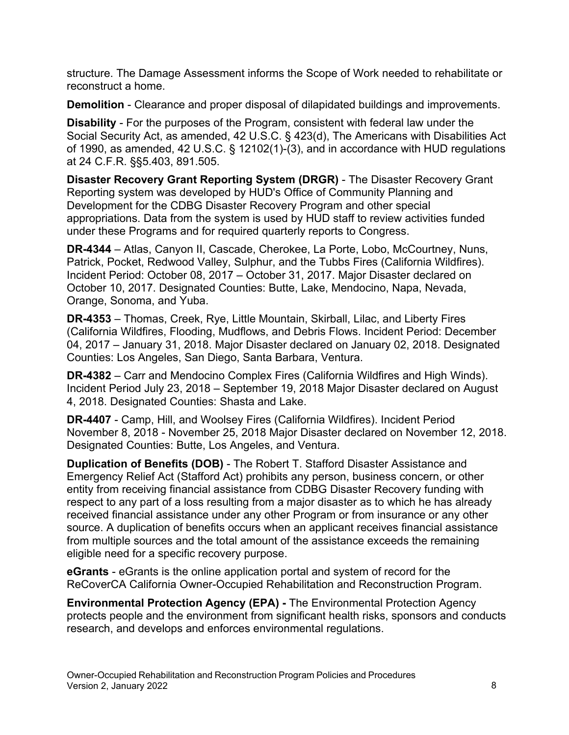structure. The Damage Assessment informs the Scope of Work needed to rehabilitate or reconstruct a home.

**Demolition** - Clearance and proper disposal of dilapidated buildings and improvements.

 at 24 C.F.R. §§5.403, 891.505. **Disability** - For the purposes of the Program, consistent with federal law under the Social Security Act, as amended, 42 U.S.C. § 423(d), The Americans with Disabilities Act of 1990, as amended, 42 U.S.C. § 12102(1)-(3), and in accordance with HUD regulations

 Development for the CDBG Disaster Recovery Program and other special **Disaster Recovery Grant Reporting System (DRGR)** - The Disaster Recovery Grant Reporting system was developed by HUD's Office of Community Planning and appropriations. Data from the system is used by HUD staff to review activities funded under these Programs and for required quarterly reports to Congress.

**DR-4344** – Atlas, Canyon II, Cascade, Cherokee, La Porte, Lobo, McCourtney, Nuns, Patrick, Pocket, Redwood Valley, Sulphur, and the Tubbs Fires (California Wildfires). Incident Period: October 08, 2017 – October 31, 2017. Major Disaster declared on October 10, 2017. Designated Counties: Butte, Lake, Mendocino, Napa, Nevada, Orange, Sonoma, and Yuba.

**DR-4353** – Thomas, Creek, Rye, Little Mountain, Skirball, Lilac, and Liberty Fires (California Wildfires, Flooding, Mudflows, and Debris Flows. Incident Period: December 04, 2017 – January 31, 2018. Major Disaster declared on January 02, 2018. Designated Counties: Los Angeles, San Diego, Santa Barbara, Ventura.

**DR-4382** – Carr and Mendocino Complex Fires (California Wildfires and High Winds). Incident Period July 23, 2018 – September 19, 2018 Major Disaster declared on August 4, 2018. Designated Counties: Shasta and Lake.

 Designated Counties: Butte, Los Angeles, and Ventura. **DR-4407** - Camp, Hill, and Woolsey Fires (California Wildfires). Incident Period November 8, 2018 - November 25, 2018 Major Disaster declared on November 12, 2018.

 Emergency Relief Act (Stafford Act) prohibits any person, business concern, or other **Duplication of Benefits (DOB)** - The Robert T. Stafford Disaster Assistance and entity from receiving financial assistance from CDBG Disaster Recovery funding with respect to any part of a loss resulting from a major disaster as to which he has already received financial assistance under any other Program or from insurance or any other source. A duplication of benefits occurs when an applicant receives financial assistance from multiple sources and the total amount of the assistance exceeds the remaining eligible need for a specific recovery purpose.

**eGrants** - eGrants is the online application portal and system of record for the ReCoverCA California Owner-Occupied Rehabilitation and Reconstruction Program.

**Environmental Protection Agency (EPA) -** The Environmental Protection Agency protects people and the environment from significant health risks, sponsors and conducts research, and develops and enforces environmental regulations.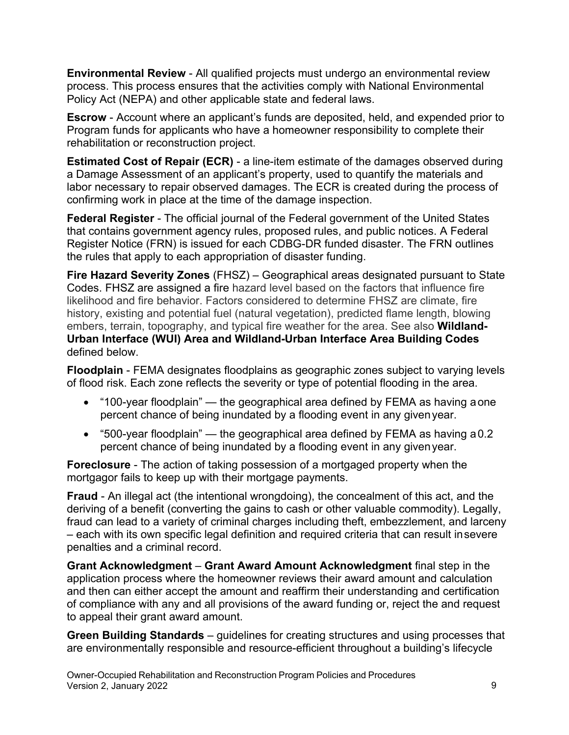**Environmental Review** - All qualified projects must undergo an environmental review process. This process ensures that the activities comply with National Environmental Policy Act (NEPA) and other applicable state and federal laws.

**Escrow** - Account where an applicant's funds are deposited, held, and expended prior to Program funds for applicants who have a homeowner responsibility to complete their rehabilitation or reconstruction project.

**Estimated Cost of Repair (ECR)** - a line-item estimate of the damages observed during a Damage Assessment of an applicant's property, used to quantify the materials and labor necessary to repair observed damages. The ECR is created during the process of confirming work in place at the time of the damage inspection.

**Federal Register** - The official journal of the Federal government of the United States that contains government agency rules, proposed rules, and public notices. A Federal Register Notice (FRN) is issued for each CDBG-DR funded disaster. The FRN outlines the rules that apply to each appropriation of disaster funding.

**Fire Hazard Severity Zones** (FHSZ) – Geographical areas designated pursuant to State Codes. FHSZ are assigned a fire hazard level based on the factors that influence fire likelihood and fire behavior. Factors considered to determine FHSZ are climate, fire history, existing and potential fuel (natural vegetation), predicted flame length, blowing embers, terrain, topography, and typical fire weather for the area. See also **Wildland-Urban Interface (WUI) Area and Wildland-Urban Interface Area Building Codes**  defined below.

**Floodplain** - FEMA designates floodplains as geographic zones subject to varying levels of flood risk. Each zone reflects the severity or type of potential flooding in the area.

- • "100-year floodplain" the geographical area defined by FEMA as having aone percent chance of being inundated by a flooding event in any givenyear.
- percent chance of being inundated by a flooding event in any givenyear. • "500-year floodplain" — the geographical area defined by FEMA as having a0.2

**Foreclosure** - The action of taking possession of a mortgaged property when the mortgagor fails to keep up with their mortgage payments.

 – each with its own specific legal definition and required criteria that can result insevere penalties and a criminal record. **Fraud** - An illegal act (the intentional wrongdoing), the concealment of this act, and the deriving of a benefit (converting the gains to cash or other valuable commodity). Legally, fraud can lead to a variety of criminal charges including theft, embezzlement, and larceny

**Grant Acknowledgment** – **Grant Award Amount Acknowledgment** final step in the application process where the homeowner reviews their award amount and calculation and then can either accept the amount and reaffirm their understanding and certification of compliance with any and all provisions of the award funding or, reject the and request to appeal their grant award amount.

**Green Building Standards** – guidelines for creating structures and using processes that are environmentally responsible and resource-efficient throughout a building's lifecycle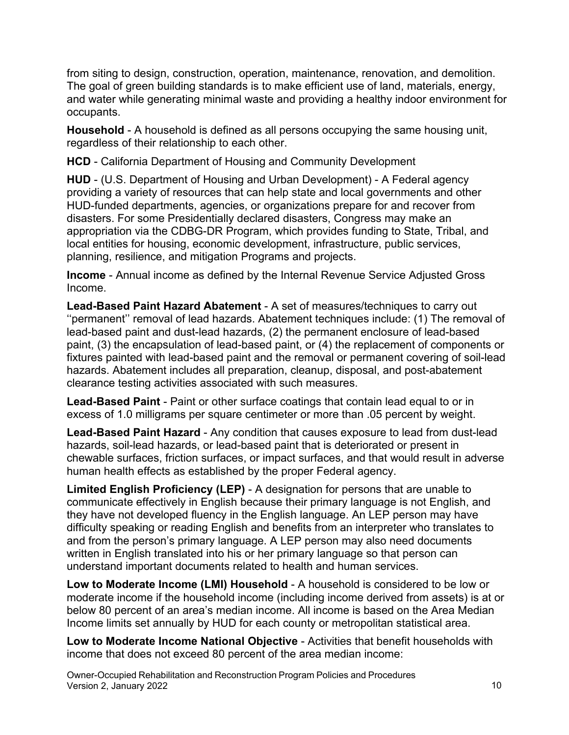from siting to design, construction, operation, maintenance, renovation, and demolition. The goal of green building standards is to make efficient use of land, materials, energy, and water while generating minimal waste and providing a healthy indoor environment for occupants.

**Household** - A household is defined as all persons occupying the same housing unit, regardless of their relationship to each other.

**HCD** - California Department of Housing and Community Development

 HUD-funded departments, agencies, or organizations prepare for and recover from **HUD** - (U.S. Department of Housing and Urban Development) - A Federal agency providing a variety of resources that can help state and local governments and other disasters. For some Presidentially declared disasters, Congress may make an appropriation via the CDBG-DR Program, which provides funding to State, Tribal, and local entities for housing, economic development, infrastructure, public services, planning, resilience, and mitigation Programs and projects.

**Income** - Annual income as defined by the Internal Revenue Service Adjusted Gross Income.

 paint, (3) the encapsulation of lead-based paint, or (4) the replacement of components or **Lead-Based Paint Hazard Abatement** - A set of measures/techniques to carry out ''permanent'' removal of lead hazards. Abatement techniques include: (1) The removal of lead-based paint and dust-lead hazards, (2) the permanent enclosure of lead-based fixtures painted with lead-based paint and the removal or permanent covering of soil-lead hazards. Abatement includes all preparation, cleanup, disposal, and post-abatement clearance testing activities associated with such measures.

**Lead-Based Paint** - Paint or other surface coatings that contain lead equal to or in excess of 1.0 milligrams per square centimeter or more than .05 percent by weight.

**Lead-Based Paint Hazard** - Any condition that causes exposure to lead from dust-lead hazards, soil-lead hazards, or lead-based paint that is deteriorated or present in chewable surfaces, friction surfaces, or impact surfaces, and that would result in adverse human health effects as established by the proper Federal agency.

**Limited English Proficiency (LEP)** - A designation for persons that are unable to communicate effectively in English because their primary language is not English, and they have not developed fluency in the English language. An LEP person may have difficulty speaking or reading English and benefits from an interpreter who translates to and from the person's primary language. A LEP person may also need documents written in English translated into his or her primary language so that person can understand important documents related to health and human services.

**Low to Moderate Income (LMI) Household** - A household is considered to be low or moderate income if the household income (including income derived from assets) is at or below 80 percent of an area's median income. All income is based on the Area Median Income limits set annually by HUD for each county or metropolitan statistical area.

**Low to Moderate Income National Objective** - Activities that benefit households with income that does not exceed 80 percent of the area median income:

Owner-Occupied Rehabilitation and Reconstruction Program Policies and Procedures Version 2, January 2022 2008 10:00 10:00 10:00 10:00 10:00 10:00 10:00 10:00 10:00 10:00 10:00 10:00 10:00 10:0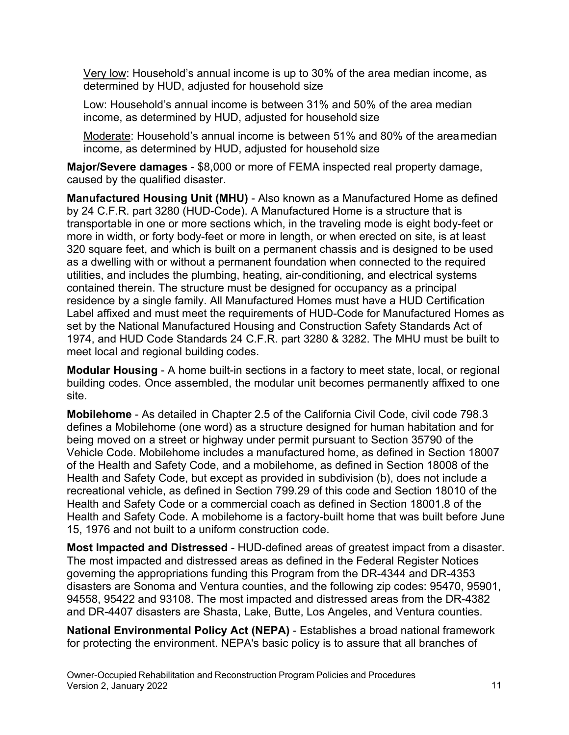Very low: Household's annual income is up to 30% of the area median income, as determined by HUD, adjusted for household size

 income, as determined by HUD, adjusted for household size Low: Household's annual income is between 31% and 50% of the area median

 income, as determined by HUD, adjusted for household size Moderate: Household's annual income is between 51% and 80% of the areamedian

**Major/Severe damages** - \$8,000 or more of FEMA inspected real property damage, caused by the qualified disaster.

 meet local and regional building codes. **Manufactured Housing Unit (MHU)** - Also known as a Manufactured Home as defined by 24 C.F.R. part 3280 (HUD-Code). A Manufactured Home is a structure that is transportable in one or more sections which, in the traveling mode is eight body-feet or more in width, or forty body-feet or more in length, or when erected on site, is at least 320 square feet, and which is built on a permanent chassis and is designed to be used as a dwelling with or without a permanent foundation when connected to the required utilities, and includes the plumbing, heating, air-conditioning, and electrical systems contained therein. The structure must be designed for occupancy as a principal residence by a single family. All Manufactured Homes must have a HUD Certification Label affixed and must meet the requirements of HUD-Code for Manufactured Homes as set by the National Manufactured Housing and Construction Safety Standards Act of 1974, and HUD Code Standards 24 C.F.R. part 3280 & 3282. The MHU must be built to

 **Modular Housing** - A home built-in sections in a factory to meet state, local, or regional building codes. Once assembled, the modular unit becomes permanently affixed to one site.

**Mobilehome** - As detailed in Chapter 2.5 of the California Civil Code, civil code 798.3 defines a Mobilehome (one word) as a structure designed for human habitation and for being moved on a street or highway under permit pursuant to Section 35790 of the Vehicle Code. Mobilehome includes a manufactured home, as defined in Section 18007 of the Health and Safety Code, and a mobilehome, as defined in Section 18008 of the Health and Safety Code, but except as provided in subdivision (b), does not include a recreational vehicle, as defined in Section 799.29 of this code and Section 18010 of the Health and Safety Code or a commercial coach as defined in Section 18001.8 of the Health and Safety Code. A mobilehome is a factory-built home that was built before June 15, 1976 and not built to a uniform construction code.

**Most Impacted and Distressed** - HUD-defined areas of greatest impact from a disaster. The most impacted and distressed areas as defined in the Federal Register Notices governing the appropriations funding this Program from the DR-4344 and DR-4353 disasters are Sonoma and Ventura counties, and the following zip codes: 95470, 95901, 94558, 95422 and 93108. The most impacted and distressed areas from the DR-4382 and DR-4407 disasters are Shasta, Lake, Butte, Los Angeles, and Ventura counties.

**National Environmental Policy Act (NEPA)** - Establishes a broad national framework for protecting the environment. NEPA's basic policy is to assure that all branches of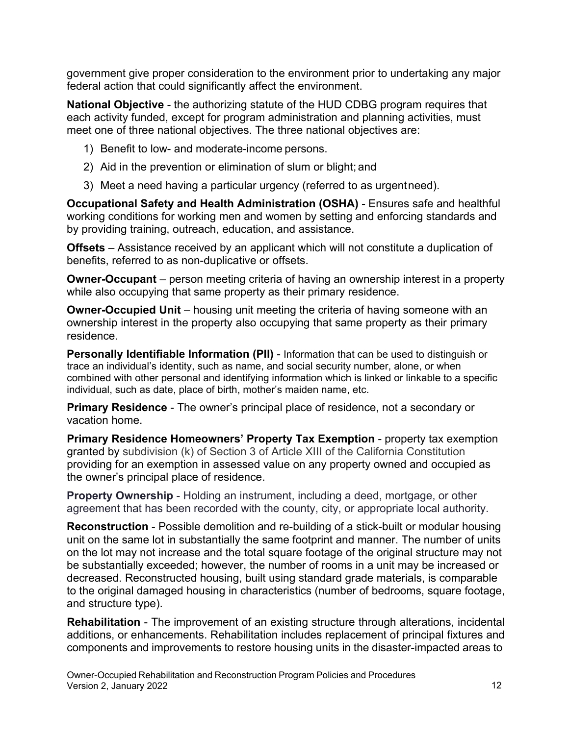government give proper consideration to the environment prior to undertaking any major federal action that could significantly affect the environment.

**National Objective** - the authorizing statute of the HUD CDBG program requires that each activity funded, except for program administration and planning activities, must meet one of three national objectives. The three national objectives are:

- 1) Benefit to low- and moderate-income persons.
- 2) Aid in the prevention or elimination of slum or blight; and
- 3) Meet a need having a particular urgency (referred to as urgentneed).

**Occupational Safety and Health Administration (OSHA)** - Ensures safe and healthful working conditions for working men and women by setting and enforcing standards and by providing training, outreach, education, and assistance.

**Offsets** – Assistance received by an applicant which will not constitute a duplication of benefits, referred to as non-duplicative or offsets.

**Owner-Occupant** – person meeting criteria of having an ownership interest in a property while also occupying that same property as their primary residence.

 ownership interest in the property also occupying that same property as their primary **Owner-Occupied Unit** – housing unit meeting the criteria of having someone with an residence.

**Personally Identifiable Information (PII)** - Information that can be used to distinguish or trace an individual's identity, such as name, and social security number, alone, or when combined with other personal and identifying information which is linked or linkable to a specific individual, such as date, place of birth, mother's maiden name, etc.

**Primary Residence** - The owner's principal place of residence, not a secondary or vacation home.

**Primary Residence Homeowners' Property Tax Exemption** - property tax exemption granted by subdivision (k) of Section 3 of Article XIII of the California Constitution providing for an exemption in assessed value on any property owned and occupied as the owner's principal place of residence.

 **Property Ownership** - Holding an instrument, including a deed, mortgage, or other agreement that has been recorded with the county, city, or appropriate local authority.

**Reconstruction** - Possible demolition and re-building of a stick-built or modular housing unit on the same lot in substantially the same footprint and manner. The number of units on the lot may not increase and the total square footage of the original structure may not be substantially exceeded; however, the number of rooms in a unit may be increased or decreased. Reconstructed housing, built using standard grade materials, is comparable to the original damaged housing in characteristics (number of bedrooms, square footage, and structure type).

 components and improvements to restore housing units in the disaster-impacted areas to **Rehabilitation** - The improvement of an existing structure through alterations, incidental additions, or enhancements. Rehabilitation includes replacement of principal fixtures and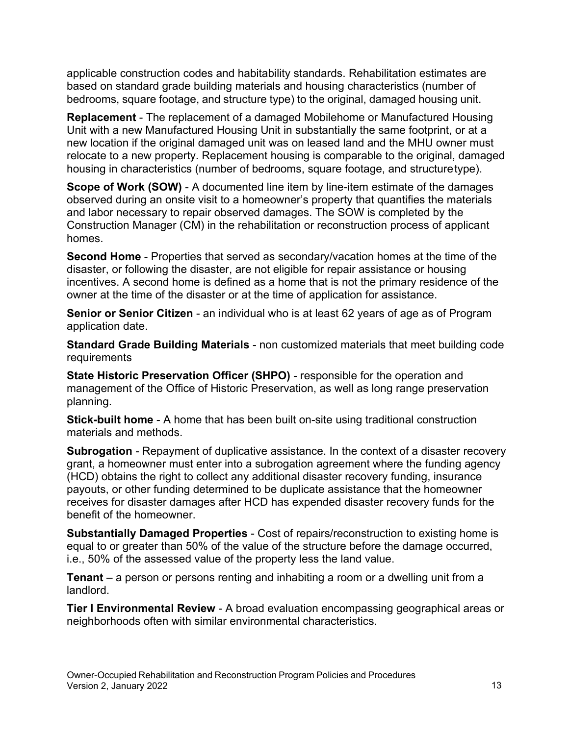bedrooms, square footage, and structure type) to the original, damaged housing unit. applicable construction codes and habitability standards. Rehabilitation estimates are based on standard grade building materials and housing characteristics (number of

 housing in characteristics (number of bedrooms, square footage, and structuretype). **Replacement** - The replacement of a damaged Mobilehome or Manufactured Housing Unit with a new Manufactured Housing Unit in substantially the same footprint, or at a new location if the original damaged unit was on leased land and the MHU owner must relocate to a new property. Replacement housing is comparable to the original, damaged

**Scope of Work (SOW)** - A documented line item by line-item estimate of the damages observed during an onsite visit to a homeowner's property that quantifies the materials and labor necessary to repair observed damages. The SOW is completed by the Construction Manager (CM) in the rehabilitation or reconstruction process of applicant homes.

 **Second Home** - Properties that served as secondary/vacation homes at the time of the disaster, or following the disaster, are not eligible for repair assistance or housing incentives. A second home is defined as a home that is not the primary residence of the owner at the time of the disaster or at the time of application for assistance.

 **Senior or Senior Citizen** - an individual who is at least 62 years of age as of Program application date.

**Standard Grade Building Materials** - non customized materials that meet building code requirements

**State Historic Preservation Officer (SHPO)** - responsible for the operation and management of the Office of Historic Preservation, as well as long range preservation planning.

**Stick-built home** - A home that has been built on-site using traditional construction materials and methods.

**Subrogation** - Repayment of duplicative assistance. In the context of a disaster recovery grant, a homeowner must enter into a subrogation agreement where the funding agency (HCD) obtains the right to collect any additional disaster recovery funding, insurance payouts, or other funding determined to be duplicate assistance that the homeowner receives for disaster damages after HCD has expended disaster recovery funds for the benefit of the homeowner.

**Substantially Damaged Properties** - Cost of repairs/reconstruction to existing home is equal to or greater than 50% of the value of the structure before the damage occurred, i.e., 50% of the assessed value of the property less the land value.

**Tenant** – a person or persons renting and inhabiting a room or a dwelling unit from a landlord.

 **Tier I Environmental Review** - A broad evaluation encompassing geographical areas or neighborhoods often with similar environmental characteristics.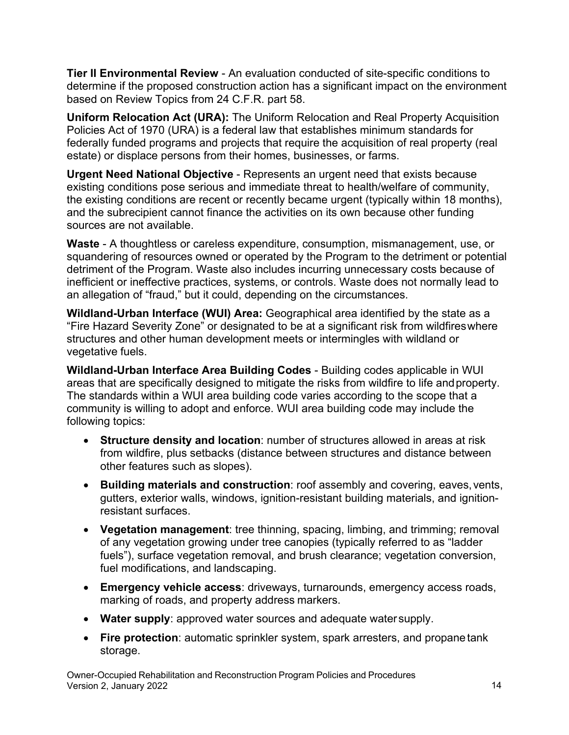**Tier II Environmental Review** - An evaluation conducted of site-specific conditions to determine if the proposed construction action has a significant impact on the environment based on Review Topics from 24 C.F.R. part 58.

**Uniform Relocation Act (URA):** The Uniform Relocation and Real Property Acquisition Policies Act of 1970 (URA) is a federal law that establishes minimum standards for federally funded programs and projects that require the acquisition of real property (real estate) or displace persons from their homes, businesses, or farms.

 the existing conditions are recent or recently became urgent (typically within 18 months), **Urgent Need National Objective** - Represents an urgent need that exists because existing conditions pose serious and immediate threat to health/welfare of community, and the subrecipient cannot finance the activities on its own because other funding sources are not available.

 squandering of resources owned or operated by the Program to the detriment or potential **Waste** - A thoughtless or careless expenditure, consumption, mismanagement, use, or detriment of the Program. Waste also includes incurring unnecessary costs because of inefficient or ineffective practices, systems, or controls. Waste does not normally lead to an allegation of "fraud," but it could, depending on the circumstances.

 vegetative fuels. **Wildland-Urban Interface (WUI) Area:** Geographical area identified by the state as a "Fire Hazard Severity Zone" or designated to be at a significant risk from wildfireswhere structures and other human development meets or intermingles with wildland or

 following topics: **Wildland-Urban Interface Area Building Codes** - Building codes applicable in WUI areas that are specifically designed to mitigate the risks from wildfire to life andproperty. The standards within a WUI area building code varies according to the scope that a community is willing to adopt and enforce. WUI area building code may include the

- • **Structure density and location**: number of structures allowed in areas at risk other features such as slopes). from wildfire, plus setbacks (distance between structures and distance between
- resistant surfaces. • **Building materials and construction**: roof assembly and covering, eaves,vents, gutters, exterior walls, windows, ignition-resistant building materials, and ignition-
- **Vegetation management**: tree thinning, spacing, limbing, and trimming; removal of any vegetation growing under tree canopies (typically referred to as "ladder fuels"), surface vegetation removal, and brush clearance; vegetation conversion, fuel modifications, and landscaping.
- marking of roads, and property address markers. • **Emergency vehicle access**: driveways, turnarounds, emergency access roads,
- **Water supply**: approved water sources and adequate water supply.
- **Fire protection**: automatic sprinkler system, spark arresters, and propanetank storage.

Owner-Occupied Rehabilitation and Reconstruction Program Policies and Procedures Version 2, January 2022 2003 14 November 2022 2023 14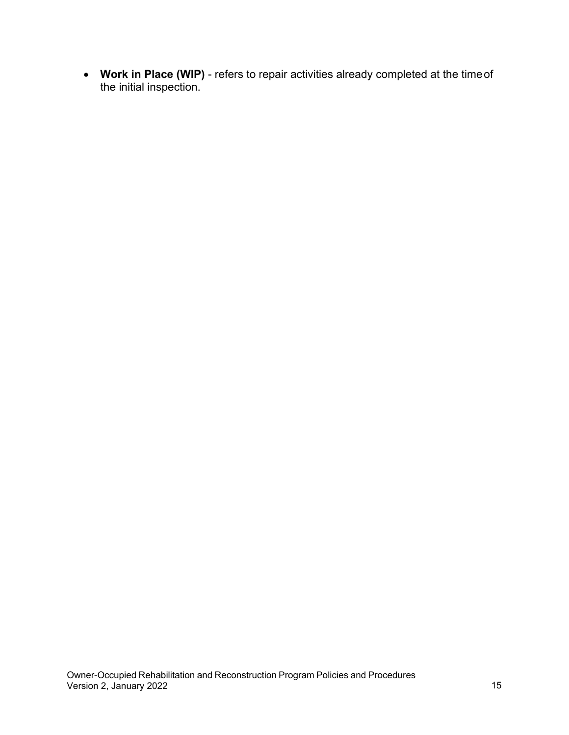the initial inspection. • **Work in Place (WIP)** - refers to repair activities already completed at the timeof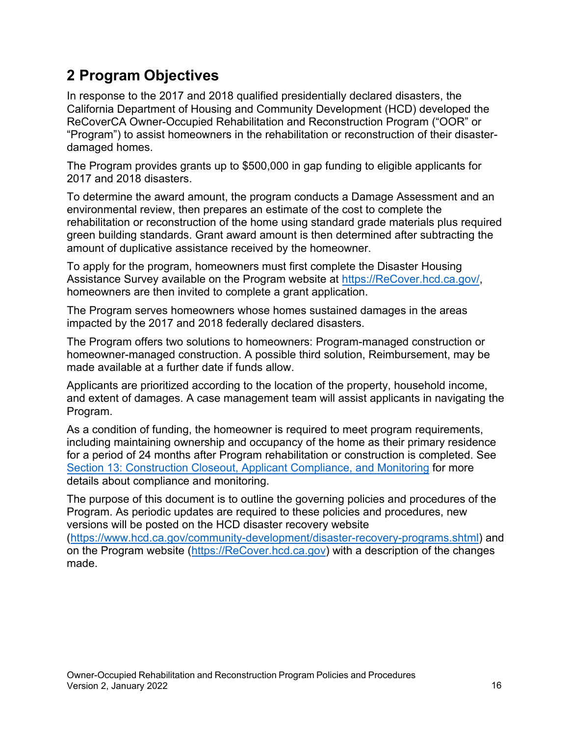## <span id="page-15-0"></span>**2 Program Objectives**

In response to the 2017 and 2018 qualified presidentially declared disasters, the California Department of Housing and Community Development (HCD) developed the ReCoverCA Owner-Occupied Rehabilitation and Reconstruction Program ("OOR" or "Program") to assist homeowners in the rehabilitation or reconstruction of their disasterdamaged homes.

The Program provides grants up to \$500,000 in gap funding to eligible applicants for 2017 and 2018 disasters.

To determine the award amount, the program conducts a Damage Assessment and an environmental review, then prepares an estimate of the cost to complete the rehabilitation or reconstruction of the home using standard grade materials plus required green building standards. Grant award amount is then determined after subtracting the amount of duplicative assistance received by the homeowner.

To apply for the program, homeowners must first complete the Disaster Housing Assistance Survey available on the Program website at [https://ReCover.hcd.ca.gov/,](https://recover.hcd.ca.gov/)  homeowners are then invited to complete a grant application.

The Program serves homeowners whose homes sustained damages in the areas impacted by the 2017 and 2018 federally declared disasters.

The Program offers two solutions to homeowners: Program-managed construction or homeowner-managed construction. A possible third solution, Reimbursement, may be made available at a further date if funds allow.

Applicants are prioritized according to the location of the property, household income, and extent of damages. A case management team will assist applicants in navigating the Program.

As a condition of funding, the homeowner is required to meet program requirements, including maintaining ownership and occupancy of the home as their primary residence for a period of 24 months after Program rehabilitation or construction is completed. See [Section 13: Construction Closeout, Applicant Compliance,](#page-84-1) and Monitoring for more details about compliance and monitoring.

The purpose of this document is to outline the governing policies and procedures of the Program. As periodic updates are required to these policies and procedures, new versions will be posted on the HCD disaster recovery website [\(https://www.hcd.ca.gov/community-development/disaster-recovery-programs.shtml\)](https://www.hcd.ca.gov/community-development/disaster-recovery-programs.shtml) and

on the Program website [\(https://ReCover.hcd.ca.gov\)](https://recover.hcd.ca.gov/) with a description of the changes made.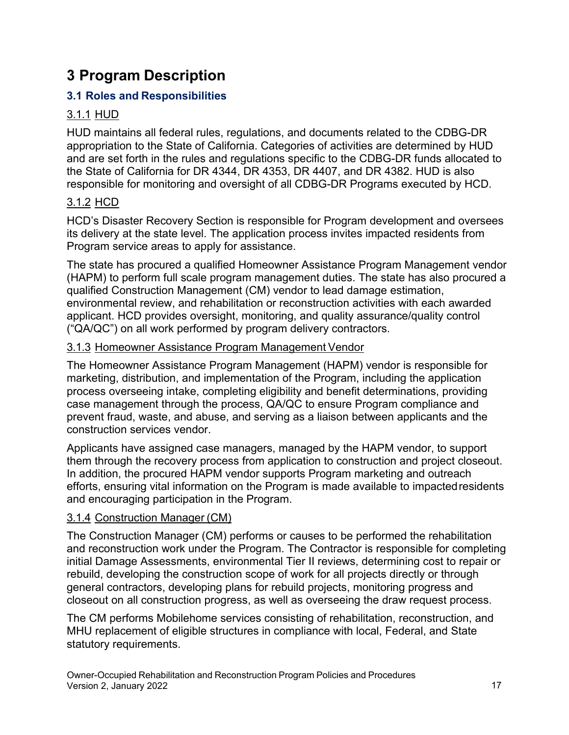## <span id="page-16-0"></span>**3 Program Description**

## <span id="page-16-1"></span> **3.1 Roles and Responsibilities**

## <u>3.1.1 HUD</u>

HUD maintains all federal rules, regulations, and documents related to the CDBG-DR appropriation to the State of California. Categories of activities are determined by HUD and are set forth in the rules and regulations specific to the CDBG-DR funds allocated to the State of California for DR 4344, DR 4353, DR 4407, and DR 4382. HUD is also responsible for monitoring and oversight of all CDBG-DR Programs executed by HCD.

## <u>3.1.2 HCD</u>

HCD's Disaster Recovery Section is responsible for Program development and oversees its delivery at the state level. The application process invites impacted residents from Program service areas to apply for assistance.

The state has procured a qualified Homeowner Assistance Program Management vendor (HAPM) to perform full scale program management duties. The state has also procured a qualified Construction Management (CM) vendor to lead damage estimation, environmental review, and rehabilitation or reconstruction activities with each awarded applicant. HCD provides oversight, monitoring, and quality assurance/quality control ("QA/QC") on all work performed by program delivery contractors.

### 3.1.3 Homeowner Assistance Program Management Vendor

The Homeowner Assistance Program Management (HAPM) vendor is responsible for marketing, distribution, and implementation of the Program, including the application process overseeing intake, completing eligibility and benefit determinations, providing case management through the process, QA/QC to ensure Program compliance and prevent fraud, waste, and abuse, and serving as a liaison between applicants and the construction services vendor.

 Applicants have assigned case managers, managed by the HAPM vendor, to support and encouraging participation in the Program. them through the recovery process from application to construction and project closeout. In addition, the procured HAPM vendor supports Program marketing and outreach efforts, ensuring vital information on the Program is made available to impactedresidents

## 3.1.4 Construction Manager (CM)

The Construction Manager (CM) performs or causes to be performed the rehabilitation and reconstruction work under the Program. The Contractor is responsible for completing initial Damage Assessments, environmental Tier II reviews, determining cost to repair or rebuild, developing the construction scope of work for all projects directly or through general contractors, developing plans for rebuild projects, monitoring progress and closeout on all construction progress, as well as overseeing the draw request process.

The CM performs Mobilehome services consisting of rehabilitation, reconstruction, and MHU replacement of eligible structures in compliance with local, Federal, and State statutory requirements.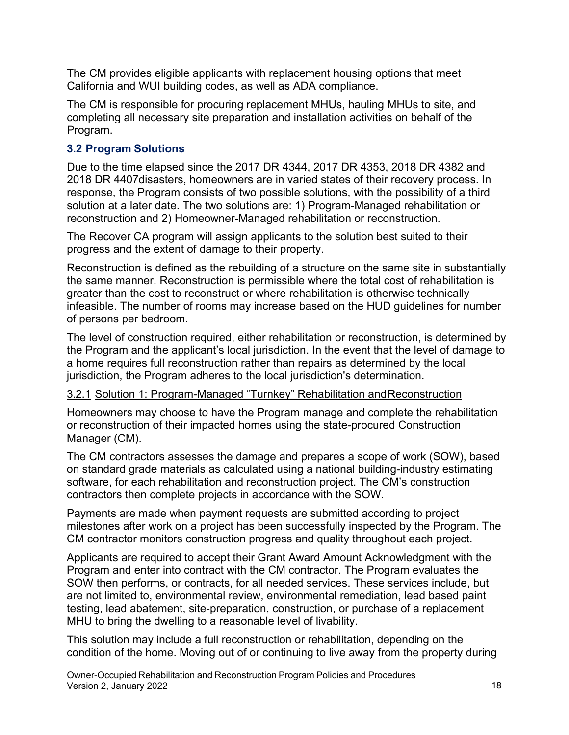The CM provides eligible applicants with replacement housing options that meet California and WUI building codes, as well as ADA compliance.

The CM is responsible for procuring replacement MHUs, hauling MHUs to site, and completing all necessary site preparation and installation activities on behalf of the Program.

#### <span id="page-17-0"></span> **3.2 Program Solutions**

 2018 DR 4407disasters, homeowners are in varied states of their recovery process. In Due to the time elapsed since the 2017 DR 4344, 2017 DR 4353, 2018 DR 4382 and response, the Program consists of two possible solutions, with the possibility of a third solution at a later date. The two solutions are: 1) Program-Managed rehabilitation or reconstruction and 2) Homeowner-Managed rehabilitation or reconstruction.

The Recover CA program will assign applicants to the solution best suited to their progress and the extent of damage to their property.

 infeasible. The number of rooms may increase based on the HUD guidelines for number Reconstruction is defined as the rebuilding of a structure on the same site in substantially the same manner. Reconstruction is permissible where the total cost of rehabilitation is greater than the cost to reconstruct or where rehabilitation is otherwise technically of persons per bedroom.

The level of construction required, either rehabilitation or reconstruction, is determined by the Program and the applicant's local jurisdiction. In the event that the level of damage to a home requires full reconstruction rather than repairs as determined by the local jurisdiction, the Program adheres to the local jurisdiction's determination.

#### 3.2.1 Solution 1: Program-Managed "Turnkey" Rehabilitation andReconstruction

Homeowners may choose to have the Program manage and complete the rehabilitation or reconstruction of their impacted homes using the state-procured Construction Manager (CM).

The CM contractors assesses the damage and prepares a scope of work (SOW), based on standard grade materials as calculated using a national building-industry estimating software, for each rehabilitation and reconstruction project. The CM's construction contractors then complete projects in accordance with the SOW.

Payments are made when payment requests are submitted according to project milestones after work on a project has been successfully inspected by the Program. The CM contractor monitors construction progress and quality throughout each project.

Applicants are required to accept their Grant Award Amount Acknowledgment with the Program and enter into contract with the CM contractor. The Program evaluates the SOW then performs, or contracts, for all needed services. These services include, but are not limited to, environmental review, environmental remediation, lead based paint testing, lead abatement, site-preparation, construction, or purchase of a replacement MHU to bring the dwelling to a reasonable level of livability.

This solution may include a full reconstruction or rehabilitation, depending on the condition of the home. Moving out of or continuing to live away from the property during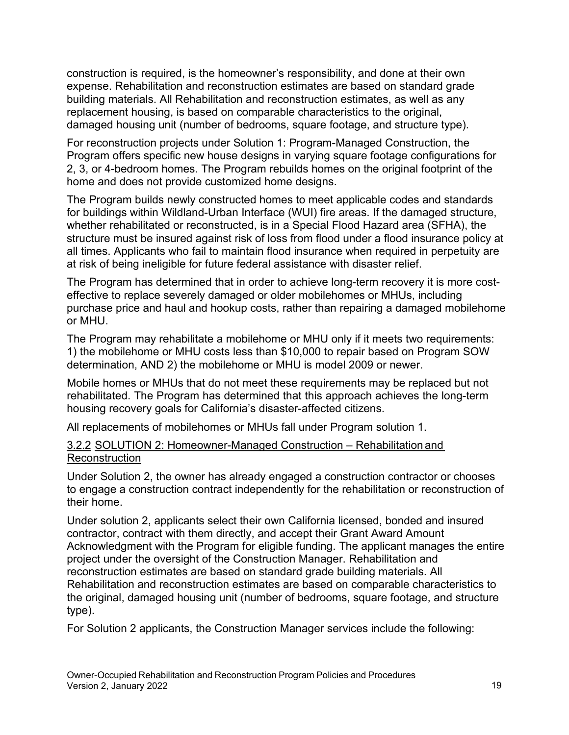construction is required, is the homeowner's responsibility, and done at their own building materials. All Rehabilitation and reconstruction estimates, as well as any damaged housing unit (number of bedrooms, square footage, and structure type). expense. Rehabilitation and reconstruction estimates are based on standard grade replacement housing, is based on comparable characteristics to the original,

For reconstruction projects under Solution 1: Program-Managed Construction, the Program offers specific new house designs in varying square footage configurations for 2, 3, or 4-bedroom homes. The Program rebuilds homes on the original footprint of the home and does not provide customized home designs.

 at risk of being ineligible for future federal assistance with disaster relief. The Program builds newly constructed homes to meet applicable codes and standards for buildings within Wildland-Urban Interface (WUI) fire areas. If the damaged structure, whether rehabilitated or reconstructed, is in a Special Flood Hazard area (SFHA), the structure must be insured against risk of loss from flood under a flood insurance policy at all times. Applicants who fail to maintain flood insurance when required in perpetuity are

The Program has determined that in order to achieve long-term recovery it is more costeffective to replace severely damaged or older mobilehomes or MHUs, including purchase price and haul and hookup costs, rather than repairing a damaged mobilehome or MHU.

The Program may rehabilitate a mobilehome or MHU only if it meets two requirements: 1) the mobilehome or MHU costs less than \$10,000 to repair based on Program SOW determination, AND 2) the mobilehome or MHU is model 2009 or newer.

Mobile homes or MHUs that do not meet these requirements may be replaced but not rehabilitated. The Program has determined that this approach achieves the long-term housing recovery goals for California's disaster-affected citizens.

All replacements of mobilehomes or MHUs fall under Program solution 1.

#### 3.2.2 SOLUTION 2: Homeowner-Managed Construction – Rehabilitation and **Reconstruction**

Under Solution 2, the owner has already engaged a construction contractor or chooses to engage a construction contract independently for the rehabilitation or reconstruction of their home.

Under solution 2, applicants select their own California licensed, bonded and insured contractor, contract with them directly, and accept their Grant Award Amount Acknowledgment with the Program for eligible funding. The applicant manages the entire project under the oversight of the Construction Manager. Rehabilitation and reconstruction estimates are based on standard grade building materials. All Rehabilitation and reconstruction estimates are based on comparable characteristics to the original, damaged housing unit (number of bedrooms, square footage, and structure type).

For Solution 2 applicants, the Construction Manager services include the following: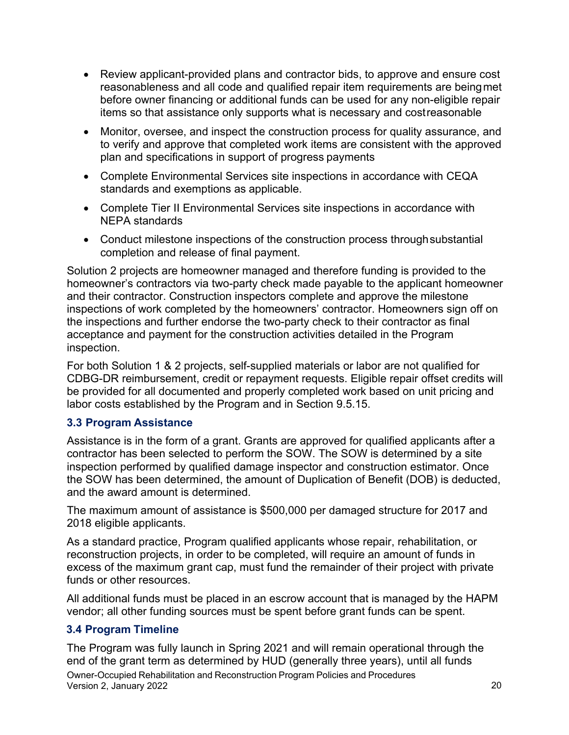- items so that assistance only supports what is necessary and costreasonable • Review applicant-provided plans and contractor bids, to approve and ensure cost reasonableness and all code and qualified repair item requirements are beingmet before owner financing or additional funds can be used for any non-eligible repair
- plan and specifications in support of progress payments • Monitor, oversee, and inspect the construction process for quality assurance, and to verify and approve that completed work items are consistent with the approved
- standards and exemptions as applicable. • Complete Environmental Services site inspections in accordance with CEQA
- NEPA standards • Complete Tier II Environmental Services site inspections in accordance with
- completion and release of final payment. • Conduct milestone inspections of the construction process throughsubstantial

 the inspections and further endorse the two-party check to their contractor as final Solution 2 projects are homeowner managed and therefore funding is provided to the homeowner's contractors via two-party check made payable to the applicant homeowner and their contractor. Construction inspectors complete and approve the milestone inspections of work completed by the homeowners' contractor. Homeowners sign off on acceptance and payment for the construction activities detailed in the Program inspection.

 For both Solution 1 & 2 projects, self-supplied materials or labor are not qualified for CDBG-DR reimbursement, credit or repayment requests. Eligible repair offset credits will be provided for all documented and properly completed work based on unit pricing and labor costs established by the Program and in Section 9.5.15.

#### <span id="page-19-0"></span> **3.3 Program Assistance**

 the SOW has been determined, the amount of Duplication of Benefit (DOB) is deducted, Assistance is in the form of a grant. Grants are approved for qualified applicants after a contractor has been selected to perform the SOW. The SOW is determined by a site inspection performed by qualified damage inspector and construction estimator. Once and the award amount is determined.

The maximum amount of assistance is \$500,000 per damaged structure for 2017 and 2018 eligible applicants.

As a standard practice, Program qualified applicants whose repair, rehabilitation, or reconstruction projects, in order to be completed, will require an amount of funds in excess of the maximum grant cap, must fund the remainder of their project with private funds or other resources.

 All additional funds must be placed in an escrow account that is managed by the HAPM vendor; all other funding sources must be spent before grant funds can be spent.

### <span id="page-19-1"></span> **3.4 Program Timeline**

The Program was fully launch in Spring 2021 and will remain operational through the end of the grant term as determined by HUD (generally three years), until all funds Owner-Occupied Rehabilitation and Reconstruction Program Policies and Procedures Version 2, January 2022 20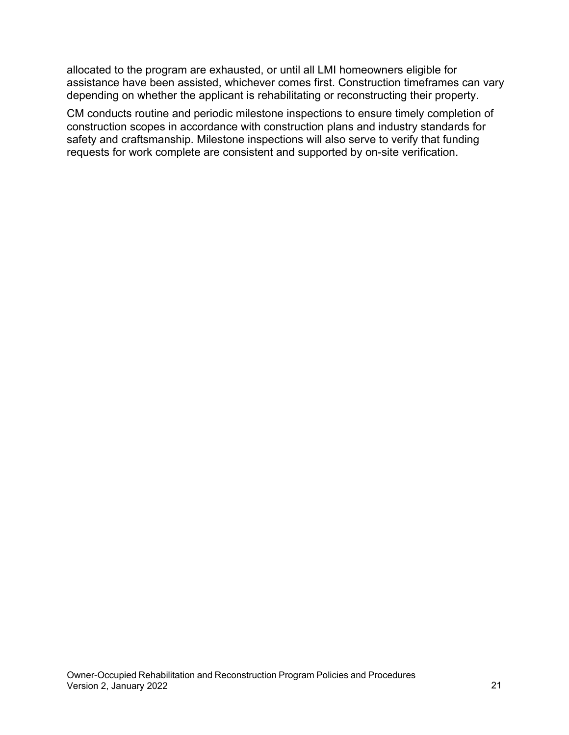allocated to the program are exhausted, or until all LMI homeowners eligible for assistance have been assisted, whichever comes first. Construction timeframes can vary depending on whether the applicant is rehabilitating or reconstructing their property.

CM conducts routine and periodic milestone inspections to ensure timely completion of construction scopes in accordance with construction plans and industry standards for safety and craftsmanship. Milestone inspections will also serve to verify that funding requests for work complete are consistent and supported by on-site verification.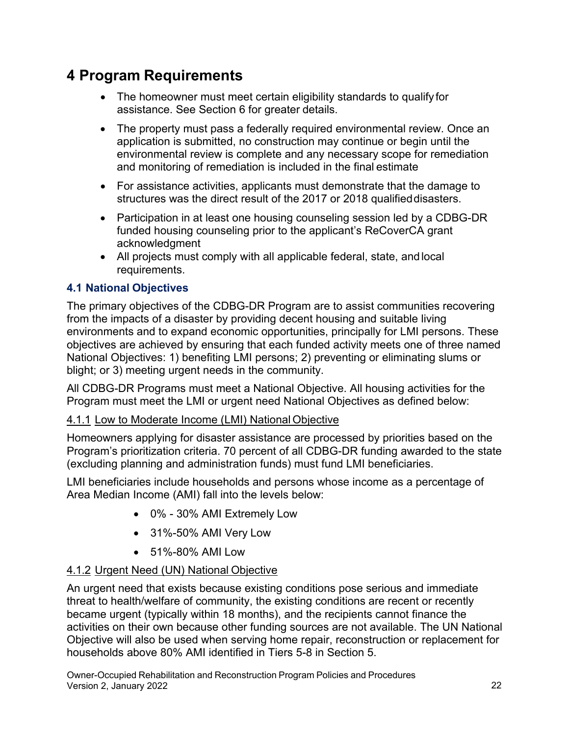## <span id="page-21-0"></span>**4 Program Requirements**

- assistance. See Section 6 for greater details. • The homeowner must meet certain eligibility standards to qualify for
- and monitoring of remediation is included in the final estimate • The property must pass a federally required environmental review. Once an application is submitted, no construction may continue or begin until the environmental review is complete and any necessary scope for remediation
- structures was the direct result of the 2017 or 2018 qualifieddisasters. • For assistance activities, applicants must demonstrate that the damage to
- Participation in at least one housing counseling session led by a CDBG-DR funded housing counseling prior to the applicant's ReCoverCA grant acknowledgment
- All projects must comply with all applicable federal, state, and local requirements.

### <span id="page-21-1"></span> **4.1 National Objectives**

The primary objectives of the CDBG-DR Program are to assist communities recovering from the impacts of a disaster by providing decent housing and suitable living environments and to expand economic opportunities, principally for LMI persons. These objectives are achieved by ensuring that each funded activity meets one of three named National Objectives: 1) benefiting LMI persons; 2) preventing or eliminating slums or blight; or 3) meeting urgent needs in the community.

All CDBG-DR Programs must meet a National Objective. All housing activities for the Program must meet the LMI or urgent need National Objectives as defined below:

### 4.1.1 Low to Moderate Income (LMI) National Objective

Homeowners applying for disaster assistance are processed by priorities based on the Program's prioritization criteria. 70 percent of all CDBG-DR funding awarded to the state (excluding planning and administration funds) must fund LMI beneficiaries.

LMI beneficiaries include households and persons whose income as a percentage of Area Median Income (AMI) fall into the levels below:

- 0% 30% AMI Extremely Low
- 31%-50% AMI Very Low
- 51%-80% AMI Low

### 4.1.2 Urgent Need (UN) National Objective

An urgent need that exists because existing conditions pose serious and immediate threat to health/welfare of community, the existing conditions are recent or recently became urgent (typically within 18 months), and the recipients cannot finance the activities on their own because other funding sources are not available. The UN National Objective will also be used when serving home repair, reconstruction or replacement for households above 80% AMI identified in Tiers 5-8 in Section 5.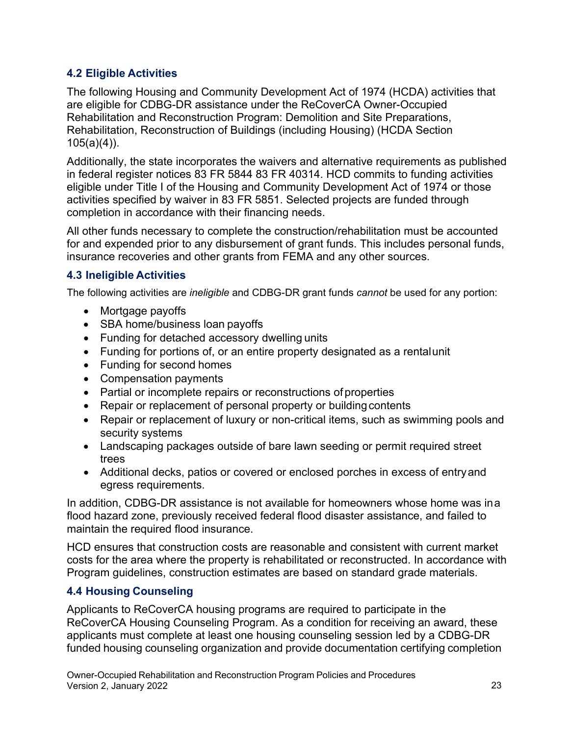### <span id="page-22-0"></span> **4.2 Eligible Activities**

The following Housing and Community Development Act of 1974 (HCDA) activities that are eligible for CDBG-DR assistance under the ReCoverCA Owner-Occupied Rehabilitation and Reconstruction Program: Demolition and Site Preparations, Rehabilitation, Reconstruction of Buildings (including Housing) (HCDA Section  $105(a)(4)$ ).

Additionally, the state incorporates the waivers and alternative requirements as published in federal register notices 83 FR 5844 83 FR 40314. HCD commits to funding activities eligible under Title I of the Housing and Community Development Act of 1974 or those activities specified by waiver in 83 FR 5851. Selected projects are funded through completion in accordance with their financing needs.

All other funds necessary to complete the construction/rehabilitation must be accounted for and expended prior to any disbursement of grant funds. This includes personal funds, insurance recoveries and other grants from FEMA and any other sources.

### <span id="page-22-1"></span> **4.3 Ineligible Activities**

The following activities are *ineligible* and CDBG-DR grant funds *cannot* be used for any portion:

- Mortgage payoffs
- SBA home/business loan payoffs
- Funding for detached accessory dwelling units
- Funding for portions of, or an entire property designated as a rentalunit
- Funding for second homes
- Compensation payments
- Partial or incomplete repairs or reconstructions of properties
- Repair or replacement of personal property or building contents
- security systems • Repair or replacement of luxury or non-critical items, such as swimming pools and
- Landscaping packages outside of bare lawn seeding or permit required street trees
- Additional decks, patios or covered or enclosed porches in excess of entryand egress requirements.

 maintain the required flood insurance. In addition, CDBG-DR assistance is not available for homeowners whose home was ina flood hazard zone, previously received federal flood disaster assistance, and failed to

HCD ensures that construction costs are reasonable and consistent with current market costs for the area where the property is rehabilitated or reconstructed. In accordance with Program guidelines, construction estimates are based on standard grade materials.

### <span id="page-22-2"></span> **4.4 Housing Counseling**

 funded housing counseling organization and provide documentation certifying completion Applicants to ReCoverCA housing programs are required to participate in the ReCoverCA Housing Counseling Program. As a condition for receiving an award, these applicants must complete at least one housing counseling session led by a CDBG-DR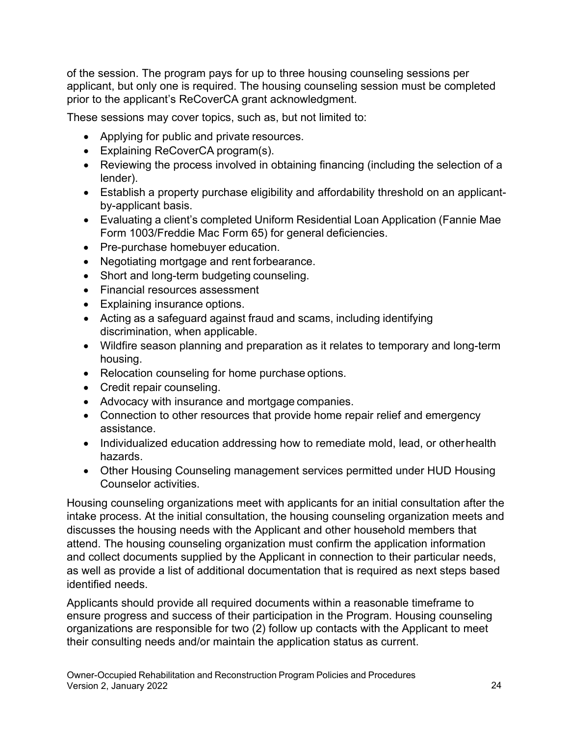of the session. The program pays for up to three housing counseling sessions per applicant, but only one is required. The housing counseling session must be completed prior to the applicant's ReCoverCA grant acknowledgment.

These sessions may cover topics, such as, but not limited to:

- Applying for public and private resources.
- Explaining ReCoverCA program(s).
- Reviewing the process involved in obtaining financing (including the selection of a lender).
- by-applicant basis. • Establish a property purchase eligibility and affordability threshold on an applicant-
- • Evaluating a client's completed Uniform Residential Loan Application (Fannie Mae Form 1003/Freddie Mac Form 65) for general deficiencies.
- Pre-purchase homebuyer education.
- Negotiating mortgage and rent forbearance.
- Short and long-term budgeting counseling.
- Financial resources assessment
- Explaining insurance options.
- • Acting as a safeguard against fraud and scams, including identifying discrimination, when applicable.
- Wildfire season planning and preparation as it relates to temporary and long-term housing.
- Relocation counseling for home purchase options.
- Credit repair counseling.
- Advocacy with insurance and mortgage companies.
- Connection to other resources that provide home repair relief and emergency assistance.
- Individualized education addressing how to remediate mold, lead, or otherhealth hazards.
- Counselor activities. • Other Housing Counseling management services permitted under HUD Housing

 identified needs. Housing counseling organizations meet with applicants for an initial consultation after the intake process. At the initial consultation, the housing counseling organization meets and discusses the housing needs with the Applicant and other household members that attend. The housing counseling organization must confirm the application information and collect documents supplied by the Applicant in connection to their particular needs, as well as provide a list of additional documentation that is required as next steps based

 organizations are responsible for two (2) follow up contacts with the Applicant to meet Applicants should provide all required documents within a reasonable timeframe to ensure progress and success of their participation in the Program. Housing counseling their consulting needs and/or maintain the application status as current.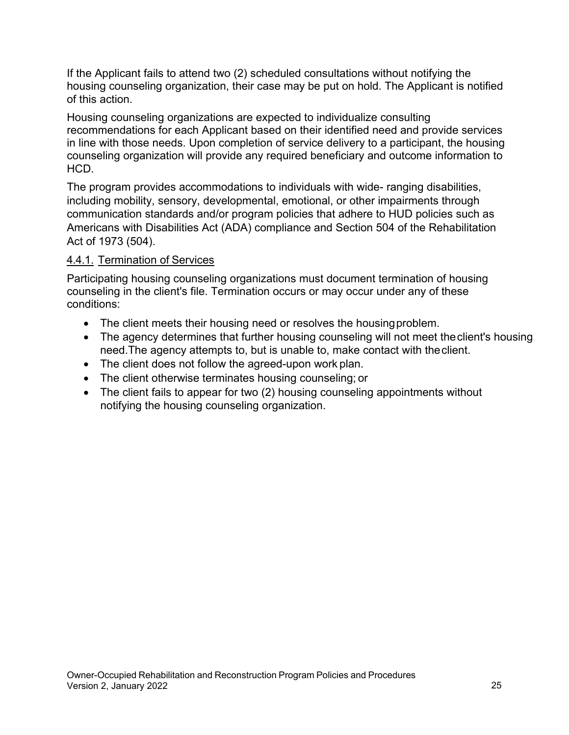If the Applicant fails to attend two (2) scheduled consultations without notifying the housing counseling organization, their case may be put on hold. The Applicant is notified of this action.

Housing counseling organizations are expected to individualize consulting recommendations for each Applicant based on their identified need and provide services in line with those needs. Upon completion of service delivery to a participant, the housing counseling organization will provide any required beneficiary and outcome information to HCD.

The program provides accommodations to individuals with wide- ranging disabilities, including mobility, sensory, developmental, emotional, or other impairments through communication standards and/or program policies that adhere to HUD policies such as Americans with Disabilities Act (ADA) compliance and Section 504 of the Rehabilitation Act of 1973 (504).

### 4.4.1. Termination of Services

Participating housing counseling organizations must document termination of housing counseling in the client's file. Termination occurs or may occur under any of these conditions:

- The client meets their housing need or resolves the housingproblem.
- need.The agency attempts to, but is unable to, make contact with theclient. • The agency determines that further housing counseling will not meet the client's housing
- The client does not follow the agreed-upon work plan.
- The client otherwise terminates housing counseling; or
- The client fails to appear for two (2) housing counseling appointments without notifying the housing counseling organization.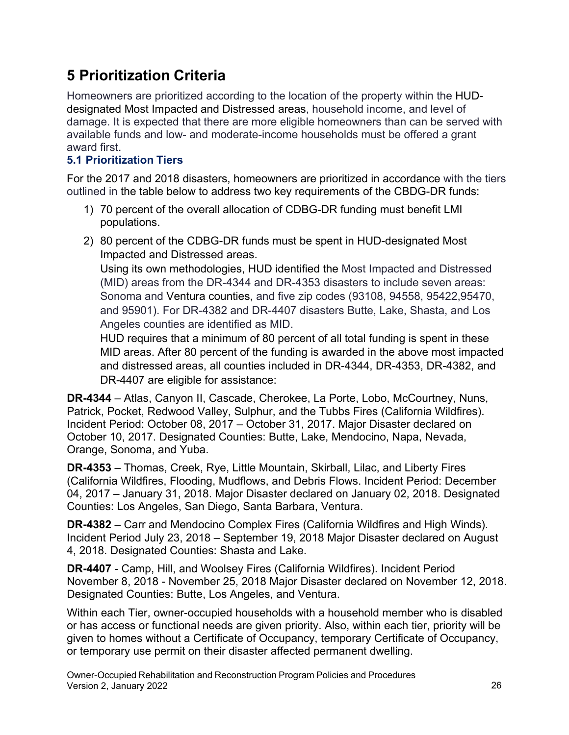## <span id="page-25-0"></span> **5 Prioritization Criteria**

Homeowners are prioritized according to the location of the property within the HUDdesignated Most Impacted and Distressed areas, household income, and level of damage. It is expected that there are more eligible homeowners than can be served with available funds and low- and moderate-income households must be offered a grant award first.

## <span id="page-25-1"></span>**5.1 Prioritization Tiers**

For the 2017 and 2018 disasters, homeowners are prioritized in accordance with the tiers outlined in the table below to address two key requirements of the CBDG-DR funds:

- 1) 70 percent of the overall allocation of CDBG-DR funding must benefit LMI populations.
- Impacted and Distressed areas. 2) 80 percent of the CDBG-DR funds must be spent in HUD-designated Most

Using its own methodologies, HUD identified the Most Impacted and Distressed (MID) areas from the DR-4344 and DR-4353 disasters to include seven areas: Sonoma and Ventura counties, and five zip codes (93108, 94558, 95422,95470, and 95901). For DR-4382 and DR-4407 disasters Butte, Lake, Shasta, and Los Angeles counties are identified as MID.

HUD requires that a minimum of 80 percent of all total funding is spent in these MID areas. After 80 percent of the funding is awarded in the above most impacted and distressed areas, all counties included in DR-4344, DR-4353, DR-4382, and DR-4407 are eligible for assistance:

**DR-4344** – Atlas, Canyon II, Cascade, Cherokee, La Porte, Lobo, McCourtney, Nuns, Patrick, Pocket, Redwood Valley, Sulphur, and the Tubbs Fires (California Wildfires). Incident Period: October 08, 2017 – October 31, 2017. Major Disaster declared on October 10, 2017. Designated Counties: Butte, Lake, Mendocino, Napa, Nevada, Orange, Sonoma, and Yuba.

**DR-4353** – Thomas, Creek, Rye, Little Mountain, Skirball, Lilac, and Liberty Fires (California Wildfires, Flooding, Mudflows, and Debris Flows. Incident Period: December 04, 2017 – January 31, 2018. Major Disaster declared on January 02, 2018. Designated Counties: Los Angeles, San Diego, Santa Barbara, Ventura.

**DR-4382** – Carr and Mendocino Complex Fires (California Wildfires and High Winds). Incident Period July 23, 2018 – September 19, 2018 Major Disaster declared on August 4, 2018. Designated Counties: Shasta and Lake.

 Designated Counties: Butte, Los Angeles, and Ventura. **DR-4407** - Camp, Hill, and Woolsey Fires (California Wildfires). Incident Period November 8, 2018 - November 25, 2018 Major Disaster declared on November 12, 2018.

Within each Tier, owner-occupied households with a household member who is disabled or has access or functional needs are given priority. Also, within each tier, priority will be given to homes without a Certificate of Occupancy, temporary Certificate of Occupancy, or temporary use permit on their disaster affected permanent dwelling.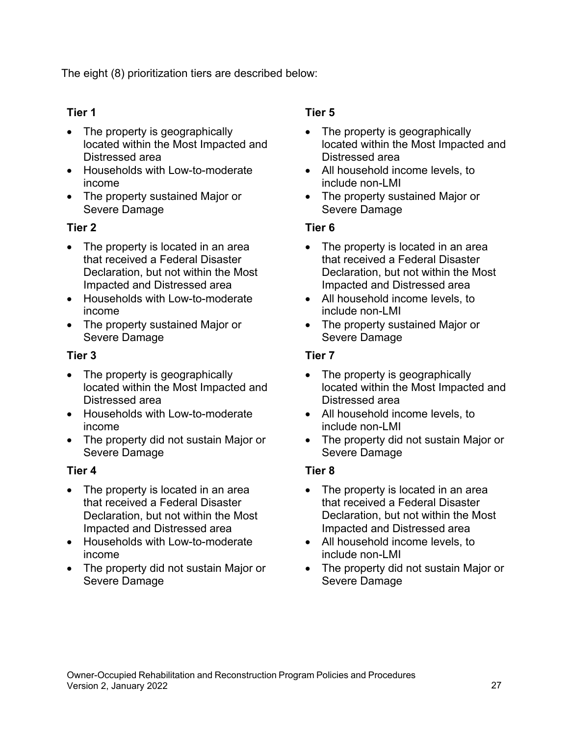The eight (8) prioritization tiers are described below:

### **Tier 1**

- Distressed area • The property is geographically located within the Most Impacted and
- Households with Low-to-moderate income
- Severe Damage • The property sustained Major or

### **Tier 2**

- Impacted and Distressed area • The property is located in an area that received a Federal Disaster Declaration, but not within the Most
- Households with Low-to-moderate income
- Severe Damage • The property sustained Major or

#### **Tier 3**

- Distressed area • The property is geographically located within the Most Impacted and
- Households with Low-to-moderate income
- Severe Damage • The property did not sustain Major or

#### **Tier 4**

- Impacted and Distressed area • The property is located in an area that received a Federal Disaster Declaration, but not within the Most
- Households with Low-to-moderate income
- Severe Damage • The property did not sustain Major or

### **Tier 5**

- Distressed area • The property is geographically located within the Most Impacted and
- include non-LMI • All household income levels, to
- Severe Damage • The property sustained Major or

#### **Tier 6**

- Impacted and Distressed area • The property is located in an area that received a Federal Disaster Declaration, but not within the Most
- include non-LMI • All household income levels, to
- Severe Damage • The property sustained Major or

#### **Tier 7**

- Distressed area • The property is geographically located within the Most Impacted and
- include non-LMI • All household income levels, to
- Severe Damage • The property did not sustain Major or

### **Tier 8**

- Impacted and Distressed area • The property is located in an area that received a Federal Disaster Declaration, but not within the Most
- include non-LMI • All household income levels, to
- Severe Damage • The property did not sustain Major or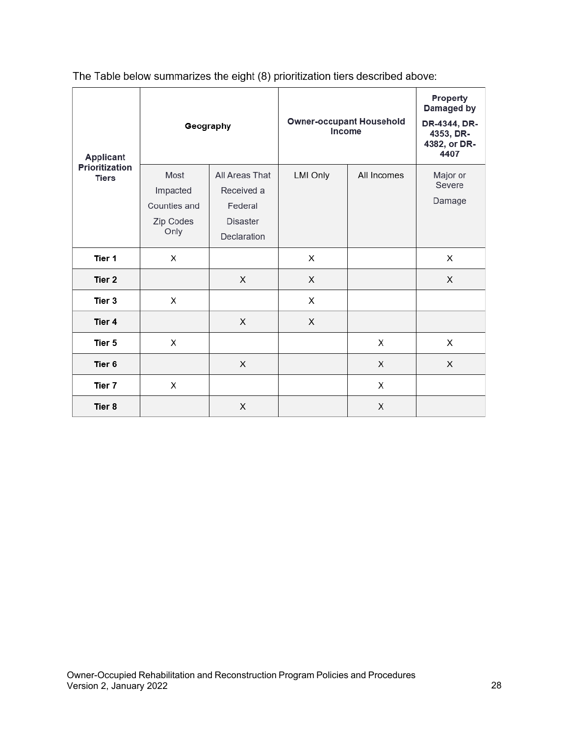| Applicant<br><b>Prioritization</b><br><b>Tiers</b> | Geography                                             |                                                                           | <b>Owner-occupant Household</b><br>Income |             | <b>Property</b><br>Damaged by<br>DR-4344, DR-<br>4353, DR-<br>4382, or DR-<br>4407 |
|----------------------------------------------------|-------------------------------------------------------|---------------------------------------------------------------------------|-------------------------------------------|-------------|------------------------------------------------------------------------------------|
|                                                    | Most<br>Impacted<br>Counties and<br>Zip Codes<br>Only | All Areas That<br>Received a<br>Federal<br><b>Disaster</b><br>Declaration | <b>LMI Only</b>                           | All Incomes | Major or<br>Severe<br>Damage                                                       |
| Tier 1                                             | X                                                     |                                                                           | X                                         |             | X                                                                                  |
| Tier 2                                             |                                                       | X                                                                         | X                                         |             | X                                                                                  |
| Tier 3                                             | Х                                                     |                                                                           | X                                         |             |                                                                                    |
| Tier 4                                             |                                                       | X                                                                         | X                                         |             |                                                                                    |
| Tier 5                                             | X                                                     |                                                                           |                                           | X           | X                                                                                  |
| Tier 6                                             |                                                       | X                                                                         |                                           | X           | X                                                                                  |
| Tier 7                                             | X                                                     |                                                                           |                                           | Х           |                                                                                    |
| Tier 8                                             |                                                       | X                                                                         |                                           | X           |                                                                                    |

The Table below summarizes the eight (8) prioritization tiers described above: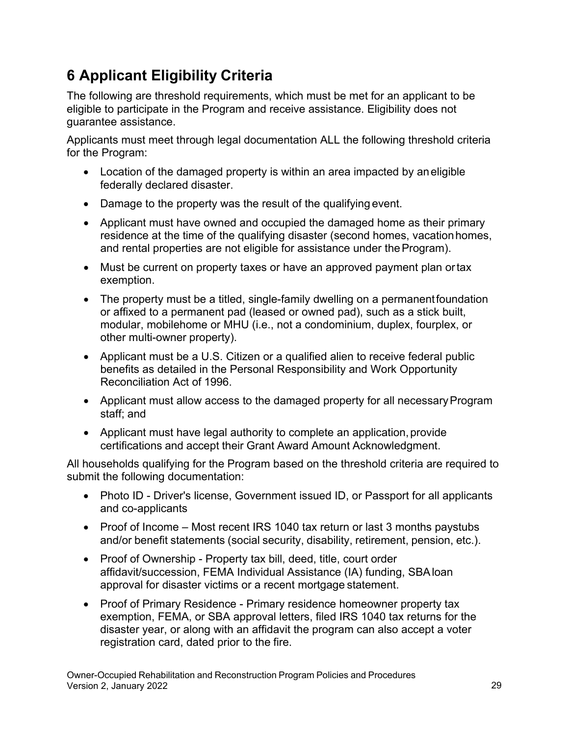# <span id="page-28-0"></span> **6 Applicant Eligibility Criteria**

The following are threshold requirements, which must be met for an applicant to be eligible to participate in the Program and receive assistance. Eligibility does not guarantee assistance.

Applicants must meet through legal documentation ALL the following threshold criteria for the Program:

- federally declared disaster. • Location of the damaged property is within an area impacted by aneligible
- Damage to the property was the result of the qualifying event.
- and rental properties are not eligible for assistance under the Program). • Applicant must have owned and occupied the damaged home as their primary residence at the time of the qualifying disaster (second homes, vacationhomes,
- Must be current on property taxes or have an approved payment plan ortax exemption.
- other multi-owner property). • The property must be a titled, single-family dwelling on a permanentfoundation or affixed to a permanent pad (leased or owned pad), such as a stick built, modular, mobilehome or MHU (i.e., not a condominium, duplex, fourplex, or
- Reconciliation Act of 1996. • Applicant must be a U.S. Citizen or a qualified alien to receive federal public benefits as detailed in the Personal Responsibility and Work Opportunity
- staff; and • Applicant must allow access to the damaged property for all necessary Program
- certifications and accept their Grant Award Amount Acknowledgment. • Applicant must have legal authority to complete an application, provide

All households qualifying for the Program based on the threshold criteria are required to submit the following documentation:

- Photo ID Driver's license, Government issued ID, or Passport for all applicants and co-applicants
- and/or benefit statements (social security, disability, retirement, pension, etc.). • Proof of Income – Most recent IRS 1040 tax return or last 3 months paystubs
- • Proof of Ownership Property tax bill, deed, title, court order approval for disaster victims or a recent mortgage statement. affidavit/succession, FEMA Individual Assistance (IA) funding, SBAloan
- registration card, dated prior to the fire. • Proof of Primary Residence - Primary residence homeowner property tax exemption, FEMA, or SBA approval letters, filed IRS 1040 tax returns for the disaster year, or along with an affidavit the program can also accept a voter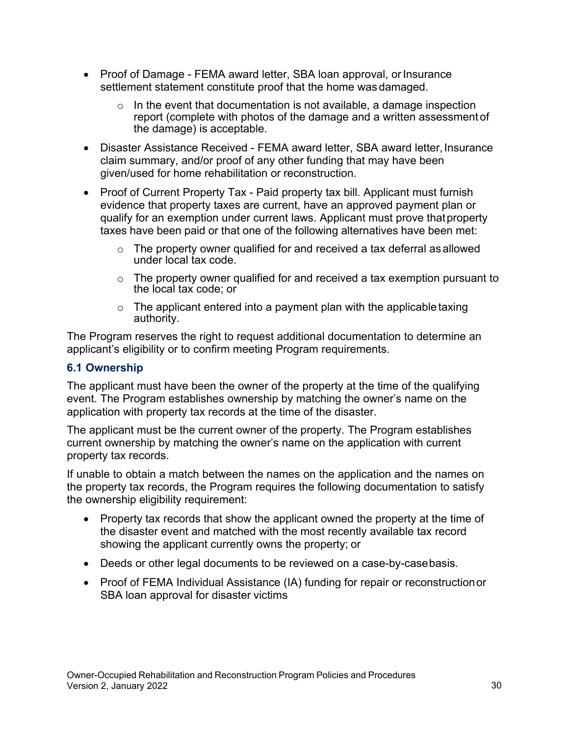- settlement statement constitute proof that the home was damaged. • Proof of Damage - FEMA award letter, SBA loan approval, or Insurance
	- $\circ$  In the event that documentation is not available, a damage inspection report (complete with photos of the damage and a written assessment of the damage) is acceptable.
- Disaster Assistance Received FEMA award letter, SBA award letter, Insurance claim summary, and/or proof of any other funding that may have been given/used for home rehabilitation or reconstruction.
- taxes have been paid or that one of the following alternatives have been met: • Proof of Current Property Tax - Paid property tax bill. Applicant must furnish evidence that property taxes are current, have an approved payment plan or qualify for an exemption under current laws. Applicant must prove thatproperty
	- under local tax code.  $\circ$  The property owner qualified for and received a tax deferral as allowed
	- the local tax code; or  $\circ$  The property owner qualified for and received a tax exemption pursuant to
	- $\circ$  The applicant entered into a payment plan with the applicable taxing authority.

The Program reserves the right to request additional documentation to determine an applicant's eligibility or to confirm meeting Program requirements.

#### <span id="page-29-0"></span>**6.1 Ownership**

The applicant must have been the owner of the property at the time of the qualifying event. The Program establishes ownership by matching the owner's name on the application with property tax records at the time of the disaster.

The applicant must be the current owner of the property. The Program establishes current ownership by matching the owner's name on the application with current property tax records.

If unable to obtain a match between the names on the application and the names on the property tax records, the Program requires the following documentation to satisfy the ownership eligibility requirement:

- • Property tax records that show the applicant owned the property at the time of showing the applicant currently owns the property; or the disaster event and matched with the most recently available tax record
- Deeds or other legal documents to be reviewed on a case-by-casebasis.
- SBA loan approval for disaster victims • Proof of FEMA Individual Assistance (IA) funding for repair or reconstruction or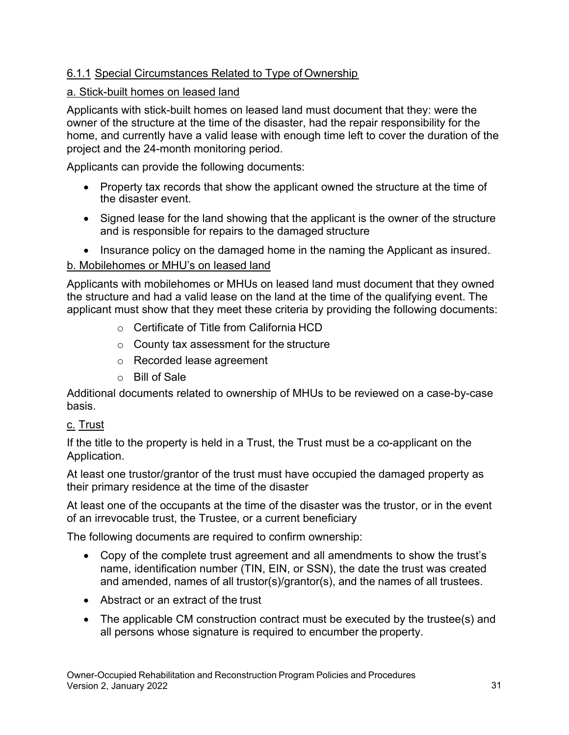### 6.1.1 Special Circumstances Related to Type of Ownership

#### a. Stick-built homes on leased land

Applicants with stick-built homes on leased land must document that they: were the owner of the structure at the time of the disaster, had the repair responsibility for the home, and currently have a valid lease with enough time left to cover the duration of the project and the 24-month monitoring period.

Applicants can provide the following documents:

- the disaster event. • Property tax records that show the applicant owned the structure at the time of
- and is responsible for repairs to the damaged structure • Signed lease for the land showing that the applicant is the owner of the structure
- Insurance policy on the damaged home in the naming the Applicant as insured.

### b. Mobilehomes or MHU's on leased land

Applicants with mobilehomes or MHUs on leased land must document that they owned the structure and had a valid lease on the land at the time of the qualifying event. The applicant must show that they meet these criteria by providing the following documents:

- $\circ$   $\,$  Certificate of Title from California HCD
- $\circ$   $\,$  County tax assessment for the structure
- $\circ$   $\,$  Recorded lease agreement
- o Bill of Sale

Additional documents related to ownership of MHUs to be reviewed on a case-by-case basis.

### <u>c. Trust</u>

If the title to the property is held in a Trust, the Trust must be a co-applicant on the Application.

 their primary residence at the time of the disaster At least one trustor/grantor of the trust must have occupied the damaged property as

 At least one of the occupants at the time of the disaster was the trustor, or in the event of an irrevocable trust, the Trustee, or a current beneficiary

The following documents are required to confirm ownership:

- and amended, names of all trustor(s)/grantor(s), and the names of all trustees. • Copy of the complete trust agreement and all amendments to show the trust's name, identification number (TIN, EIN, or SSN), the date the trust was created
- Abstract or an extract of the trust
- all persons whose signature is required to encumber the property. • The applicable CM construction contract must be executed by the trustee(s) and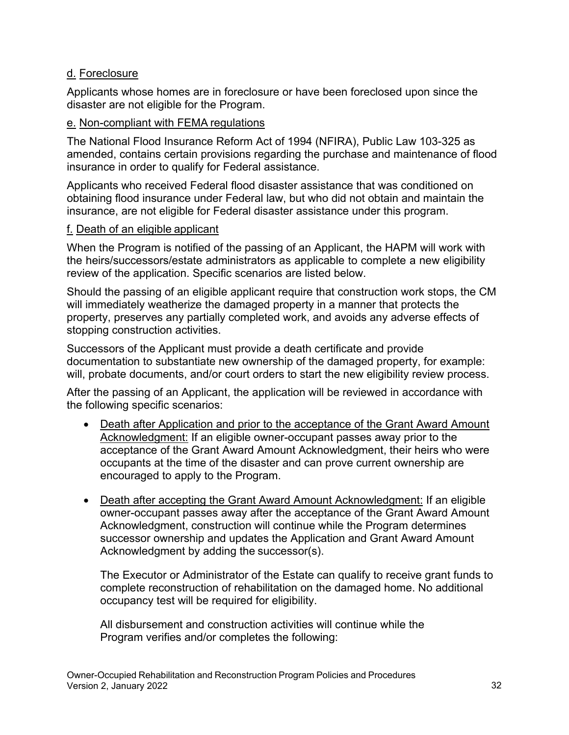#### d. Foreclosure

Applicants whose homes are in foreclosure or have been foreclosed upon since the disaster are not eligible for the Program.

#### e. Non-compliant with FEMA regulations

The National Flood Insurance Reform Act of 1994 (NFIRA), Public Law 103-325 as amended, contains certain provisions regarding the purchase and maintenance of flood insurance in order to qualify for Federal assistance.

Applicants who received Federal flood disaster assistance that was conditioned on obtaining flood insurance under Federal law, but who did not obtain and maintain the insurance, are not eligible for Federal disaster assistance under this program.

#### f. Death of an eligible applicant

 the heirs/successors/estate administrators as applicable to complete a new eligibility When the Program is notified of the passing of an Applicant, the HAPM will work with review of the application. Specific scenarios are listed below.

Should the passing of an eligible applicant require that construction work stops, the CM will immediately weatherize the damaged property in a manner that protects the property, preserves any partially completed work, and avoids any adverse effects of stopping construction activities.

 will, probate documents, and/or court orders to start the new eligibility review process. Successors of the Applicant must provide a death certificate and provide documentation to substantiate new ownership of the damaged property, for example:

After the passing of an Applicant, the application will be reviewed in accordance with the following specific scenarios:

- encouraged to apply to the Program. • Death after Application and prior to the acceptance of the Grant Award Amount Acknowledgment: If an eligible owner-occupant passes away prior to the acceptance of the Grant Award Amount Acknowledgment, their heirs who were occupants at the time of the disaster and can prove current ownership are
- Death after accepting the Grant Award Amount Acknowledgment: If an eligible owner-occupant passes away after the acceptance of the Grant Award Amount Acknowledgment, construction will continue while the Program determines successor ownership and updates the Application and Grant Award Amount Acknowledgment by adding the successor(s).

The Executor or Administrator of the Estate can qualify to receive grant funds to complete reconstruction of rehabilitation on the damaged home. No additional occupancy test will be required for eligibility.

All disbursement and construction activities will continue while the Program verifies and/or completes the following: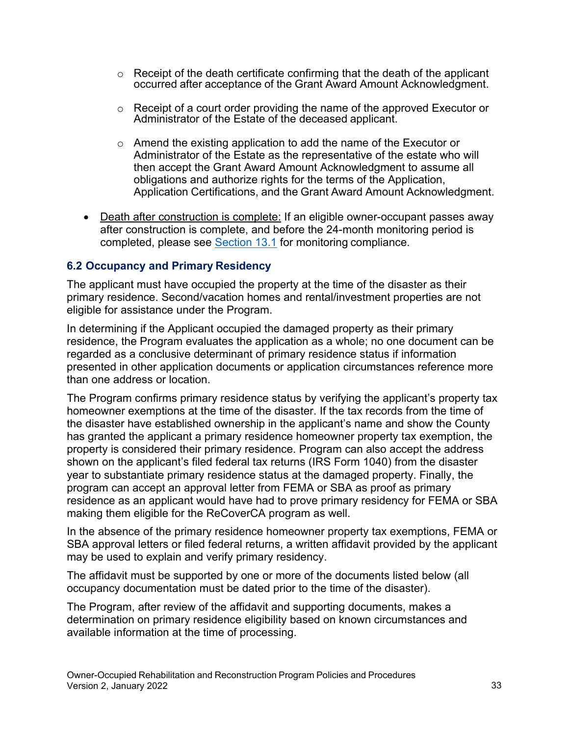- occurred after acceptance of the Grant Award Amount Acknowledgment.  $\circ$  Receipt of the death certificate confirming that the death of the applicant
- Administrator of the Estate of the deceased applicant.  $\circ$  Receipt of a court order providing the name of the approved Executor or
- Application Certifications, and the Grant Award Amount Acknowledgment. o Amend the existing application to add the name of the Executor or Administrator of the Estate as the representative of the estate who will then accept the Grant Award Amount Acknowledgment to assume all obligations and authorize rights for the terms of the Application,
- Death after construction is complete: If an eligible owner-occupant passes away after construction is complete, and before the 24-month monitoring period is completed, please see Section 13.1 for monitoring compliance.

#### <span id="page-32-0"></span>**6.2 Occupancy and Primary Residency**

The applicant must have occupied the property at the time of the disaster as their primary residence. Second/vacation homes and rental/investment properties are not eligible for assistance under the Program.

In determining if the Applicant occupied the damaged property as their primary residence, the Program evaluates the application as a whole; no one document can be regarded as a conclusive determinant of primary residence status if information presented in other application documents or application circumstances reference more than one address or location.

 program can accept an approval letter from FEMA or SBA as proof as primary The Program confirms primary residence status by verifying the applicant's property tax homeowner exemptions at the time of the disaster. If the tax records from the time of the disaster have established ownership in the applicant's name and show the County has granted the applicant a primary residence homeowner property tax exemption, the property is considered their primary residence. Program can also accept the address shown on the applicant's filed federal tax returns (IRS Form 1040) from the disaster year to substantiate primary residence status at the damaged property. Finally, the residence as an applicant would have had to prove primary residency for FEMA or SBA making them eligible for the ReCoverCA program as well.

In the absence of the primary residence homeowner property tax exemptions, FEMA or SBA approval letters or filed federal returns, a written affidavit provided by the applicant may be used to explain and verify primary residency.

 The affidavit must be supported by one or more of the documents listed below (all occupancy documentation must be dated prior to the time of the disaster).

The Program, after review of the affidavit and supporting documents, makes a determination on primary residence eligibility based on known circumstances and available information at the time of processing.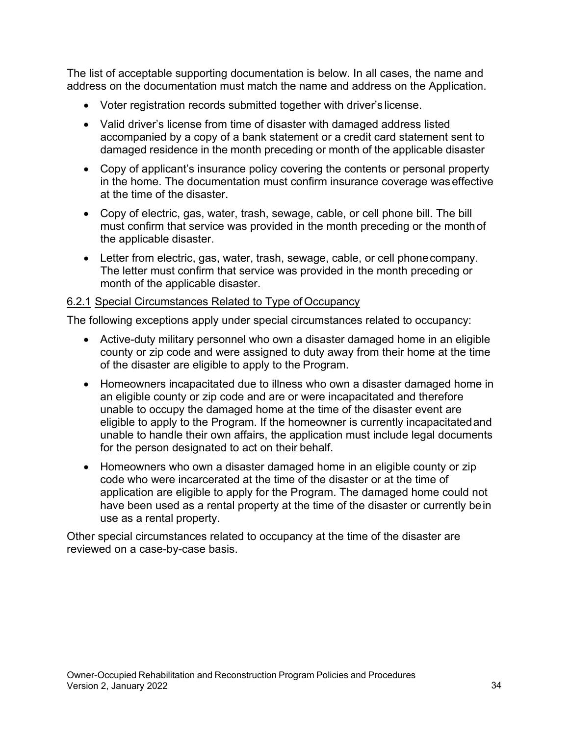The list of acceptable supporting documentation is below. In all cases, the name and address on the documentation must match the name and address on the Application.

- Voter registration records submitted together with driver's license.
- damaged residence in the month preceding or month of the applicable disaster • Valid driver's license from time of disaster with damaged address listed accompanied by a copy of a bank statement or a credit card statement sent to
- at the time of the disaster. • Copy of applicant's insurance policy covering the contents or personal property in the home. The documentation must confirm insurance coverage was effective
- the applicable disaster. • Copy of electric, gas, water, trash, sewage, cable, or cell phone bill. The bill must confirm that service was provided in the month preceding or the month of
- month of the applicable disaster. • Letter from electric, gas, water, trash, sewage, cable, or cell phonecompany. The letter must confirm that service was provided in the month preceding or

#### 6.2.1 Special Circumstances Related to Type of Occupancy

The following exceptions apply under special circumstances related to occupancy:

- of the disaster are eligible to apply to the Program. • Active-duty military personnel who own a disaster damaged home in an eligible county or zip code and were assigned to duty away from their home at the time
- unable to occupy the damaged home at the time of the disaster event are for the person designated to act on their behalf. • Homeowners incapacitated due to illness who own a disaster damaged home in an eligible county or zip code and are or were incapacitated and therefore eligible to apply to the Program. If the homeowner is currently incapacitatedand unable to handle their own affairs, the application must include legal documents
- code who were incarcerated at the time of the disaster or at the time of use as a rental property. • Homeowners who own a disaster damaged home in an eligible county or zip application are eligible to apply for the Program. The damaged home could not have been used as a rental property at the time of the disaster or currently bein

Other special circumstances related to occupancy at the time of the disaster are reviewed on a case-by-case basis.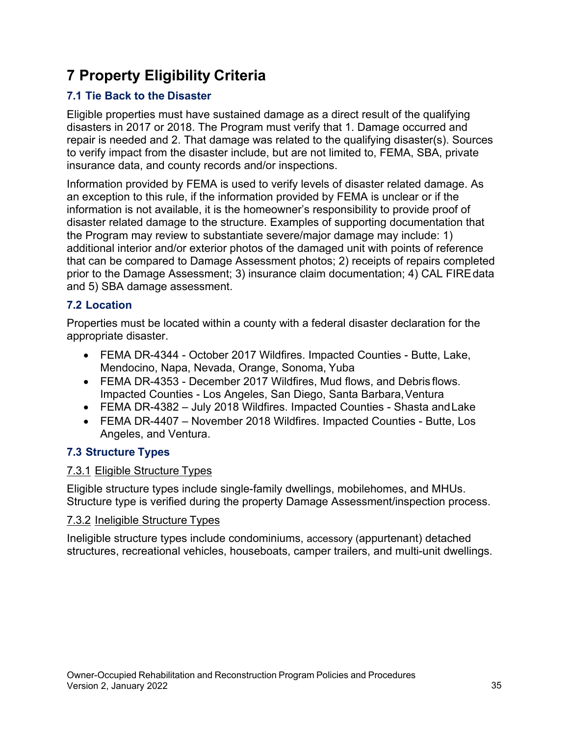# <span id="page-34-0"></span> **7 Property Eligibility Criteria**

## <span id="page-34-1"></span>**7.1 Tie Back to the Disaster**

 repair is needed and 2. That damage was related to the qualifying disaster(s). Sources Eligible properties must have sustained damage as a direct result of the qualifying disasters in 2017 or 2018. The Program must verify that 1. Damage occurred and to verify impact from the disaster include, but are not limited to, FEMA, SBA, private insurance data, and county records and/or inspections.

 that can be compared to Damage Assessment photos; 2) receipts of repairs completed Information provided by FEMA is used to verify levels of disaster related damage. As an exception to this rule, if the information provided by FEMA is unclear or if the information is not available, it is the homeowner's responsibility to provide proof of disaster related damage to the structure. Examples of supporting documentation that the Program may review to substantiate severe/major damage may include: 1) additional interior and/or exterior photos of the damaged unit with points of reference prior to the Damage Assessment; 3) insurance claim documentation; 4) CAL FIREdata and 5) SBA damage assessment.

### <span id="page-34-2"></span>**7.2 Location**

Properties must be located within a county with a federal disaster declaration for the appropriate disaster.

- Mendocino, Napa, Nevada, Orange, Sonoma, Yuba • FEMA DR-4344 - October 2017 Wildfires. Impacted Counties - Butte, Lake,
- Impacted Counties Los Angeles, San Diego, Santa Barbara, Ventura • FEMA DR-4353 - December 2017 Wildfires, Mud flows, and Debris flows.
- FEMA DR-4382 July 2018 Wildfires. Impacted Counties Shasta andLake
- Angeles, and Ventura. • FEMA DR-4407 – November 2018 Wildfires. Impacted Counties - Butte, Los

### <span id="page-34-3"></span> **7.3 Structure Types**

#### 7.3.1 Eligible Structure Types

Eligible structure types include single-family dwellings, mobilehomes, and MHUs. Structure type is verified during the property Damage Assessment/inspection process.

#### 7.3.2 Ineligible Structure Types

Ineligible structure types include condominiums, accessory (appurtenant) detached structures, recreational vehicles, houseboats, camper trailers, and multi-unit dwellings.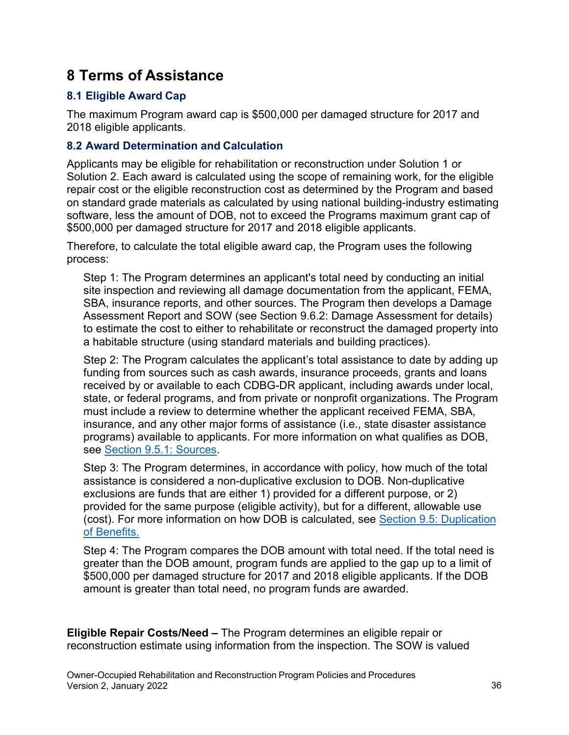## <span id="page-35-0"></span>**8 Terms of Assistance**

### <span id="page-35-1"></span>**8.1 Eligible Award Cap**

The maximum Program award cap is \$500,000 per damaged structure for 2017 and 2018 eligible applicants.

#### <span id="page-35-2"></span>**8.2 Award Determination and Calculation**

Applicants may be eligible for rehabilitation or reconstruction under Solution 1 or Solution 2. Each award is calculated using the scope of remaining work, for the eligible repair cost or the eligible reconstruction cost as determined by the Program and based on standard grade materials as calculated by using national building-industry estimating software, less the amount of DOB, not to exceed the Programs maximum grant cap of \$500,000 per damaged structure for 2017 and 2018 eligible applicants.

Therefore, to calculate the total eligible award cap, the Program uses the following process:

Step 1: The Program determines an applicant's total need by conducting an initial site inspection and reviewing all damage documentation from the applicant, FEMA, SBA, insurance reports, and other sources. The Program then develops a Damage Assessment Report and SOW (see Section 9.6.2: Damage Assessment for details) to estimate the cost to either to rehabilitate or reconstruct the damaged property into a habitable structure (using standard materials and building practices).

Step 2: The Program calculates the applicant's total assistance to date by adding up funding from sources such as cash awards, insurance proceeds, grants and loans received by or available to each CDBG-DR applicant, including awards under local, state, or federal programs, and from private or nonprofit organizations. The Program must include a review to determine whether the applicant received FEMA, SBA, insurance, and any other major forms of assistance (i.e., state disaster assistance programs) available to applicants. For more information on what qualifies as DOB, see Section 9.5.1: Sources.

 provided for the same purpose (eligible activity), but for a different, allowable use Step 3: The Program determines, in accordance with policy, how much of the total assistance is considered a non-duplicative exclusion to DOB. Non-duplicative exclusions are funds that are either 1) provided for a different purpose, or 2) (cost). For more information on how DOB is calculated, see Section 9.5: Duplication of Benefits.

 Step 4: The Program compares the DOB amount with total need. If the total need is \$500,000 per damaged structure for 2017 and 2018 eligible applicants. If the DOB greater than the DOB amount, program funds are applied to the gap up to a limit of amount is greater than total need, no program funds are awarded.

**Eligible Repair Costs/Need –** The Program determines an eligible repair or reconstruction estimate using information from the inspection. The SOW is valued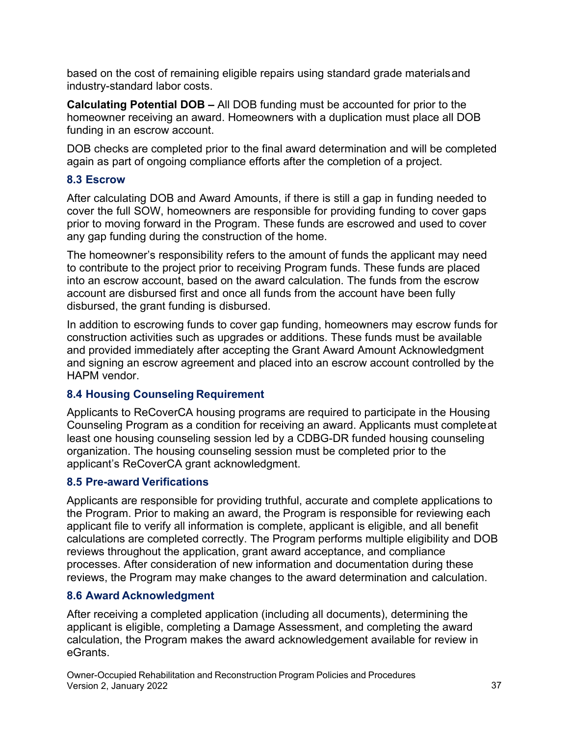industry-standard labor costs. based on the cost of remaining eligible repairs using standard grade materialsand

 funding in an escrow account. **Calculating Potential DOB –** All DOB funding must be accounted for prior to the homeowner receiving an award. Homeowners with a duplication must place all DOB

 again as part of ongoing compliance efforts after the completion of a project. DOB checks are completed prior to the final award determination and will be completed

#### **8.3 Escrow**

After calculating DOB and Award Amounts, if there is still a gap in funding needed to cover the full SOW, homeowners are responsible for providing funding to cover gaps prior to moving forward in the Program. These funds are escrowed and used to cover any gap funding during the construction of the home.

 into an escrow account, based on the award calculation. The funds from the escrow The homeowner's responsibility refers to the amount of funds the applicant may need to contribute to the project prior to receiving Program funds. These funds are placed account are disbursed first and once all funds from the account have been fully disbursed, the grant funding is disbursed.

In addition to escrowing funds to cover gap funding, homeowners may escrow funds for construction activities such as upgrades or additions. These funds must be available and provided immediately after accepting the Grant Award Amount Acknowledgment and signing an escrow agreement and placed into an escrow account controlled by the HAPM vendor.

# **8.4 Housing Counseling Requirement**

Applicants to ReCoverCA housing programs are required to participate in the Housing Counseling Program as a condition for receiving an award. Applicants must completeat least one housing counseling session led by a CDBG-DR funded housing counseling organization. The housing counseling session must be completed prior to the applicant's ReCoverCA grant acknowledgment.

# **8.5 Pre-award Verifications**

Applicants are responsible for providing truthful, accurate and complete applications to the Program. Prior to making an award, the Program is responsible for reviewing each applicant file to verify all information is complete, applicant is eligible, and all benefit calculations are completed correctly. The Program performs multiple eligibility and DOB reviews throughout the application, grant award acceptance, and compliance processes. After consideration of new information and documentation during these reviews, the Program may make changes to the award determination and calculation.

# **8.6 Award Acknowledgment**

After receiving a completed application (including all documents), determining the applicant is eligible, completing a Damage Assessment, and completing the award calculation, the Program makes the award acknowledgement available for review in eGrants.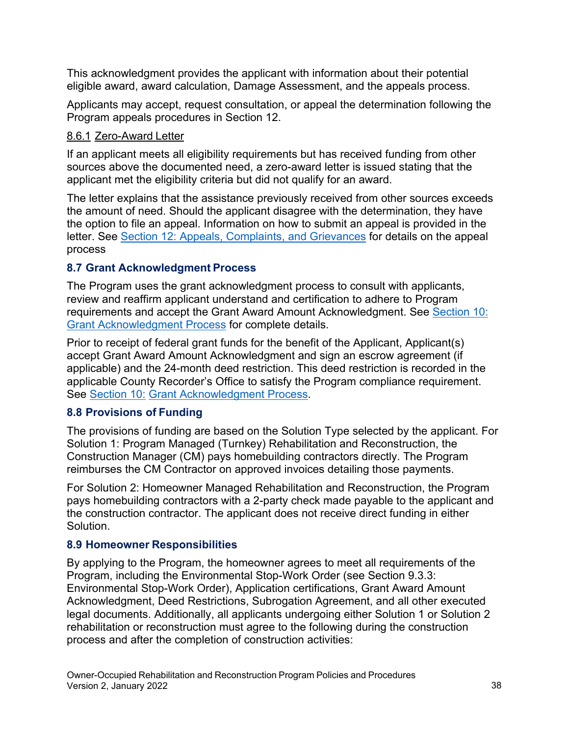This acknowledgment provides the applicant with information about their potential eligible award, award calculation, Damage Assessment, and the appeals process.

Applicants may accept, request consultation, or appeal the determination following the Program appeals procedures in Section 12.

# 8.6.1 Zero-Award Letter

If an applicant meets all eligibility requirements but has received funding from other sources above the documented need, a zero-award letter is issued stating that the applicant met the eligibility criteria but did not qualify for an award.

 The letter explains that the assistance previously received from other sources exceeds the amount of need. Should the applicant disagree with the determination, they have the option to file an appeal. Information on how to submit an appeal is provided in the letter. See Section 12: Appeals, Complaints, and Grievances for details on the appeal process

# **8.7 Grant Acknowledgment Process**

The Program uses the grant acknowledgment process to consult with applicants, review and reaffirm applicant understand and certification to adhere to Program requirements and accept the Grant Award Amount Acknowledgment. See Section 10: Grant Acknowledgment Process for complete details.

Prior to receipt of federal grant funds for the benefit of the Applicant, Applicant(s) accept Grant Award Amount Acknowledgment and sign an escrow agreement (if applicable) and the 24-month deed restriction. This deed restriction is recorded in the applicable County Recorder's Office to satisfy the Program compliance requirement. See Section 10: Grant Acknowledgment Process.

# **8.8 Provisions of Funding**

The provisions of funding are based on the Solution Type selected by the applicant. For Solution 1: Program Managed (Turnkey) Rehabilitation and Reconstruction, the Construction Manager (CM) pays homebuilding contractors directly. The Program reimburses the CM Contractor on approved invoices detailing those payments.

For Solution 2: Homeowner Managed Rehabilitation and Reconstruction, the Program pays homebuilding contractors with a 2-party check made payable to the applicant and the construction contractor. The applicant does not receive direct funding in either **Solution** 

# **8.9 Homeowner Responsibilities**

By applying to the Program, the homeowner agrees to meet all requirements of the Program, including the Environmental Stop-Work Order (see Section 9.3.3: Environmental Stop-Work Order), Application certifications, Grant Award Amount Acknowledgment, Deed Restrictions, Subrogation Agreement, and all other executed legal documents. Additionally, all applicants undergoing either Solution 1 or Solution 2 rehabilitation or reconstruction must agree to the following during the construction process and after the completion of construction activities: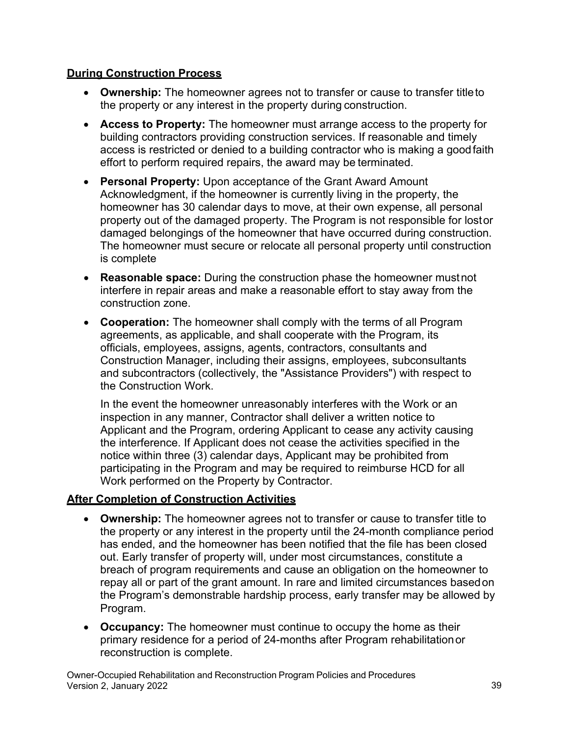# **During Construction Process**

- **Ownership:** The homeowner agrees not to transfer or cause to transfer titleto the property or any interest in the property during construction.
- **Access to Property:** The homeowner must arrange access to the property for building contractors providing construction services. If reasonable and timely access is restricted or denied to a building contractor who is making a goodfaith effort to perform required repairs, the award may be terminated.
- **Personal Property:** Upon acceptance of the Grant Award Amount Acknowledgment, if the homeowner is currently living in the property, the homeowner has 30 calendar days to move, at their own expense, all personal property out of the damaged property. The Program is not responsible for lostor damaged belongings of the homeowner that have occurred during construction. The homeowner must secure or relocate all personal property until construction is complete
- construction zone. • **Reasonable space:** During the construction phase the homeowner mustnot interfere in repair areas and make a reasonable effort to stay away from the
- **Cooperation:** The homeowner shall comply with the terms of all Program agreements, as applicable, and shall cooperate with the Program, its officials, employees, assigns, agents, contractors, consultants and Construction Manager, including their assigns, employees, subconsultants and subcontractors (collectively, the "Assistance Providers") with respect to the Construction Work.

In the event the homeowner unreasonably interferes with the Work or an inspection in any manner, Contractor shall deliver a written notice to Applicant and the Program, ordering Applicant to cease any activity causing the interference. If Applicant does not cease the activities specified in the notice within three (3) calendar days, Applicant may be prohibited from participating in the Program and may be required to reimburse HCD for all Work performed on the Property by Contractor.

# **After Completion of Construction Activities**

- **Ownership:** The homeowner agrees not to transfer or cause to transfer title to the property or any interest in the property until the 24-month compliance period has ended, and the homeowner has been notified that the file has been closed out. Early transfer of property will, under most circumstances, constitute a breach of program requirements and cause an obligation on the homeowner to repay all or part of the grant amount. In rare and limited circumstances basedon the Program's demonstrable hardship process, early transfer may be allowed by Program.
- **Occupancy:** The homeowner must continue to occupy the home as their primary residence for a period of 24-months after Program rehabilitationor reconstruction is complete.

Owner-Occupied Rehabilitation and Reconstruction Program Policies and Procedures Version 2, January 2022 39 and 2008 39 and 30 and 30 and 30 and 30 and 30 and 30 and 30 and 30 and 30 and 30 and 30 and 30 and 30 and 30 and 30 and 30 and 30 and 30 and 30 and 30 and 30 and 30 and 30 and 30 and 30 and 30 a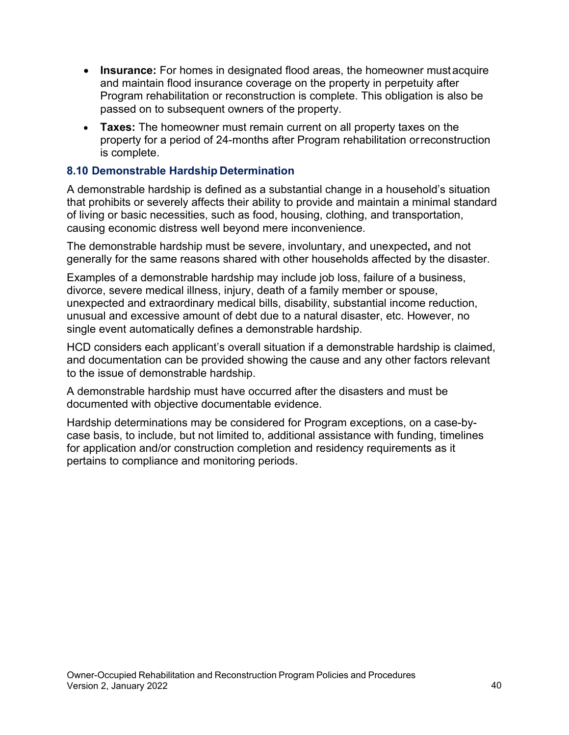- **Insurance:** For homes in designated flood areas, the homeowner mustacquire and maintain flood insurance coverage on the property in perpetuity after Program rehabilitation or reconstruction is complete. This obligation is also be passed on to subsequent owners of the property.
- **Taxes:** The homeowner must remain current on all property taxes on the property for a period of 24-months after Program rehabilitation orreconstruction is complete.

### **8.10 Demonstrable Hardship Determination**

A demonstrable hardship is defined as a substantial change in a household's situation that prohibits or severely affects their ability to provide and maintain a minimal standard of living or basic necessities, such as food, housing, clothing, and transportation, causing economic distress well beyond mere inconvenience.

The demonstrable hardship must be severe, involuntary, and unexpected**,** and not generally for the same reasons shared with other households affected by the disaster.

 divorce, severe medical illness, injury, death of a family member or spouse, Examples of a demonstrable hardship may include job loss, failure of a business, unexpected and extraordinary medical bills, disability, substantial income reduction, unusual and excessive amount of debt due to a natural disaster, etc. However, no single event automatically defines a demonstrable hardship.

 and documentation can be provided showing the cause and any other factors relevant HCD considers each applicant's overall situation if a demonstrable hardship is claimed, to the issue of demonstrable hardship.

A demonstrable hardship must have occurred after the disasters and must be documented with objective documentable evidence.

Hardship determinations may be considered for Program exceptions, on a case-bycase basis, to include, but not limited to, additional assistance with funding, timelines for application and/or construction completion and residency requirements as it pertains to compliance and monitoring periods.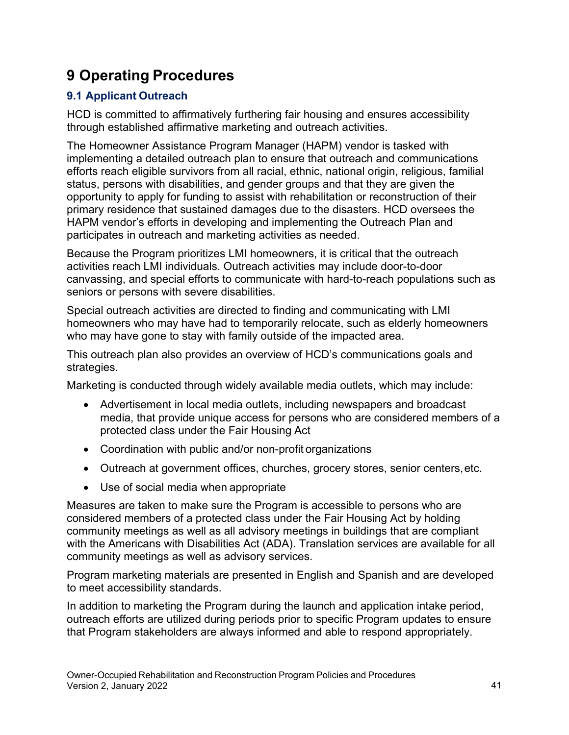# **9 Operating Procedures**

# **9.1 Applicant Outreach**

HCD is committed to affirmatively furthering fair housing and ensures accessibility through established affirmative marketing and outreach activities.

The Homeowner Assistance Program Manager (HAPM) vendor is tasked with implementing a detailed outreach plan to ensure that outreach and communications efforts reach eligible survivors from all racial, ethnic, national origin, religious, familial status, persons with disabilities, and gender groups and that they are given the opportunity to apply for funding to assist with rehabilitation or reconstruction of their primary residence that sustained damages due to the disasters. HCD oversees the HAPM vendor's efforts in developing and implementing the Outreach Plan and participates in outreach and marketing activities as needed.

 Because the Program prioritizes LMI homeowners, it is critical that the outreach activities reach LMI individuals. Outreach activities may include door-to-door canvassing, and special efforts to communicate with hard-to-reach populations such as seniors or persons with severe disabilities.

Special outreach activities are directed to finding and communicating with LMI homeowners who may have had to temporarily relocate, such as elderly homeowners who may have gone to stay with family outside of the impacted area.

This outreach plan also provides an overview of HCD's communications goals and strategies.

Marketing is conducted through widely available media outlets, which may include:

- protected class under the Fair Housing Act • Advertisement in local media outlets, including newspapers and broadcast media, that provide unique access for persons who are considered members of a
- Coordination with public and/or non-profit organizations
- Outreach at government offices, churches, grocery stores, senior centers,etc.
- Use of social media when appropriate

Measures are taken to make sure the Program is accessible to persons who are considered members of a protected class under the Fair Housing Act by holding community meetings as well as all advisory meetings in buildings that are compliant with the Americans with Disabilities Act (ADA). Translation services are available for all community meetings as well as advisory services.

Program marketing materials are presented in English and Spanish and are developed to meet accessibility standards.

In addition to marketing the Program during the launch and application intake period, outreach efforts are utilized during periods prior to specific Program updates to ensure that Program stakeholders are always informed and able to respond appropriately.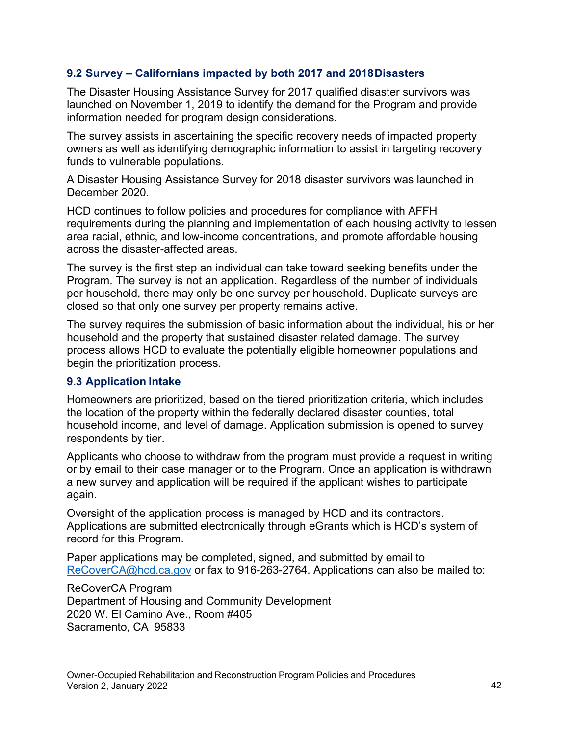# **9.2 Survey – Californians impacted by both 2017 and 2018Disasters**

 The Disaster Housing Assistance Survey for 2017 qualified disaster survivors was launched on November 1, 2019 to identify the demand for the Program and provide information needed for program design considerations.

The survey assists in ascertaining the specific recovery needs of impacted property owners as well as identifying demographic information to assist in targeting recovery funds to vulnerable populations.

A Disaster Housing Assistance Survey for 2018 disaster survivors was launched in December 2020.

HCD continues to follow policies and procedures for compliance with AFFH requirements during the planning and implementation of each housing activity to lessen area racial, ethnic, and low-income concentrations, and promote affordable housing across the disaster-affected areas.

The survey is the first step an individual can take toward seeking benefits under the Program. The survey is not an application. Regardless of the number of individuals per household, there may only be one survey per household. Duplicate surveys are closed so that only one survey per property remains active.

The survey requires the submission of basic information about the individual, his or her household and the property that sustained disaster related damage. The survey process allows HCD to evaluate the potentially eligible homeowner populations and begin the prioritization process.

#### **9.3 Application Intake**

Homeowners are prioritized, based on the tiered prioritization criteria, which includes the location of the property within the federally declared disaster counties, total household income, and level of damage. Application submission is opened to survey respondents by tier.

Applicants who choose to withdraw from the program must provide a request in writing or by email to their case manager or to the Program. Once an application is withdrawn a new survey and application will be required if the applicant wishes to participate again.

Oversight of the application process is managed by HCD and its contractors. Applications are submitted electronically through eGrants which is HCD's system of record for this Program.

Paper applications may be completed, signed, and submitted by email to [ReCoverCA@hcd.ca.gov o](mailto:ReCoverCA@hcd.ca.gov)r fax to 916-263-2764. Applications can also be mailed to:

#### ReCoverCA Program

 Sacramento, CA 95833 Department of Housing and Community Development 2020 W. El Camino Ave., Room #405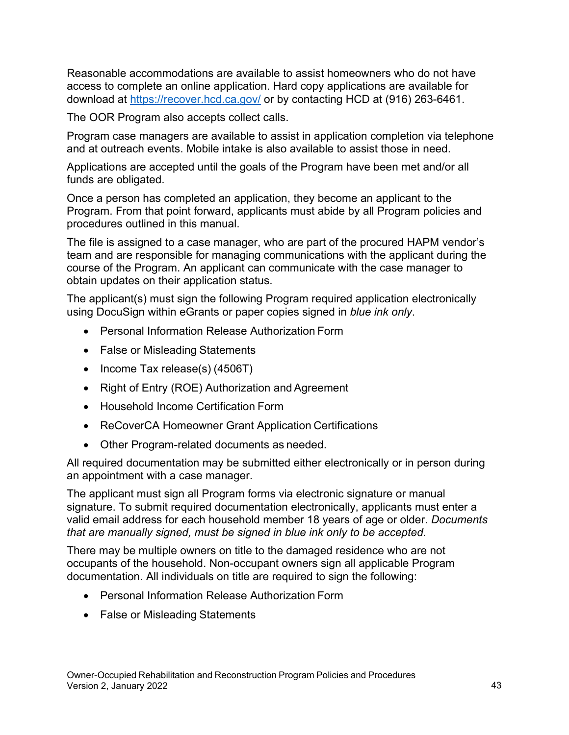Reasonable accommodations are available to assist homeowners who do not have access to complete an online application. Hard copy applications are available for download at [https://recover.hcd.ca.gov/ o](https://recover.hcd.ca.gov/)r by contacting HCD at (916) 263-6461.

The OOR Program also accepts collect calls.

Program case managers are available to assist in application completion via telephone and at outreach events. Mobile intake is also available to assist those in need.

Applications are accepted until the goals of the Program have been met and/or all funds are obligated.

Once a person has completed an application, they become an applicant to the Program. From that point forward, applicants must abide by all Program policies and procedures outlined in this manual.

The file is assigned to a case manager, who are part of the procured HAPM vendor's team and are responsible for managing communications with the applicant during the course of the Program. An applicant can communicate with the case manager to obtain updates on their application status.

The applicant(s) must sign the following Program required application electronically using DocuSign within eGrants or paper copies signed in *blue ink only*.

- Personal Information Release Authorization Form
- False or Misleading Statements
- Income Tax release(s) (4506T)
- Right of Entry (ROE) Authorization and Agreement
- Household Income Certification Form
- ReCoverCA Homeowner Grant Application Certifications
- Other Program-related documents as needed.

All required documentation may be submitted either electronically or in person during an appointment with a case manager.

 valid email address for each household member 18 years of age or older. *Documents*  The applicant must sign all Program forms via electronic signature or manual signature. To submit required documentation electronically, applicants must enter a *that are manually signed, must be signed in blue ink only to be accepted.* 

There may be multiple owners on title to the damaged residence who are not occupants of the household. Non-occupant owners sign all applicable Program documentation. All individuals on title are required to sign the following:

- Personal Information Release Authorization Form
- False or Misleading Statements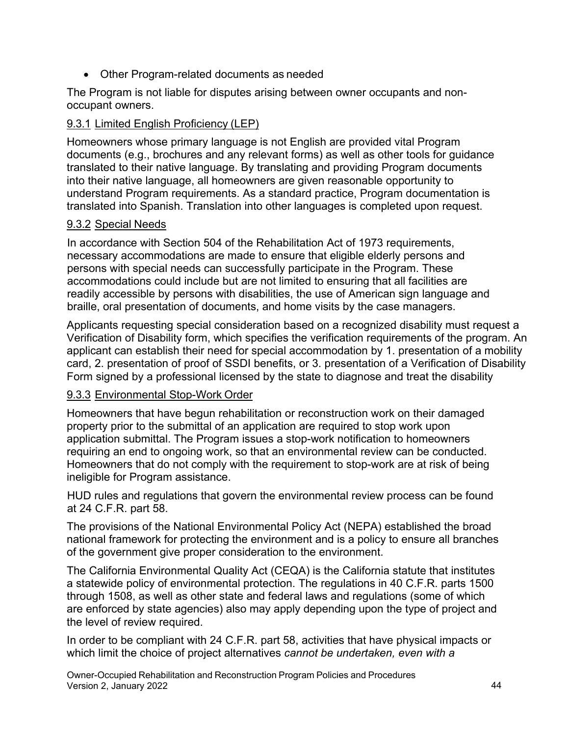• Other Program-related documents as needed

The Program is not liable for disputes arising between owner occupants and nonoccupant owners.

# 9.3.1 Limited English Proficiency (LEP)

Homeowners whose primary language is not English are provided vital Program documents (e.g., brochures and any relevant forms) as well as other tools for guidance translated to their native language. By translating and providing Program documents into their native language, all homeowners are given reasonable opportunity to understand Program requirements. As a standard practice, Program documentation is translated into Spanish. Translation into other languages is completed upon request.

# 9.3.2 Special Needs

 accommodations could include but are not limited to ensuring that all facilities are In accordance with Section 504 of the Rehabilitation Act of 1973 requirements, necessary accommodations are made to ensure that eligible elderly persons and persons with special needs can successfully participate in the Program. These readily accessible by persons with disabilities, the use of American sign language and braille, oral presentation of documents, and home visits by the case managers.

Applicants requesting special consideration based on a recognized disability must request a Verification of Disability form, which specifies the verification requirements of the program. An applicant can establish their need for special accommodation by 1. presentation of a mobility card, 2. presentation of proof of SSDI benefits, or 3. presentation of a Verification of Disability Form signed by a professional licensed by the state to diagnose and treat the disability

# 9.3.3 Environmental Stop-Work Order

Homeowners that have begun rehabilitation or reconstruction work on their damaged property prior to the submittal of an application are required to stop work upon application submittal. The Program issues a stop-work notification to homeowners requiring an end to ongoing work, so that an environmental review can be conducted. Homeowners that do not comply with the requirement to stop-work are at risk of being ineligible for Program assistance.

HUD rules and regulations that govern the environmental review process can be found at 24 C.F.R. part 58.

The provisions of the National Environmental Policy Act (NEPA) established the broad national framework for protecting the environment and is a policy to ensure all branches of the government give proper consideration to the environment.

The California Environmental Quality Act (CEQA) is the California statute that institutes a statewide policy of environmental protection. The regulations in 40 C.F.R. parts 1500 through 1508, as well as other state and federal laws and regulations (some of which are enforced by state agencies) also may apply depending upon the type of project and the level of review required.

In order to be compliant with 24 C.F.R. part 58, activities that have physical impacts or which limit the choice of project alternatives *cannot be undertaken, even with a*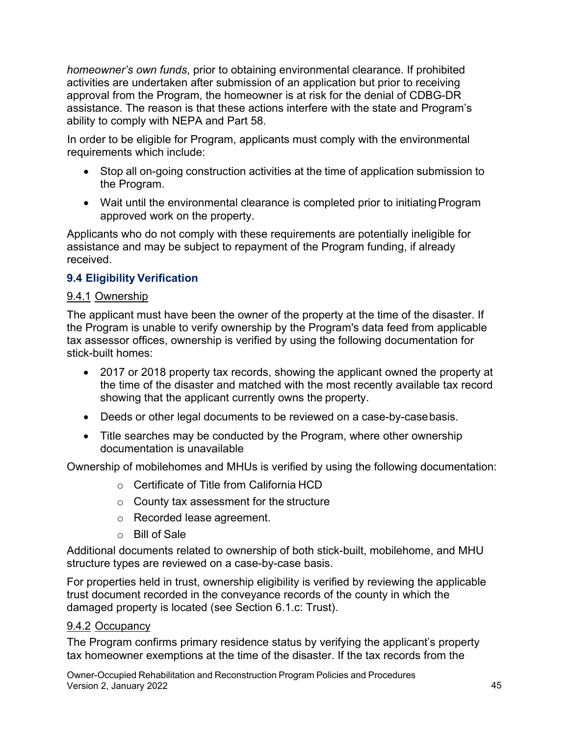*homeowner's own funds*, prior to obtaining environmental clearance. If prohibited activities are undertaken after submission of an application but prior to receiving approval from the Program, the homeowner is at risk for the denial of CDBG-DR assistance. The reason is that these actions interfere with the state and Program's ability to comply with NEPA and Part 58.

In order to be eligible for Program, applicants must comply with the environmental requirements which include:

- • Stop all on-going construction activities at the time of application submission to the Program.
- approved work on the property. • Wait until the environmental clearance is completed prior to initiating Program

Applicants who do not comply with these requirements are potentially ineligible for assistance and may be subject to repayment of the Program funding, if already received.

# **9.4 Eligibility Verification**

#### 9.4.1 Ownership

The applicant must have been the owner of the property at the time of the disaster. If the Program is unable to verify ownership by the Program's data feed from applicable tax assessor offices, ownership is verified by using the following documentation for stick-built homes:

- 2017 or 2018 property tax records, showing the applicant owned the property at the time of the disaster and matched with the most recently available tax record showing that the applicant currently owns the property.
- Deeds or other legal documents to be reviewed on a case-by-casebasis.
- Title searches may be conducted by the Program, where other ownership documentation is unavailable

Ownership of mobilehomes and MHUs is verified by using the following documentation:

- $\circ$  Certificate of Title from California HCD
- $\circ$  County tax assessment for the structure
- o Recorded lease agreement.
- o Bill of Sale

Additional documents related to ownership of both stick-built, mobilehome, and MHU structure types are reviewed on a case-by-case basis.

For properties held in trust, ownership eligibility is verified by reviewing the applicable trust document recorded in the conveyance records of the county in which the damaged property is located (see Section 6.1.c: Trust).

#### 9.4.2 Occupancy

 tax homeowner exemptions at the time of the disaster. If the tax records from the The Program confirms primary residence status by verifying the applicant's property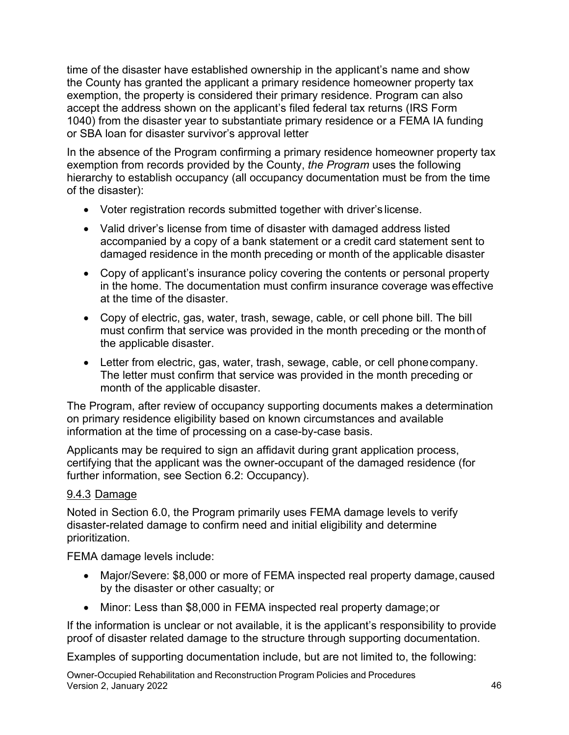time of the disaster have established ownership in the applicant's name and show the County has granted the applicant a primary residence homeowner property tax exemption, the property is considered their primary residence. Program can also accept the address shown on the applicant's filed federal tax returns (IRS Form 1040) from the disaster year to substantiate primary residence or a FEMA IA funding or SBA loan for disaster survivor's approval letter

In the absence of the Program confirming a primary residence homeowner property tax exemption from records provided by the County, *the Program* uses the following hierarchy to establish occupancy (all occupancy documentation must be from the time of the disaster):

- Voter registration records submitted together with driver's license.
- damaged residence in the month preceding or month of the applicable disaster • Valid driver's license from time of disaster with damaged address listed accompanied by a copy of a bank statement or a credit card statement sent to
- at the time of the disaster. • Copy of applicant's insurance policy covering the contents or personal property in the home. The documentation must confirm insurance coverage was effective
- Copy of electric, gas, water, trash, sewage, cable, or cell phone bill. The bill must confirm that service was provided in the month preceding or the month of the applicable disaster.
- Letter from electric, gas, water, trash, sewage, cable, or cell phonecompany. The letter must confirm that service was provided in the month preceding or month of the applicable disaster.

The Program, after review of occupancy supporting documents makes a determination on primary residence eligibility based on known circumstances and available information at the time of processing on a case-by-case basis.

Applicants may be required to sign an affidavit during grant application process, certifying that the applicant was the owner-occupant of the damaged residence (for further information, see Section 6.2: Occupancy).

# 9.4.3 Damage

Noted in Section 6.0, the Program primarily uses FEMA damage levels to verify disaster-related damage to confirm need and initial eligibility and determine prioritization.

FEMA damage levels include:

- Major/Severe: \$8,000 or more of FEMA inspected real property damage, caused by the disaster or other casualty; or
- Minor: Less than \$8,000 in FEMA inspected real property damage;or

If the information is unclear or not available, it is the applicant's responsibility to provide proof of disaster related damage to the structure through supporting documentation.

Examples of supporting documentation include, but are not limited to, the following: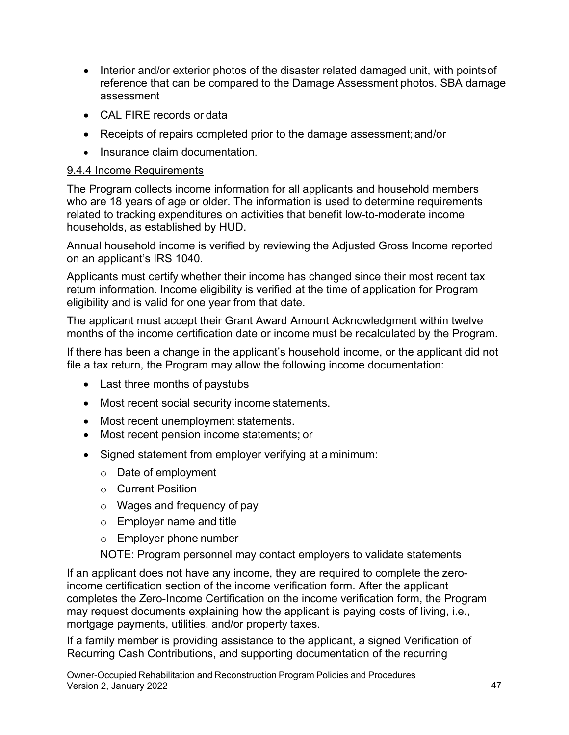- reference that can be compared to the Damage Assessment photos. SBA damage • Interior and/or exterior photos of the disaster related damaged unit, with points of assessment
- CAL FIRE records or data
- Receipts of repairs completed prior to the damage assessment; and/or
- Insurance claim documentation.

# 9.4.4 Income Requirements

The Program collects income information for all applicants and household members who are 18 years of age or older. The information is used to determine requirements related to tracking expenditures on activities that benefit low-to-moderate income households, as established by HUD.

Annual household income is verified by reviewing the Adjusted Gross Income reported on an applicant's IRS 1040.

 Applicants must certify whether their income has changed since their most recent tax return information. Income eligibility is verified at the time of application for Program eligibility and is valid for one year from that date.

The applicant must accept their Grant Award Amount Acknowledgment within twelve months of the income certification date or income must be recalculated by the Program.

If there has been a change in the applicant's household income, or the applicant did not file a tax return, the Program may allow the following income documentation:

- Last three months of paystubs
- Most recent social security income statements.
- Most recent unemployment statements.
- Most recent pension income statements; or
- Signed statement from employer verifying at a minimum:
	- $\circ$  Date of employment
	- o Current Position
	- $\circ$  Wages and frequency of pay
	- $\circ$  Employer name and title
	- o Employer phone number

NOTE: Program personnel may contact employers to validate statements

If an applicant does not have any income, they are required to complete the zeroincome certification section of the income verification form. After the applicant completes the Zero-Income Certification on the income verification form, the Program may request documents explaining how the applicant is paying costs of living, i.e., mortgage payments, utilities, and/or property taxes.

 If a family member is providing assistance to the applicant, a signed Verification of Recurring Cash Contributions, and supporting documentation of the recurring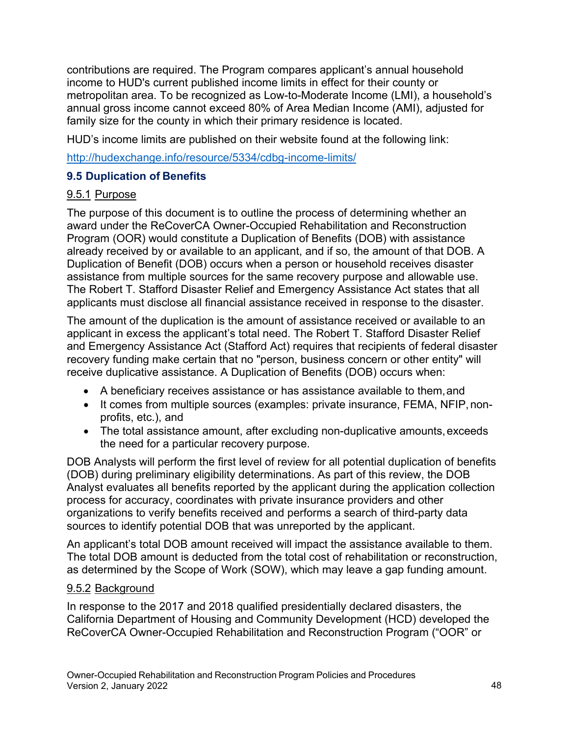income to HUD's current published income limits in effect for their county or contributions are required. The Program compares applicant's annual household metropolitan area. To be recognized as Low-to-Moderate Income (LMI), a household's annual gross income cannot exceed 80% of Area Median Income (AMI), adjusted for family size for the county in which their primary residence is located.

HUD's income limits are published on their website found at the following link:

<http://hudexchange.info/resource/5334/cdbg-income-limits/>

# **9.5 Duplication of Benefits**

# 9.5.1 Purpose

 The Robert T. Stafford Disaster Relief and Emergency Assistance Act states that all The purpose of this document is to outline the process of determining whether an award under the ReCoverCA Owner-Occupied Rehabilitation and Reconstruction Program (OOR) would constitute a Duplication of Benefits (DOB) with assistance already received by or available to an applicant, and if so, the amount of that DOB. A Duplication of Benefit (DOB) occurs when a person or household receives disaster assistance from multiple sources for the same recovery purpose and allowable use. applicants must disclose all financial assistance received in response to the disaster.

The amount of the duplication is the amount of assistance received or available to an applicant in excess the applicant's total need. The Robert T. Stafford Disaster Relief and Emergency Assistance Act (Stafford Act) requires that recipients of federal disaster recovery funding make certain that no "person, business concern or other entity" will receive duplicative assistance. A Duplication of Benefits (DOB) occurs when:

- A beneficiary receives assistance or has assistance available to them,and
- • It comes from multiple sources (examples: private insurance, FEMA, NFIP, nonprofits, etc.), and
- The total assistance amount, after excluding non-duplicative amounts,exceeds the need for a particular recovery purpose.

 (DOB) during preliminary eligibility determinations. As part of this review, the DOB DOB Analysts will perform the first level of review for all potential duplication of benefits Analyst evaluates all benefits reported by the applicant during the application collection process for accuracy, coordinates with private insurance providers and other organizations to verify benefits received and performs a search of third-party data sources to identify potential DOB that was unreported by the applicant.

An applicant's total DOB amount received will impact the assistance available to them. The total DOB amount is deducted from the total cost of rehabilitation or reconstruction, as determined by the Scope of Work (SOW), which may leave a gap funding amount.

# 9.5.2 Background

In response to the 2017 and 2018 qualified presidentially declared disasters, the California Department of Housing and Community Development (HCD) developed the ReCoverCA Owner-Occupied Rehabilitation and Reconstruction Program ("OOR" or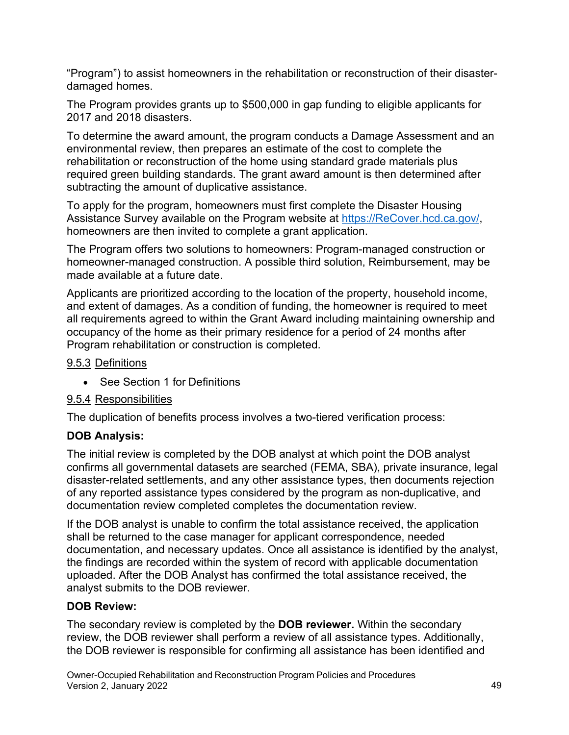"Program") to assist homeowners in the rehabilitation or reconstruction of their disasterdamaged homes.

The Program provides grants up to \$500,000 in gap funding to eligible applicants for 2017 and 2018 disasters.

 environmental review, then prepares an estimate of the cost to complete the To determine the award amount, the program conducts a Damage Assessment and an rehabilitation or reconstruction of the home using standard grade materials plus required green building standards. The grant award amount is then determined after subtracting the amount of duplicative assistance.

Assistance Survey available on the Program website at <u>https://ReCover.hcd.ca.gov/</u>, To apply for the program, homeowners must first complete the Disaster Housing homeowners are then invited to complete a grant application.

The Program offers two solutions to homeowners: Program-managed construction or homeowner-managed construction. A possible third solution, Reimbursement, may be made available at a future date.

Applicants are prioritized according to the location of the property, household income, and extent of damages. As a condition of funding, the homeowner is required to meet all requirements agreed to within the Grant Award including maintaining ownership and occupancy of the home as their primary residence for a period of 24 months after Program rehabilitation or construction is completed.

### 9.5.3 Definitions

• See Section 1 for Definitions

# 9.5.4 Responsibilities

The duplication of benefits process involves a two-tiered verification process:

# **DOB Analysis:**

The initial review is completed by the DOB analyst at which point the DOB analyst confirms all governmental datasets are searched (FEMA, SBA), private insurance, legal disaster-related settlements, and any other assistance types, then documents rejection of any reported assistance types considered by the program as non-duplicative, and documentation review completed completes the documentation review.

 If the DOB analyst is unable to confirm the total assistance received, the application shall be returned to the case manager for applicant correspondence, needed documentation, and necessary updates. Once all assistance is identified by the analyst, the findings are recorded within the system of record with applicable documentation uploaded. After the DOB Analyst has confirmed the total assistance received, the analyst submits to the DOB reviewer.

# **DOB Review:**

The secondary review is completed by the **DOB reviewer.** Within the secondary review, the DOB reviewer shall perform a review of all assistance types. Additionally, the DOB reviewer is responsible for confirming all assistance has been identified and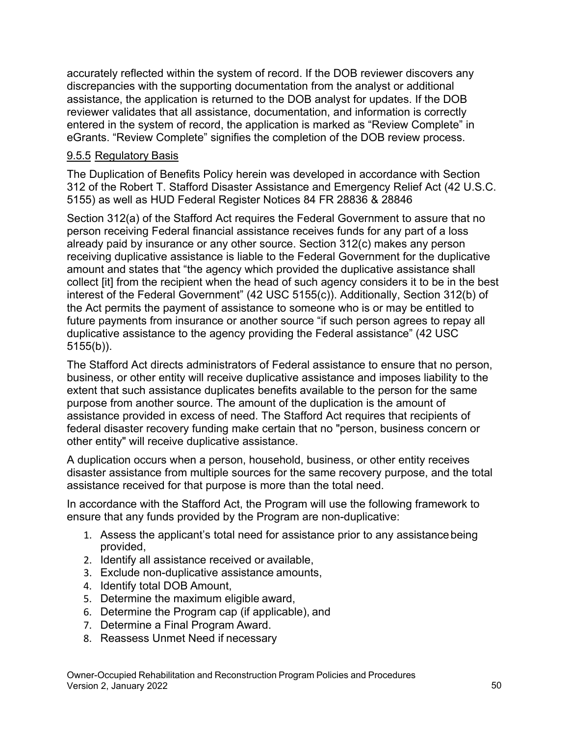accurately reflected within the system of record. If the DOB reviewer discovers any discrepancies with the supporting documentation from the analyst or additional assistance, the application is returned to the DOB analyst for updates. If the DOB reviewer validates that all assistance, documentation, and information is correctly entered in the system of record, the application is marked as "Review Complete" in eGrants. "Review Complete" signifies the completion of the DOB review process.

# 9.5.5 Regulatory Basis

The Duplication of Benefits Policy herein was developed in accordance with Section 312 of the Robert T. Stafford Disaster Assistance and Emergency Relief Act (42 U.S.C. 5155) as well as HUD Federal Register Notices 84 FR 28836 & 28846

Section 312(a) of the Stafford Act requires the Federal Government to assure that no person receiving Federal financial assistance receives funds for any part of a loss already paid by insurance or any other source. Section 312(c) makes any person receiving duplicative assistance is liable to the Federal Government for the duplicative amount and states that "the agency which provided the duplicative assistance shall collect [it] from the recipient when the head of such agency considers it to be in the best interest of the Federal Government" (42 USC 5155(c)). Additionally, Section 312(b) of the Act permits the payment of assistance to someone who is or may be entitled to future payments from insurance or another source "if such person agrees to repay all duplicative assistance to the agency providing the Federal assistance" (42 USC 5155(b)).

The Stafford Act directs administrators of Federal assistance to ensure that no person, business, or other entity will receive duplicative assistance and imposes liability to the extent that such assistance duplicates benefits available to the person for the same purpose from another source. The amount of the duplication is the amount of assistance provided in excess of need. The Stafford Act requires that recipients of federal disaster recovery funding make certain that no "person, business concern or other entity" will receive duplicative assistance.

A duplication occurs when a person, household, business, or other entity receives disaster assistance from multiple sources for the same recovery purpose, and the total assistance received for that purpose is more than the total need.

In accordance with the Stafford Act, the Program will use the following framework to ensure that any funds provided by the Program are non-duplicative:

- 1. Assess the applicant's total need for assistance prior to any assistancebeing provided,
- 2. Identify all assistance received or available,
- 3. Exclude non-duplicative assistance amounts,
- 4. Identify total DOB Amount,
- 5. Determine the maximum eligible award,
- 6. Determine the Program cap (if applicable), and
- 7. Determine a Final Program Award.
- 8. Reassess Unmet Need if necessary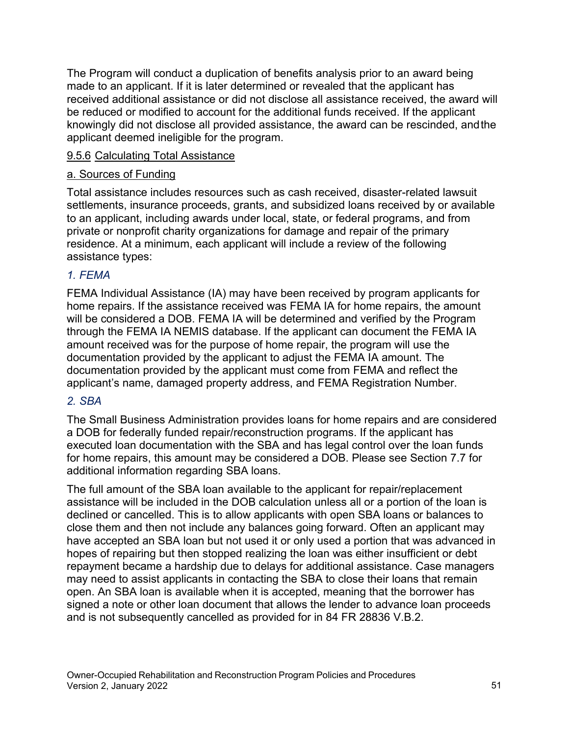applicant deemed ineligible for the program. The Program will conduct a duplication of benefits analysis prior to an award being made to an applicant. If it is later determined or revealed that the applicant has received additional assistance or did not disclose all assistance received, the award will be reduced or modified to account for the additional funds received. If the applicant knowingly did not disclose all provided assistance, the award can be rescinded, andthe

# 9.5.6 Calculating Total Assistance

#### a. Sources of Funding

Total assistance includes resources such as cash received, disaster-related lawsuit settlements, insurance proceeds, grants, and subsidized loans received by or available to an applicant, including awards under local, state, or federal programs, and from private or nonprofit charity organizations for damage and repair of the primary residence. At a minimum, each applicant will include a review of the following assistance types:

# *1. FEMA*

FEMA Individual Assistance (IA) may have been received by program applicants for home repairs. If the assistance received was FEMA IA for home repairs, the amount will be considered a DOB. FEMA IA will be determined and verified by the Program through the FEMA IA NEMIS database. If the applicant can document the FEMA IA amount received was for the purpose of home repair, the program will use the documentation provided by the applicant to adjust the FEMA IA amount. The documentation provided by the applicant must come from FEMA and reflect the applicant's name, damaged property address, and FEMA Registration Number.

#### *2. SBA*

 additional information regarding SBA loans. The Small Business Administration provides loans for home repairs and are considered a DOB for federally funded repair/reconstruction programs. If the applicant has executed loan documentation with the SBA and has legal control over the loan funds for home repairs, this amount may be considered a DOB. Please see Section 7.7 for

The full amount of the SBA loan available to the applicant for repair/replacement assistance will be included in the DOB calculation unless all or a portion of the loan is declined or cancelled. This is to allow applicants with open SBA loans or balances to close them and then not include any balances going forward. Often an applicant may have accepted an SBA loan but not used it or only used a portion that was advanced in hopes of repairing but then stopped realizing the loan was either insufficient or debt repayment became a hardship due to delays for additional assistance. Case managers may need to assist applicants in contacting the SBA to close their loans that remain open. An SBA loan is available when it is accepted, meaning that the borrower has signed a note or other loan document that allows the lender to advance loan proceeds and is not subsequently cancelled as provided for in 84 FR 28836 V.B.2.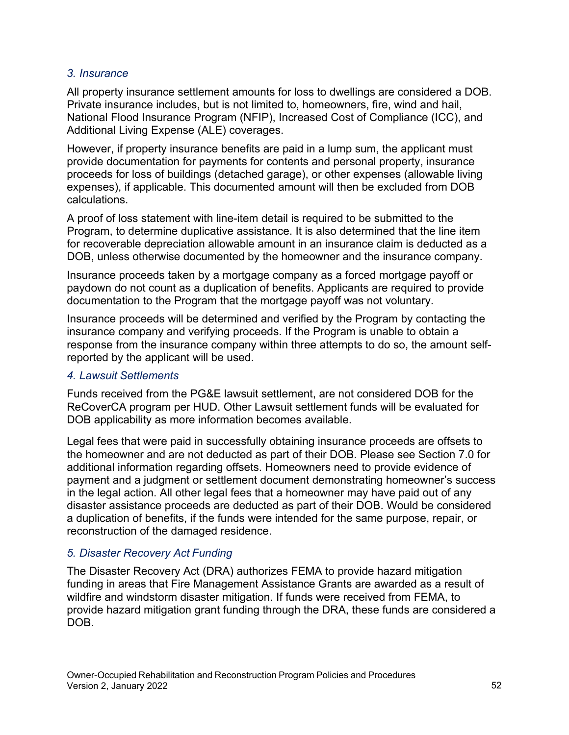# *3. Insurance*

All property insurance settlement amounts for loss to dwellings are considered a DOB. Private insurance includes, but is not limited to, homeowners, fire, wind and hail, National Flood Insurance Program (NFIP), Increased Cost of Compliance (ICC), and Additional Living Expense (ALE) coverages.

 expenses), if applicable. This documented amount will then be excluded from DOB However, if property insurance benefits are paid in a lump sum, the applicant must provide documentation for payments for contents and personal property, insurance proceeds for loss of buildings (detached garage), or other expenses (allowable living calculations.

A proof of loss statement with line-item detail is required to be submitted to the Program, to determine duplicative assistance. It is also determined that the line item for recoverable depreciation allowable amount in an insurance claim is deducted as a DOB, unless otherwise documented by the homeowner and the insurance company.

Insurance proceeds taken by a mortgage company as a forced mortgage payoff or paydown do not count as a duplication of benefits. Applicants are required to provide documentation to the Program that the mortgage payoff was not voluntary.

Insurance proceeds will be determined and verified by the Program by contacting the insurance company and verifying proceeds. If the Program is unable to obtain a response from the insurance company within three attempts to do so, the amount selfreported by the applicant will be used.

### *4. Lawsuit Settlements*

Funds received from the PG&E lawsuit settlement, are not considered DOB for the ReCoverCA program per HUD. Other Lawsuit settlement funds will be evaluated for DOB applicability as more information becomes available.

 in the legal action. All other legal fees that a homeowner may have paid out of any Legal fees that were paid in successfully obtaining insurance proceeds are offsets to the homeowner and are not deducted as part of their DOB. Please see Section 7.0 for additional information regarding offsets. Homeowners need to provide evidence of payment and a judgment or settlement document demonstrating homeowner's success disaster assistance proceeds are deducted as part of their DOB. Would be considered a duplication of benefits, if the funds were intended for the same purpose, repair, or reconstruction of the damaged residence.

# *5. Disaster Recovery Act Funding*

The Disaster Recovery Act (DRA) authorizes FEMA to provide hazard mitigation funding in areas that Fire Management Assistance Grants are awarded as a result of wildfire and windstorm disaster mitigation. If funds were received from FEMA, to provide hazard mitigation grant funding through the DRA, these funds are considered a DOB.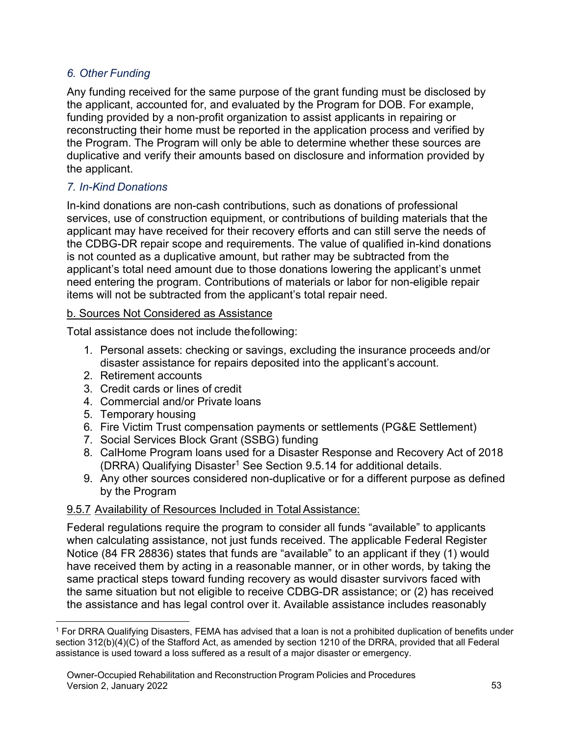# *6. Other Funding*

Any funding received for the same purpose of the grant funding must be disclosed by the applicant, accounted for, and evaluated by the Program for DOB. For example, funding provided by a non-profit organization to assist applicants in repairing or reconstructing their home must be reported in the application process and verified by the Program. The Program will only be able to determine whether these sources are duplicative and verify their amounts based on disclosure and information provided by the applicant.

# *7. In-Kind Donations*

 In-kind donations are non-cash contributions, such as donations of professional is not counted as a duplicative amount, but rather may be subtracted from the services, use of construction equipment, or contributions of building materials that the applicant may have received for their recovery efforts and can still serve the needs of the CDBG-DR repair scope and requirements. The value of qualified in-kind donations applicant's total need amount due to those donations lowering the applicant's unmet need entering the program. Contributions of materials or labor for non-eligible repair items will not be subtracted from the applicant's total repair need.

# b. Sources Not Considered as Assistance

Total assistance does not include thefollowing:

- 1. Personal assets: checking or savings, excluding the insurance proceeds and/or disaster assistance for repairs deposited into the applicant's account.
- 2. Retirement accounts
- 3. Credit cards or lines of credit
- 4. Commercial and/or Private loans
- 5. Temporary housing
- 6. Fire Victim Trust compensation payments or settlements (PG&E Settlement)
- 7. Social Services Block Grant (SSBG) funding
- 8. CalHome Program loans used for a Disaster Response and Recovery Act of 2018 (DRRA) Qualifying Disaster<sup>[1](#page-52-0)</sup> See Section 9.5.14 for additional details.
- 9. Any other sources considered non-duplicative or for a different purpose as defined by the Program

# 9.5.7 Availability of Resources Included in Total Assistance:

 when calculating assistance, not just funds received. The applicable Federal Register Federal regulations require the program to consider all funds "available" to applicants Notice (84 FR 28836) states that funds are "available" to an applicant if they (1) would have received them by acting in a reasonable manner, or in other words, by taking the same practical steps toward funding recovery as would disaster survivors faced with the same situation but not eligible to receive CDBG-DR assistance; or (2) has received the assistance and has legal control over it. Available assistance includes reasonably

<span id="page-52-0"></span> $^1$  For DRRA Qualifying Disasters, FEMA has advised that a loan is not a prohibited duplication of benefits under section 312(b)(4)(C) of the Stafford Act, as amended by section 1210 of the DRRA, provided that all Federal assistance is used toward a loss suffered as a result of a major disaster or emergency.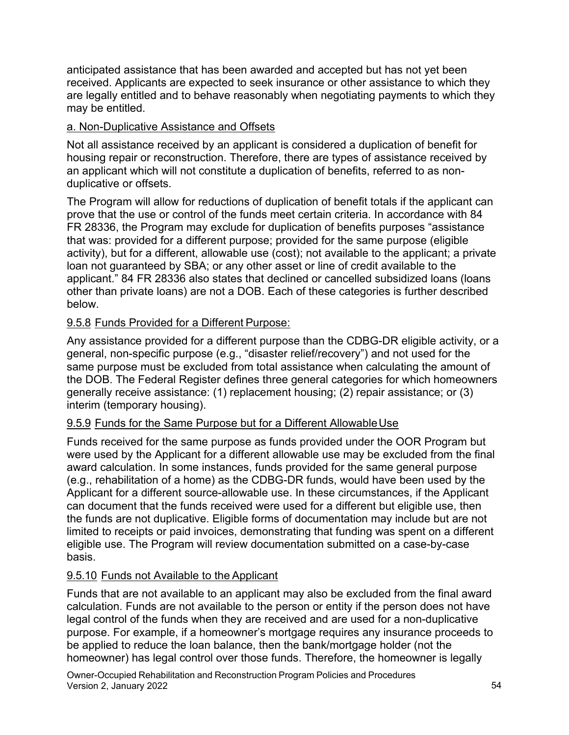anticipated assistance that has been awarded and accepted but has not yet been received. Applicants are expected to seek insurance or other assistance to which they are legally entitled and to behave reasonably when negotiating payments to which they may be entitled.

# a. Non-Duplicative Assistance and Offsets

 housing repair or reconstruction. Therefore, there are types of assistance received by Not all assistance received by an applicant is considered a duplication of benefit for an applicant which will not constitute a duplication of benefits, referred to as nonduplicative or offsets.

 that was: provided for a different purpose; provided for the same purpose (eligible The Program will allow for reductions of duplication of benefit totals if the applicant can prove that the use or control of the funds meet certain criteria. In accordance with 84 FR 28336, the Program may exclude for duplication of benefits purposes "assistance activity), but for a different, allowable use (cost); not available to the applicant; a private loan not guaranteed by SBA; or any other asset or line of credit available to the applicant." 84 FR 28336 also states that declined or cancelled subsidized loans (loans other than private loans) are not a DOB. Each of these categories is further described below.

# 9.5.8 Funds Provided for a Different Purpose:

 general, non-specific purpose (e.g., "disaster relief/recovery") and not used for the generally receive assistance: (1) replacement housing; (2) repair assistance; or (3) interim (temporary housing). Any assistance provided for a different purpose than the CDBG-DR eligible activity, or a same purpose must be excluded from total assistance when calculating the amount of the DOB. The Federal Register defines three general categories for which homeowners

# <u>9.5.9 Funds for the Same Purpose but for a Different Allowable Use</u>

Funds received for the same purpose as funds provided under the OOR Program but were used by the Applicant for a different allowable use may be excluded from the final award calculation. In some instances, funds provided for the same general purpose (e.g., rehabilitation of a home) as the CDBG-DR funds, would have been used by the Applicant for a different source-allowable use. In these circumstances, if the Applicant can document that the funds received were used for a different but eligible use, then the funds are not duplicative. Eligible forms of documentation may include but are not limited to receipts or paid invoices, demonstrating that funding was spent on a different eligible use. The Program will review documentation submitted on a case-by-case basis.

### 9.5.10 Funds not Available to the Applicant

Funds that are not available to an applicant may also be excluded from the final award calculation. Funds are not available to the person or entity if the person does not have legal control of the funds when they are received and are used for a non-duplicative purpose. For example, if a homeowner's mortgage requires any insurance proceeds to be applied to reduce the loan balance, then the bank/mortgage holder (not the homeowner) has legal control over those funds. Therefore, the homeowner is legally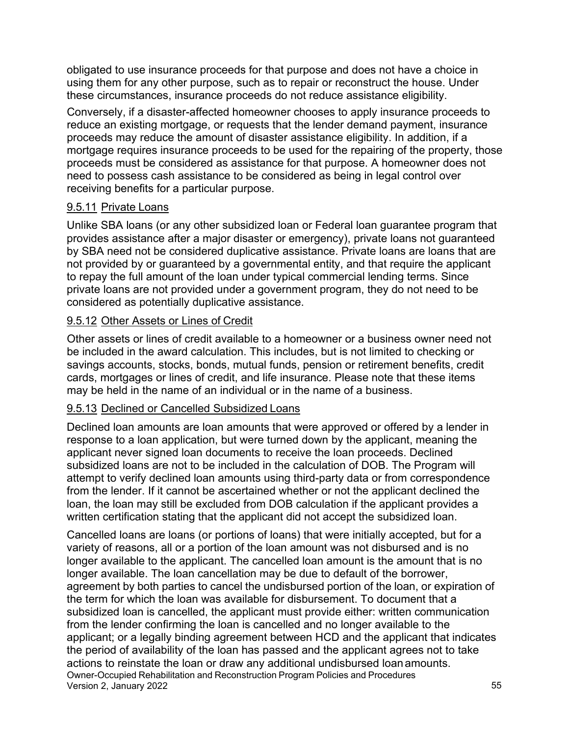obligated to use insurance proceeds for that purpose and does not have a choice in using them for any other purpose, such as to repair or reconstruct the house. Under these circumstances, insurance proceeds do not reduce assistance eligibility.

Conversely, if a disaster-affected homeowner chooses to apply insurance proceeds to reduce an existing mortgage, or requests that the lender demand payment, insurance proceeds may reduce the amount of disaster assistance eligibility. In addition, if a mortgage requires insurance proceeds to be used for the repairing of the property, those proceeds must be considered as assistance for that purpose. A homeowner does not need to possess cash assistance to be considered as being in legal control over receiving benefits for a particular purpose.

#### <u>9.5.11</u> Private Loans

 provides assistance after a major disaster or emergency), private loans not guaranteed Unlike SBA loans (or any other subsidized loan or Federal loan guarantee program that by SBA need not be considered duplicative assistance. Private loans are loans that are not provided by or guaranteed by a governmental entity, and that require the applicant to repay the full amount of the loan under typical commercial lending terms. Since private loans are not provided under a government program, they do not need to be considered as potentially duplicative assistance.

#### 9.5.12 Other Assets or Lines of Credit

Other assets or lines of credit available to a homeowner or a business owner need not be included in the award calculation. This includes, but is not limited to checking or savings accounts, stocks, bonds, mutual funds, pension or retirement benefits, credit cards, mortgages or lines of credit, and life insurance. Please note that these items may be held in the name of an individual or in the name of a business.

#### 9.5.13 Declined or Cancelled Subsidized Loans

Declined loan amounts are loan amounts that were approved or offered by a lender in response to a loan application, but were turned down by the applicant, meaning the applicant never signed loan documents to receive the loan proceeds. Declined subsidized loans are not to be included in the calculation of DOB. The Program will attempt to verify declined loan amounts using third-party data or from correspondence from the lender. If it cannot be ascertained whether or not the applicant declined the loan, the loan may still be excluded from DOB calculation if the applicant provides a written certification stating that the applicant did not accept the subsidized loan.

 agreement by both parties to cancel the undisbursed portion of the loan, or expiration of applicant; or a legally binding agreement between HCD and the applicant that indicates actions to reinstate the loan or draw any additional undisbursed loan amounts. Cancelled loans are loans (or portions of loans) that were initially accepted, but for a variety of reasons, all or a portion of the loan amount was not disbursed and is no longer available to the applicant. The cancelled loan amount is the amount that is no longer available. The loan cancellation may be due to default of the borrower, the term for which the loan was available for disbursement. To document that a subsidized loan is cancelled, the applicant must provide either: written communication from the lender confirming the loan is cancelled and no longer available to the the period of availability of the loan has passed and the applicant agrees not to take Owner-Occupied Rehabilitation and Reconstruction Program Policies and Procedures Version 2, January 2022 55 and the state of the state of the state of the state of the state of the state of the state of the state of the state of the state of the state of the state of the state of the state of the state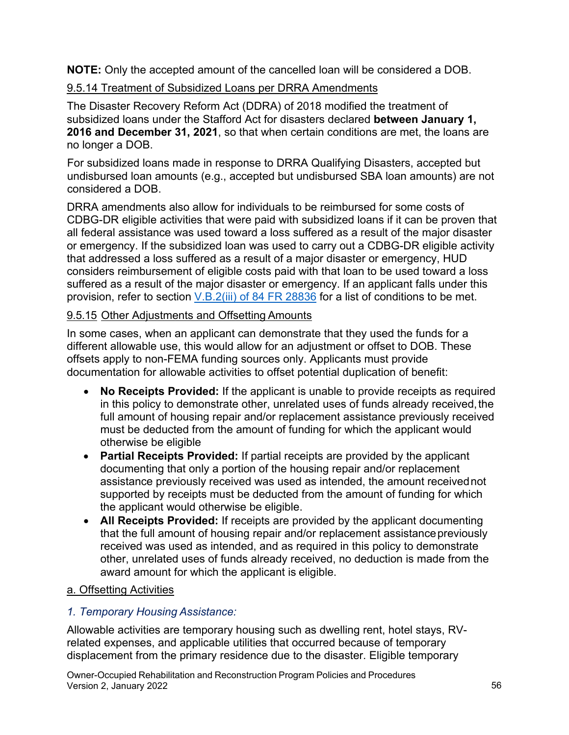**NOTE:** Only the accepted amount of the cancelled loan will be considered a DOB.

# 9.5.14 Treatment of Subsidized Loans per DRRA Amendments

The Disaster Recovery Reform Act (DDRA) of 2018 modified the treatment of subsidized loans under the Stafford Act for disasters declared **between January 1, 2016 and December 31, 2021**, so that when certain conditions are met, the loans are no longer a DOB.

For subsidized loans made in response to DRRA Qualifying Disasters, accepted but undisbursed loan amounts (e.g., accepted but undisbursed SBA loan amounts) are not considered a DOB.

DRRA amendments also allow for individuals to be reimbursed for some costs of CDBG-DR eligible activities that were paid with subsidized loans if it can be proven that all federal assistance was used toward a loss suffered as a result of the major disaster or emergency. If the subsidized loan was used to carry out a CDBG-DR eligible activity that addressed a loss suffered as a result of a major disaster or emergency, HUD considers reimbursement of eligible costs paid with that loan to be used toward a loss suffered as a result of the major disaster or emergency. If an applicant falls under this provision, refer to section [V.B.2\(iii\) of 84 FR 28836 f](https://www.govinfo.gov/content/pkg/FR-2019-06-20/pdf/2019-13147.pdf)or a list of conditions to be met.

# 9.5.15 Other Adjustments and Offsetting Amounts

In some cases, when an applicant can demonstrate that they used the funds for a different allowable use, this would allow for an adjustment or offset to DOB. These offsets apply to non-FEMA funding sources only. Applicants must provide documentation for allowable activities to offset potential duplication of benefit:

- otherwise be eligible • **No Receipts Provided:** If the applicant is unable to provide receipts as required in this policy to demonstrate other, unrelated uses of funds already received, the full amount of housing repair and/or replacement assistance previously received must be deducted from the amount of funding for which the applicant would
- the applicant would otherwise be eligible. • **Partial Receipts Provided:** If partial receipts are provided by the applicant documenting that only a portion of the housing repair and/or replacement assistance previously received was used as intended, the amount receivednot supported by receipts must be deducted from the amount of funding for which
- award amount for which the applicant is eligible. • **All Receipts Provided:** If receipts are provided by the applicant documenting that the full amount of housing repair and/or replacement assistancepreviously received was used as intended, and as required in this policy to demonstrate other, unrelated uses of funds already received, no deduction is made from the

# a. Offsetting Activities

# *1. Temporary Housing Assistance:*

Allowable activities are temporary housing such as dwelling rent, hotel stays, RVrelated expenses, and applicable utilities that occurred because of temporary displacement from the primary residence due to the disaster. Eligible temporary

Owner-Occupied Rehabilitation and Reconstruction Program Policies and Procedures Version 2, January 2022 56 and the state of the state of the state of the state of the state of the state of the state of the state of the state of the state of the state of the state of the state of the state of the state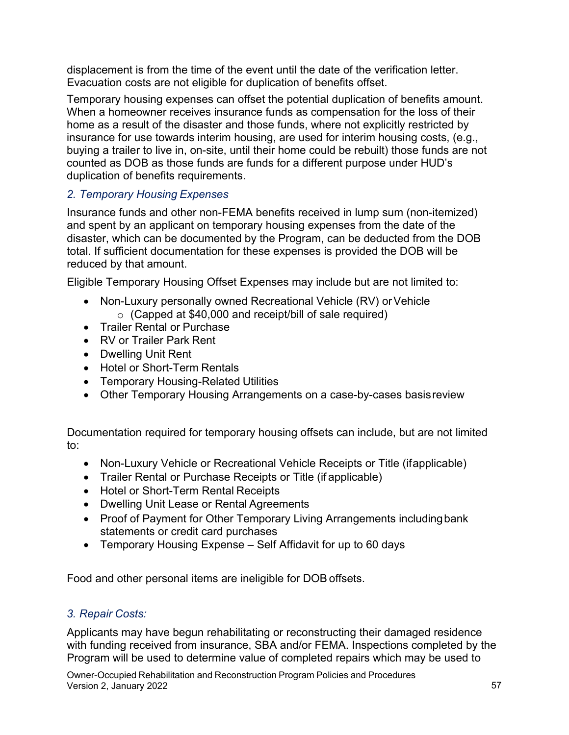displacement is from the time of the event until the date of the verification letter. Evacuation costs are not eligible for duplication of benefits offset.

Temporary housing expenses can offset the potential duplication of benefits amount. When a homeowner receives insurance funds as compensation for the loss of their home as a result of the disaster and those funds, where not explicitly restricted by insurance for use towards interim housing, are used for interim housing costs, (e.g., buying a trailer to live in, on-site, until their home could be rebuilt) those funds are not counted as DOB as those funds are funds for a different purpose under HUD's duplication of benefits requirements.

# *2. Temporary Housing Expenses*

Insurance funds and other non-FEMA benefits received in lump sum (non-itemized) and spent by an applicant on temporary housing expenses from the date of the disaster, which can be documented by the Program, can be deducted from the DOB total. If sufficient documentation for these expenses is provided the DOB will be reduced by that amount.

Eligible Temporary Housing Offset Expenses may include but are not limited to:

- • Non-Luxury personally owned Recreational Vehicle (RV) or Vehicle  $\circ$  (Capped at \$40,000 and receipt/bill of sale required)
- Trailer Rental or Purchase
- RV or Trailer Park Rent
- Dwelling Unit Rent
- Hotel or Short-Term Rentals
- Temporary Housing-Related Utilities
- Other Temporary Housing Arrangements on a case-by-cases basisreview

Documentation required for temporary housing offsets can include, but are not limited to:

- Non-Luxury Vehicle or Recreational Vehicle Receipts or Title (ifapplicable)
- Trailer Rental or Purchase Receipts or Title (if applicable)
- Hotel or Short-Term Rental Receipts
- Dwelling Unit Lease or Rental Agreements
- • Proof of Payment for Other Temporary Living Arrangements includingbank statements or credit card purchases
- Temporary Housing Expense Self Affidavit for up to 60 days

Food and other personal items are ineligible for DOB offsets.

# *3. Repair Costs:*

Applicants may have begun rehabilitating or reconstructing their damaged residence with funding received from insurance, SBA and/or FEMA. Inspections completed by the Program will be used to determine value of completed repairs which may be used to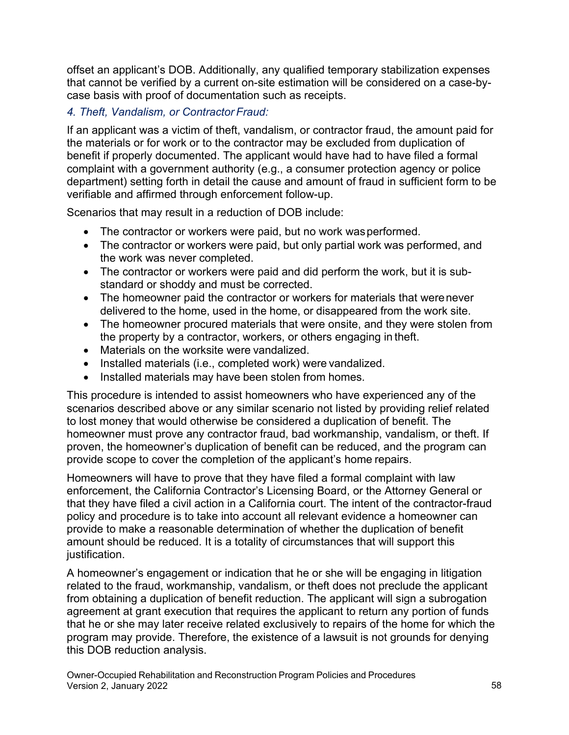offset an applicant's DOB. Additionally, any qualified temporary stabilization expenses that cannot be verified by a current on-site estimation will be considered on a case-bycase basis with proof of documentation such as receipts.

# *4. Theft, Vandalism, or Contractor Fraud:*

If an applicant was a victim of theft, vandalism, or contractor fraud, the amount paid for the materials or for work or to the contractor may be excluded from duplication of benefit if properly documented. The applicant would have had to have filed a formal complaint with a government authority (e.g., a consumer protection agency or police department) setting forth in detail the cause and amount of fraud in sufficient form to be verifiable and affirmed through enforcement follow-up.

Scenarios that may result in a reduction of DOB include:

- The contractor or workers were paid, but no work wasperformed.
- • The contractor or workers were paid, but only partial work was performed, and the work was never completed.
- standard or shoddy and must be corrected. • The contractor or workers were paid and did perform the work, but it is sub-
- delivered to the home, used in the home, or disappeared from the work site. • The homeowner paid the contractor or workers for materials that werenever
- the property by a contractor, workers, or others engaging in theft. • The homeowner procured materials that were onsite, and they were stolen from
- Materials on the worksite were vandalized.
- Installed materials (i.e., completed work) were vandalized.
- $\bullet$ Installed materials may have been stolen from homes.

 provide scope to cover the completion of the applicant's home repairs. This procedure is intended to assist homeowners who have experienced any of the scenarios described above or any similar scenario not listed by providing relief related to lost money that would otherwise be considered a duplication of benefit. The homeowner must prove any contractor fraud, bad workmanship, vandalism, or theft. If proven, the homeowner's duplication of benefit can be reduced, and the program can

Homeowners will have to prove that they have filed a formal complaint with law enforcement, the California Contractor's Licensing Board, or the Attorney General or that they have filed a civil action in a California court. The intent of the contractor-fraud policy and procedure is to take into account all relevant evidence a homeowner can provide to make a reasonable determination of whether the duplication of benefit amount should be reduced. It is a totality of circumstances that will support this justification.

A homeowner's engagement or indication that he or she will be engaging in litigation related to the fraud, workmanship, vandalism, or theft does not preclude the applicant from obtaining a duplication of benefit reduction. The applicant will sign a subrogation agreement at grant execution that requires the applicant to return any portion of funds that he or she may later receive related exclusively to repairs of the home for which the program may provide. Therefore, the existence of a lawsuit is not grounds for denying this DOB reduction analysis.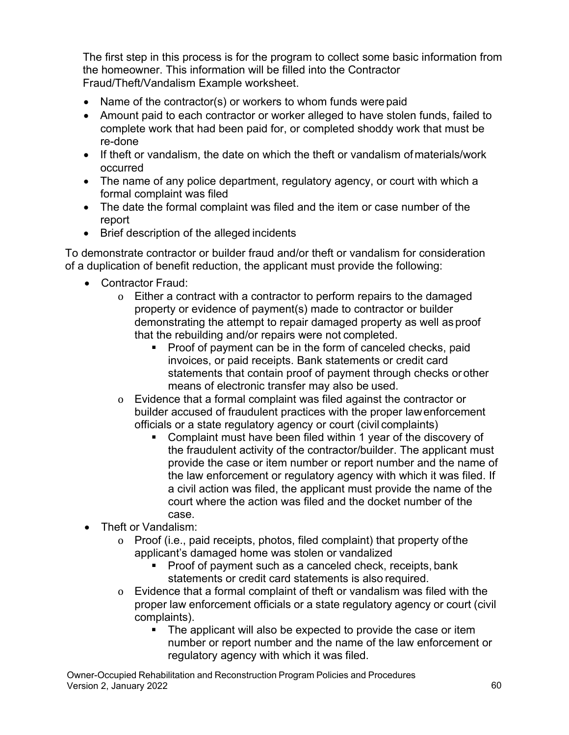The first step in this process is for the program to collect some basic information from the homeowner. This information will be filled into the Contractor Fraud/Theft/Vandalism Example worksheet.

- Name of the contractor(s) or workers to whom funds were paid
- Amount paid to each contractor or worker alleged to have stolen funds, failed to complete work that had been paid for, or completed shoddy work that must be re-done
- If theft or vandalism, the date on which the theft or vandalism ofmaterials/work occurred
- The name of any police department, regulatory agency, or court with which a formal complaint was filed
- • The date the formal complaint was filed and the item or case number of the report
- Brief description of the alleged incidents

 To demonstrate contractor or builder fraud and/or theft or vandalism for consideration of a duplication of benefit reduction, the applicant must provide the following:

- Contractor Fraud:
	- property or evidence of payment(s) made to contractor or builder o Either a contract with a contractor to perform repairs to the damaged demonstrating the attempt to repair damaged property as well as proof that the rebuilding and/or repairs were not completed.
		- invoices, or paid receipts. Bank statements or credit card **Proof of payment can be in the form of canceled checks, paid** statements that contain proof of payment through checks or other means of electronic transfer may also be used.
	- o Evidence that a formal complaint was filed against the contractor or builder accused of fraudulent practices with the proper lawenforcement officials or a state regulatory agency or court (civil complaints)
		- Complaint must have been filed within 1 year of the discovery of the fraudulent activity of the contractor/builder. The applicant must provide the case or item number or report number and the name of the law enforcement or regulatory agency with which it was filed. If a civil action was filed, the applicant must provide the name of the court where the action was filed and the docket number of the case.
- Theft or Vandalism:
	- applicant's damaged home was stolen or vandalized o Proof (i.e., paid receipts, photos, filed complaint) that property ofthe
		- statements or credit card statements is also required. Proof of payment such as a canceled check, receipts, bank
	- o Evidence that a formal complaint of theft or vandalism was filed with the proper law enforcement officials or a state regulatory agency or court (civil complaints).
		- The applicant will also be expected to provide the case or item number or report number and the name of the law enforcement or regulatory agency with which it was filed.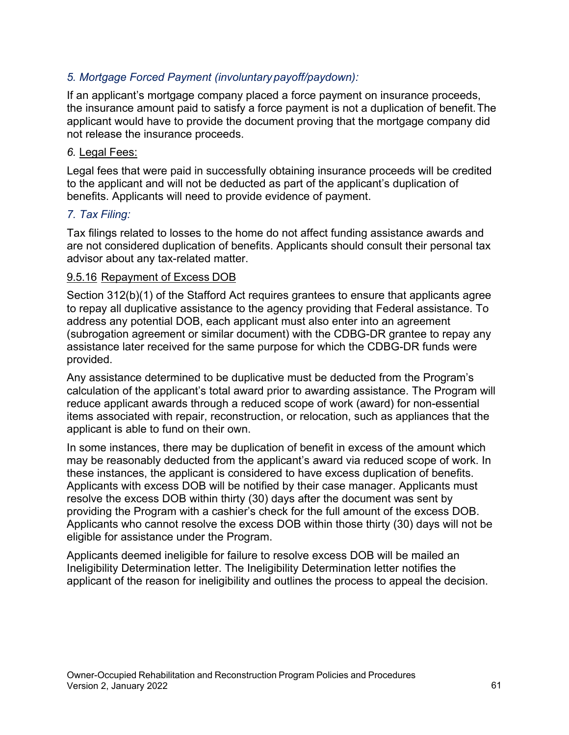# *5. Mortgage Forced Payment (involuntary payoff/paydown):*

 not release the insurance proceeds. If an applicant's mortgage company placed a force payment on insurance proceeds, the insurance amount paid to satisfy a force payment is not a duplication of benefit.The applicant would have to provide the document proving that the mortgage company did

#### *6.* Legal Fees:

Legal fees that were paid in successfully obtaining insurance proceeds will be credited to the applicant and will not be deducted as part of the applicant's duplication of benefits. Applicants will need to provide evidence of payment.

#### *7. Tax Filing:*

Tax filings related to losses to the home do not affect funding assistance awards and are not considered duplication of benefits. Applicants should consult their personal tax advisor about any tax-related matter.

#### 9.5.16 Repayment of Excess DOB

Section 312(b)(1) of the Stafford Act requires grantees to ensure that applicants agree to repay all duplicative assistance to the agency providing that Federal assistance. To address any potential DOB, each applicant must also enter into an agreement (subrogation agreement or similar document) with the CDBG-DR grantee to repay any assistance later received for the same purpose for which the CDBG-DR funds were provided.

 items associated with repair, reconstruction, or relocation, such as appliances that the Any assistance determined to be duplicative must be deducted from the Program's calculation of the applicant's total award prior to awarding assistance. The Program will reduce applicant awards through a reduced scope of work (award) for non-essential applicant is able to fund on their own.

 resolve the excess DOB within thirty (30) days after the document was sent by Applicants who cannot resolve the excess DOB within those thirty (30) days will not be In some instances, there may be duplication of benefit in excess of the amount which may be reasonably deducted from the applicant's award via reduced scope of work. In these instances, the applicant is considered to have excess duplication of benefits. Applicants with excess DOB will be notified by their case manager. Applicants must providing the Program with a cashier's check for the full amount of the excess DOB. eligible for assistance under the Program.

Applicants deemed ineligible for failure to resolve excess DOB will be mailed an Ineligibility Determination letter. The Ineligibility Determination letter notifies the applicant of the reason for ineligibility and outlines the process to appeal the decision.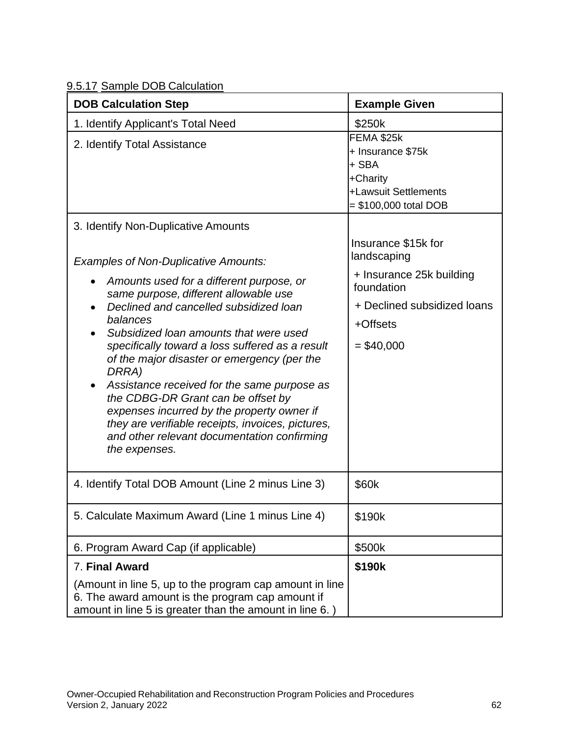| 9.5.17 Sample DOB Calculation |
|-------------------------------|
|-------------------------------|

| <b>DOB Calculation Step</b>                                                                                                                                                                                                                                                                                                                                                                                                                                                                                                                                                                                      | <b>Example Given</b>                                                                                                                    |
|------------------------------------------------------------------------------------------------------------------------------------------------------------------------------------------------------------------------------------------------------------------------------------------------------------------------------------------------------------------------------------------------------------------------------------------------------------------------------------------------------------------------------------------------------------------------------------------------------------------|-----------------------------------------------------------------------------------------------------------------------------------------|
| 1. Identify Applicant's Total Need                                                                                                                                                                                                                                                                                                                                                                                                                                                                                                                                                                               | \$250k                                                                                                                                  |
| 2. Identify Total Assistance                                                                                                                                                                                                                                                                                                                                                                                                                                                                                                                                                                                     | FEMA \$25k<br>+ Insurance \$75k<br>+ SBA<br>+Charity<br>+Lawsuit Settlements<br>= \$100,000 total DOB                                   |
| 3. Identify Non-Duplicative Amounts                                                                                                                                                                                                                                                                                                                                                                                                                                                                                                                                                                              |                                                                                                                                         |
| <b>Examples of Non-Duplicative Amounts:</b><br>Amounts used for a different purpose, or<br>$\bullet$<br>same purpose, different allowable use<br>Declined and cancelled subsidized loan<br>balances<br>Subsidized loan amounts that were used<br>specifically toward a loss suffered as a result<br>of the major disaster or emergency (per the<br>DRRA)<br>Assistance received for the same purpose as<br>the CDBG-DR Grant can be offset by<br>expenses incurred by the property owner if<br>they are verifiable receipts, invoices, pictures,<br>and other relevant documentation confirming<br>the expenses. | Insurance \$15k for<br>landscaping<br>+ Insurance 25k building<br>foundation<br>+ Declined subsidized loans<br>+Offsets<br>$=$ \$40,000 |
| 4. Identify Total DOB Amount (Line 2 minus Line 3)                                                                                                                                                                                                                                                                                                                                                                                                                                                                                                                                                               | \$60k                                                                                                                                   |
| 5. Calculate Maximum Award (Line 1 minus Line 4)                                                                                                                                                                                                                                                                                                                                                                                                                                                                                                                                                                 | \$190k                                                                                                                                  |
| 6. Program Award Cap (if applicable)                                                                                                                                                                                                                                                                                                                                                                                                                                                                                                                                                                             | \$500k                                                                                                                                  |
| 7. Final Award                                                                                                                                                                                                                                                                                                                                                                                                                                                                                                                                                                                                   | \$190k                                                                                                                                  |
| (Amount in line 5, up to the program cap amount in line<br>6. The award amount is the program cap amount if<br>amount in line 5 is greater than the amount in line 6.)                                                                                                                                                                                                                                                                                                                                                                                                                                           |                                                                                                                                         |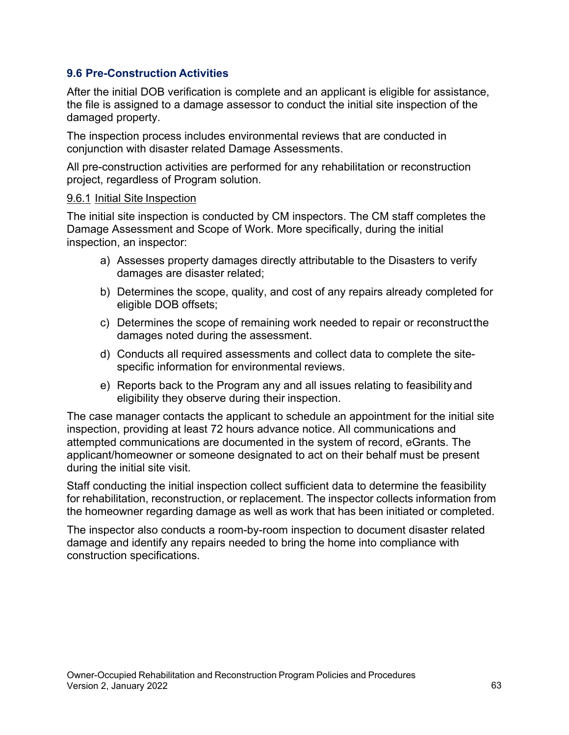#### **9.6 Pre-Construction Activities**

After the initial DOB verification is complete and an applicant is eligible for assistance, the file is assigned to a damage assessor to conduct the initial site inspection of the damaged property.

The inspection process includes environmental reviews that are conducted in conjunction with disaster related Damage Assessments.

All pre-construction activities are performed for any rehabilitation or reconstruction project, regardless of Program solution.

#### 9.6.1 Initial Site Inspection

The initial site inspection is conducted by CM inspectors. The CM staff completes the Damage Assessment and Scope of Work. More specifically, during the initial inspection, an inspector:

- a) Assesses property damages directly attributable to the Disasters to verify damages are disaster related;
- b) Determines the scope, quality, and cost of any repairs already completed for eligible DOB offsets;
- c) Determines the scope of remaining work needed to repair or reconstructthe damages noted during the assessment.
- d) Conducts all required assessments and collect data to complete the sitespecific information for environmental reviews.
- e) Reports back to the Program any and all issues relating to feasibilityand eligibility they observe during their inspection.

The case manager contacts the applicant to schedule an appointment for the initial site inspection, providing at least 72 hours advance notice. All communications and attempted communications are documented in the system of record, eGrants. The applicant/homeowner or someone designated to act on their behalf must be present during the initial site visit.

Staff conducting the initial inspection collect sufficient data to determine the feasibility for rehabilitation, reconstruction, or replacement. The inspector collects information from the homeowner regarding damage as well as work that has been initiated or completed.

The inspector also conducts a room-by-room inspection to document disaster related damage and identify any repairs needed to bring the home into compliance with construction specifications.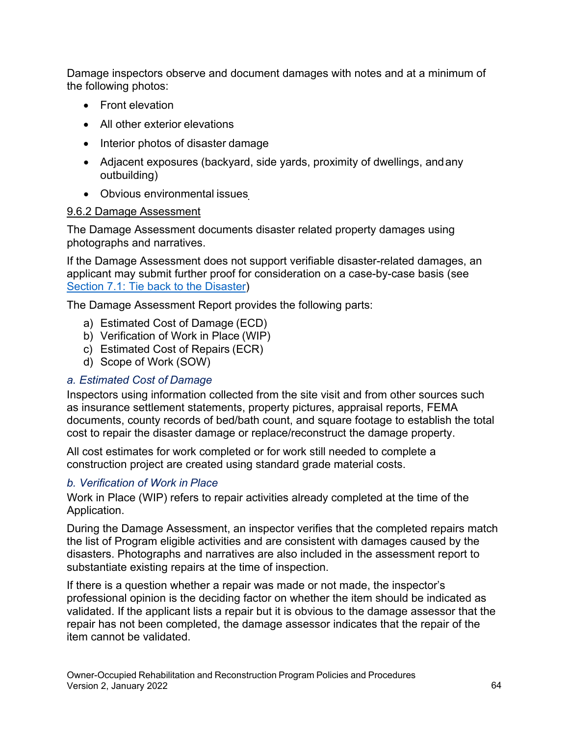Damage inspectors observe and document damages with notes and at a minimum of the following photos:

- Front elevation
- All other exterior elevations
- Interior photos of disaster damage
- Adjacent exposures (backyard, side yards, proximity of dwellings, andany outbuilding)
- Obvious environmental issues

# 9.6.2 Damage Assessment

The Damage Assessment documents disaster related property damages using photographs and narratives.

If the Damage Assessment does not support verifiable disaster-related damages, an applicant may submit further proof for consideration on a case-by-case basis (see Section 7.1: Tie back to the Disaster)

The Damage Assessment Report provides the following parts:

- a) Estimated Cost of Damage (ECD)
- b) Verification of Work in Place (WIP)
- c) Estimated Cost of Repairs (ECR)
- d) Scope of Work (SOW)

# *a. Estimated Cost of Damage*

Inspectors using information collected from the site visit and from other sources such as insurance settlement statements, property pictures, appraisal reports, FEMA documents, county records of bed/bath count, and square footage to establish the total cost to repair the disaster damage or replace/reconstruct the damage property.

All cost estimates for work completed or for work still needed to complete a construction project are created using standard grade material costs.

# *b. Verification of Work in Place*

Work in Place (WIP) refers to repair activities already completed at the time of the Application.

During the Damage Assessment, an inspector verifies that the completed repairs match the list of Program eligible activities and are consistent with damages caused by the disasters. Photographs and narratives are also included in the assessment report to substantiate existing repairs at the time of inspection.

If there is a question whether a repair was made or not made, the inspector's professional opinion is the deciding factor on whether the item should be indicated as validated. If the applicant lists a repair but it is obvious to the damage assessor that the repair has not been completed, the damage assessor indicates that the repair of the item cannot be validated.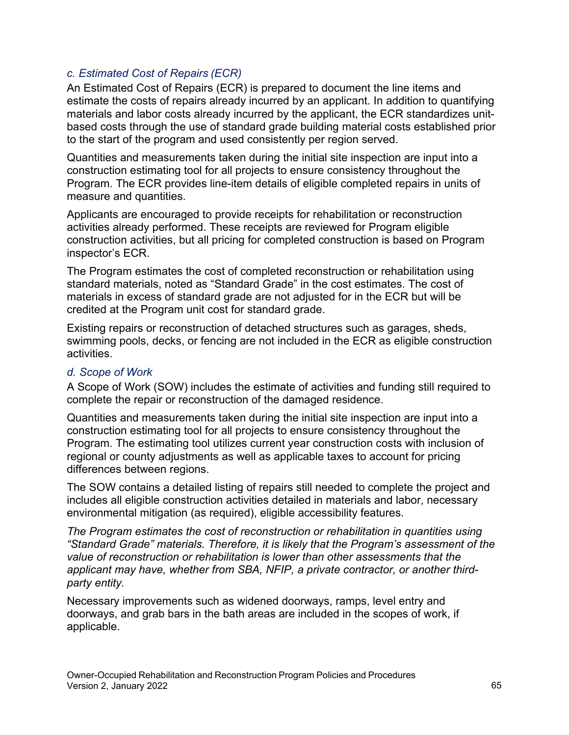# *c. Estimated Cost of Repairs (ECR)*

An Estimated Cost of Repairs (ECR) is prepared to document the line items and estimate the costs of repairs already incurred by an applicant. In addition to quantifying materials and labor costs already incurred by the applicant, the ECR standardizes unitbased costs through the use of standard grade building material costs established prior to the start of the program and used consistently per region served.

Quantities and measurements taken during the initial site inspection are input into a construction estimating tool for all projects to ensure consistency throughout the Program. The ECR provides line-item details of eligible completed repairs in units of measure and quantities.

Applicants are encouraged to provide receipts for rehabilitation or reconstruction activities already performed. These receipts are reviewed for Program eligible construction activities, but all pricing for completed construction is based on Program inspector's ECR.

The Program estimates the cost of completed reconstruction or rehabilitation using standard materials, noted as "Standard Grade" in the cost estimates. The cost of materials in excess of standard grade are not adjusted for in the ECR but will be credited at the Program unit cost for standard grade.

Existing repairs or reconstruction of detached structures such as garages, sheds, swimming pools, decks, or fencing are not included in the ECR as eligible construction activities.

# *d. Scope of Work*

A Scope of Work (SOW) includes the estimate of activities and funding still required to complete the repair or reconstruction of the damaged residence.

Quantities and measurements taken during the initial site inspection are input into a construction estimating tool for all projects to ensure consistency throughout the Program. The estimating tool utilizes current year construction costs with inclusion of regional or county adjustments as well as applicable taxes to account for pricing differences between regions.

The SOW contains a detailed listing of repairs still needed to complete the project and includes all eligible construction activities detailed in materials and labor, necessary environmental mitigation (as required), eligible accessibility features.

*The Program estimates the cost of reconstruction or rehabilitation in quantities using "Standard Grade" materials. Therefore, it is likely that the Program's assessment of the value of reconstruction or rehabilitation is lower than other assessments that the applicant may have, whether from SBA, NFIP, a private contractor, or another thirdparty entity.* 

Necessary improvements such as widened doorways, ramps, level entry and doorways, and grab bars in the bath areas are included in the scopes of work, if applicable.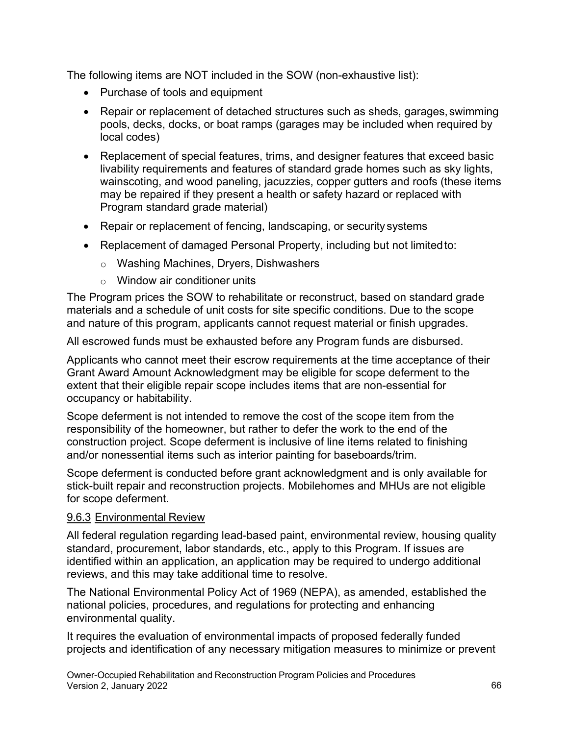The following items are NOT included in the SOW (non-exhaustive list):

- Purchase of tools and equipment
- Repair or replacement of detached structures such as sheds, garages, swimming pools, decks, docks, or boat ramps (garages may be included when required by local codes)
- Replacement of special features, trims, and designer features that exceed basic livability requirements and features of standard grade homes such as sky lights, wainscoting, and wood paneling, jacuzzies, copper gutters and roofs (these items may be repaired if they present a health or safety hazard or replaced with Program standard grade material)
- Repair or replacement of fencing, landscaping, or security systems
- Replacement of damaged Personal Property, including but not limited to:
	- o Washing Machines, Dryers, Dishwashers
	- $\circ$  Window air conditioner units

The Program prices the SOW to rehabilitate or reconstruct, based on standard grade materials and a schedule of unit costs for site specific conditions. Due to the scope and nature of this program, applicants cannot request material or finish upgrades.

All escrowed funds must be exhausted before any Program funds are disbursed.

Applicants who cannot meet their escrow requirements at the time acceptance of their Grant Award Amount Acknowledgment may be eligible for scope deferment to the extent that their eligible repair scope includes items that are non-essential for occupancy or habitability.

Scope deferment is not intended to remove the cost of the scope item from the responsibility of the homeowner, but rather to defer the work to the end of the construction project. Scope deferment is inclusive of line items related to finishing and/or nonessential items such as interior painting for baseboards/trim.

Scope deferment is conducted before grant acknowledgment and is only available for stick-built repair and reconstruction projects. Mobilehomes and MHUs are not eligible for scope deferment.

#### 9.6.3 Environmental Review

All federal regulation regarding lead-based paint, environmental review, housing quality standard, procurement, labor standards, etc., apply to this Program. If issues are identified within an application, an application may be required to undergo additional reviews, and this may take additional time to resolve.

The National Environmental Policy Act of 1969 (NEPA), as amended, established the national policies, procedures, and regulations for protecting and enhancing environmental quality.

It requires the evaluation of environmental impacts of proposed federally funded projects and identification of any necessary mitigation measures to minimize or prevent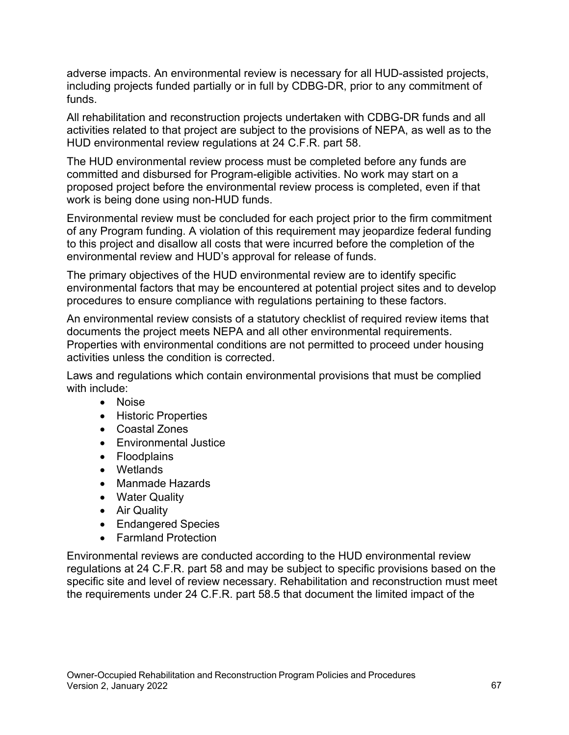adverse impacts. An environmental review is necessary for all HUD-assisted projects, including projects funded partially or in full by CDBG-DR, prior to any commitment of funds.

All rehabilitation and reconstruction projects undertaken with CDBG-DR funds and all activities related to that project are subject to the provisions of NEPA, as well as to the HUD environmental review regulations at 24 C.F.R. part 58.

The HUD environmental review process must be completed before any funds are committed and disbursed for Program-eligible activities. No work may start on a proposed project before the environmental review process is completed, even if that work is being done using non-HUD funds.

Environmental review must be concluded for each project prior to the firm commitment of any Program funding. A violation of this requirement may jeopardize federal funding to this project and disallow all costs that were incurred before the completion of the environmental review and HUD's approval for release of funds.

The primary objectives of the HUD environmental review are to identify specific environmental factors that may be encountered at potential project sites and to develop procedures to ensure compliance with regulations pertaining to these factors.

An environmental review consists of a statutory checklist of required review items that documents the project meets NEPA and all other environmental requirements. Properties with environmental conditions are not permitted to proceed under housing activities unless the condition is corrected.

Laws and regulations which contain environmental provisions that must be complied with include:

- Noise
- Historic Properties
- Coastal Zones
- Environmental Justice
- Floodplains
- Wetlands
- Manmade Hazards
- Water Quality
- Air Quality
- Endangered Species
- Farmland Protection

 specific site and level of review necessary. Rehabilitation and reconstruction must meet Environmental reviews are conducted according to the HUD environmental review regulations at 24 C.F.R. part 58 and may be subject to specific provisions based on the the requirements under 24 C.F.R. part 58.5 that document the limited impact of the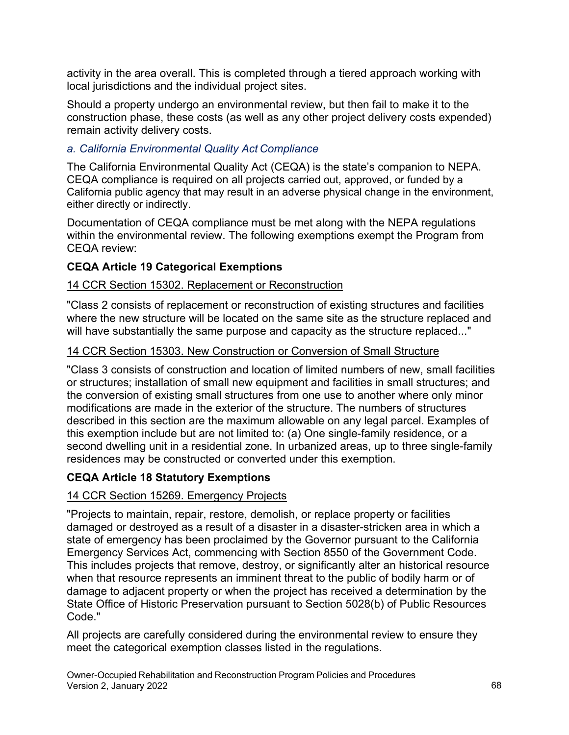activity in the area overall. This is completed through a tiered approach working with local jurisdictions and the individual project sites.

Should a property undergo an environmental review, but then fail to make it to the construction phase, these costs (as well as any other project delivery costs expended) remain activity delivery costs.

# *a. California Environmental Quality Act Compliance*

The California Environmental Quality Act (CEQA) is the state's companion to NEPA. CEQA compliance is required on all projects carried out, approved, or funded by a California public agency that may result in an adverse physical change in the environment, either directly or indirectly.

Documentation of CEQA compliance must be met along with the NEPA regulations within the environmental review. The following exemptions exempt the Program from CEQA review:

# **CEQA Article 19 Categorical Exemptions**

# 14 CCR Section 15302. Replacement or Reconstruction

"Class 2 consists of replacement or reconstruction of existing structures and facilities where the new structure will be located on the same site as the structure replaced and will have substantially the same purpose and capacity as the structure replaced..."

# 14 CCR Section 15303. New Construction or Conversion of Small Structure

"Class 3 consists of construction and location of limited numbers of new, small facilities or structures; installation of small new equipment and facilities in small structures; and the conversion of existing small structures from one use to another where only minor modifications are made in the exterior of the structure. The numbers of structures described in this section are the maximum allowable on any legal parcel. Examples of this exemption include but are not limited to: (a) One single-family residence, or a second dwelling unit in a residential zone. In urbanized areas, up to three single-family residences may be constructed or converted under this exemption.

# **CEQA Article 18 Statutory Exemptions**

# 14 CCR Section 15269. Emergency Projects

 "Projects to maintain, repair, restore, demolish, or replace property or facilities Emergency Services Act, commencing with Section 8550 of the Government Code. damaged or destroyed as a result of a disaster in a disaster-stricken area in which a state of emergency has been proclaimed by the Governor pursuant to the California This includes projects that remove, destroy, or significantly alter an historical resource when that resource represents an imminent threat to the public of bodily harm or of damage to adjacent property or when the project has received a determination by the State Office of Historic Preservation pursuant to Section 5028(b) of Public Resources Code."

All projects are carefully considered during the environmental review to ensure they meet the categorical exemption classes listed in the regulations.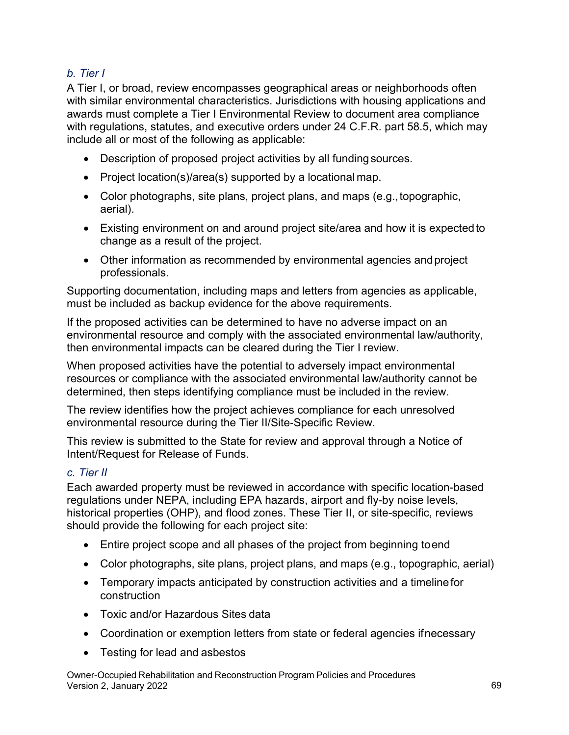# *b. Tier I*

 include all or most of the following as applicable: A Tier I, or broad, review encompasses geographical areas or neighborhoods often with similar environmental characteristics. Jurisdictions with housing applications and awards must complete a Tier I Environmental Review to document area compliance with regulations, statutes, and executive orders under 24 C.F.R. part 58.5, which may

- Description of proposed project activities by all fundingsources.
- Project location(s)/area(s) supported by a locational map.
- Color photographs, site plans, project plans, and maps (e.g.,topographic, aerial).
- Existing environment on and around project site/area and how it is expectedto change as a result of the project.
- Other information as recommended by environmental agencies andproject professionals.

Supporting documentation, including maps and letters from agencies as applicable, must be included as backup evidence for the above requirements.

If the proposed activities can be determined to have no adverse impact on an environmental resource and comply with the associated environmental law/authority, then environmental impacts can be cleared during the Tier I review.

When proposed activities have the potential to adversely impact environmental resources or compliance with the associated environmental law/authority cannot be determined, then steps identifying compliance must be included in the review.

The review identifies how the project achieves compliance for each unresolved environmental resource during the Tier II/Site-Specific Review.

This review is submitted to the State for review and approval through a Notice of Intent/Request for Release of Funds.

#### *c. Tier II*

Each awarded property must be reviewed in accordance with specific location-based regulations under NEPA, including EPA hazards, airport and fly-by noise levels, historical properties (OHP), and flood zones. These Tier II, or site-specific, reviews should provide the following for each project site:

- Entire project scope and all phases of the project from beginning toend
- Color photographs, site plans, project plans, and maps (e.g., topographic, aerial)
- Temporary impacts anticipated by construction activities and a timelinefor construction
- Toxic and/or Hazardous Sites data
- Coordination or exemption letters from state or federal agencies ifnecessary
- Testing for lead and asbestos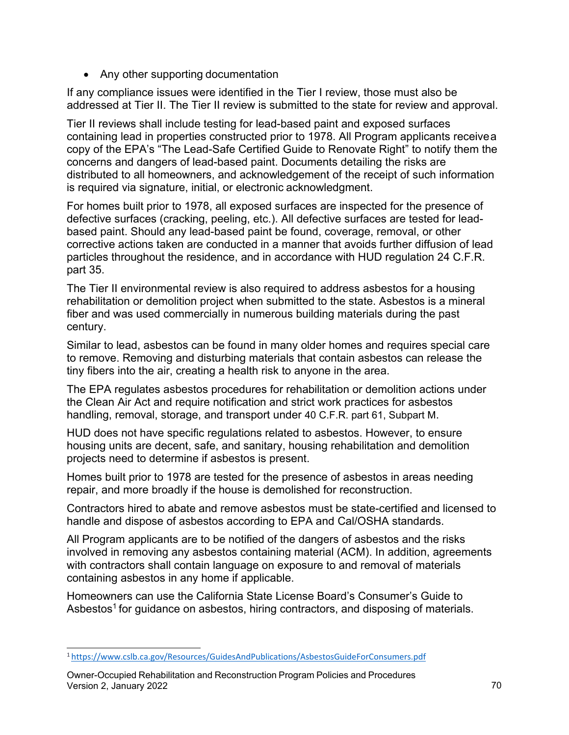• Any other supporting documentation

If any compliance issues were identified in the Tier I review, those must also be addressed at Tier II. The Tier II review is submitted to the state for review and approval.

Tier II reviews shall include testing for lead-based paint and exposed surfaces containing lead in properties constructed prior to 1978. All Program applicants receivea copy of the EPA's "The Lead-Safe Certified Guide to Renovate Right" to notify them the concerns and dangers of lead-based paint. Documents detailing the risks are distributed to all homeowners, and acknowledgement of the receipt of such information is required via signature, initial, or electronic acknowledgment.

For homes built prior to 1978, all exposed surfaces are inspected for the presence of defective surfaces (cracking, peeling, etc.). All defective surfaces are tested for leadbased paint. Should any lead-based paint be found, coverage, removal, or other corrective actions taken are conducted in a manner that avoids further diffusion of lead particles throughout the residence, and in accordance with HUD regulation 24 C.F.R. part 35.

The Tier II environmental review is also required to address asbestos for a housing rehabilitation or demolition project when submitted to the state. Asbestos is a mineral fiber and was used commercially in numerous building materials during the past century.

Similar to lead, asbestos can be found in many older homes and requires special care to remove. Removing and disturbing materials that contain asbestos can release the tiny fibers into the air, creating a health risk to anyone in the area.

The EPA regulates asbestos procedures for rehabilitation or demolition actions under the Clean Air Act and require notification and strict work practices for asbestos handling, removal, storage, and transport under 40 C.F.R. part 61, Subpart M.

HUD does not have specific regulations related to asbestos. However, to ensure housing units are decent, safe, and sanitary, housing rehabilitation and demolition projects need to determine if asbestos is present.

Homes built prior to 1978 are tested for the presence of asbestos in areas needing repair, and more broadly if the house is demolished for reconstruction.

Contractors hired to abate and remove asbestos must be state-certified and licensed to handle and dispose of asbestos according to EPA and Cal/OSHA standards.

All Program applicants are to be notified of the dangers of asbestos and the risks involved in removing any asbestos containing material (ACM). In addition, agreements with contractors shall contain language on exposure to and removal of materials containing asbestos in any home if applicable.

Homeowners can use the California State License Board's Consumer's Guide to Asbestos<sup>1</sup> for guidance on asbestos, hiring contractors, and disposing of materials.

<span id="page-68-0"></span>[<sup>1</sup> https://www.cslb.ca.gov/Resources/GuidesAndPublications/AsbestosGuideForConsumers.pdf](https://www.cslb.ca.gov/Resources/GuidesAndPublications/AsbestosGuideForConsumers.pdf) 

Owner-Occupied Rehabilitation and Reconstruction Program Policies and Procedures Version 2, January 2022 70 and 2008 70 and 2009 70 and 2009 70 and 2009 70 and 2009 70 and 2009 70 and 2009 70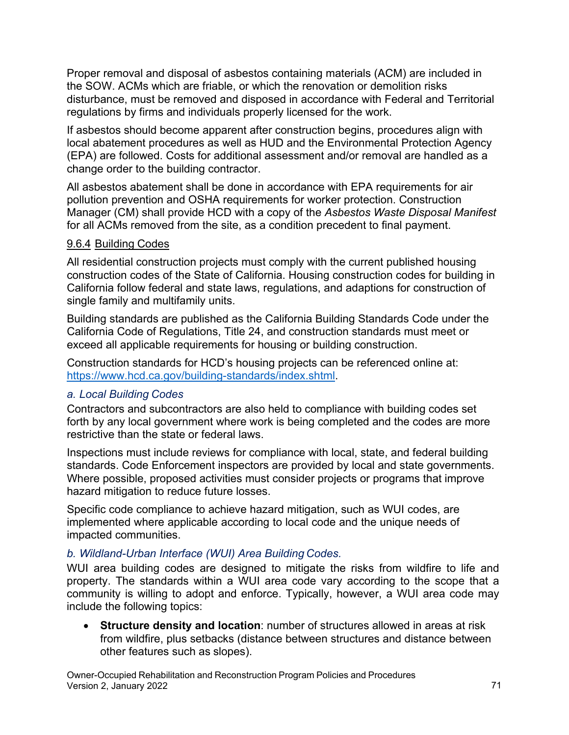Proper removal and disposal of asbestos containing materials (ACM) are included in the SOW. ACMs which are friable, or which the renovation or demolition risks disturbance, must be removed and disposed in accordance with Federal and Territorial regulations by firms and individuals properly licensed for the work.

If asbestos should become apparent after construction begins, procedures align with local abatement procedures as well as HUD and the Environmental Protection Agency (EPA) are followed. Costs for additional assessment and/or removal are handled as a change order to the building contractor.

All asbestos abatement shall be done in accordance with EPA requirements for air pollution prevention and OSHA requirements for worker protection. Construction Manager (CM) shall provide HCD with a copy of the *Asbestos Waste Disposal Manifest*  for all ACMs removed from the site, as a condition precedent to final payment.

#### 9.6.4 Building Codes

All residential construction projects must comply with the current published housing construction codes of the State of California. Housing construction codes for building in California follow federal and state laws, regulations, and adaptions for construction of single family and multifamily units.

 California Code of Regulations, Title 24, and construction standards must meet or Building standards are published as the California Building Standards Code under the exceed all applicable requirements for housing or building construction.

Construction standards for HCD's housing projects can be referenced online at: [https://www.hcd.ca.gov/building-standards/index.shtml.](https://www.hcd.ca.gov/building-standards/index.shtml)

# *a. Local Building Codes*

Contractors and subcontractors are also held to compliance with building codes set forth by any local government where work is being completed and the codes are more restrictive than the state or federal laws.

Inspections must include reviews for compliance with local, state, and federal building standards. Code Enforcement inspectors are provided by local and state governments. Where possible, proposed activities must consider projects or programs that improve hazard mitigation to reduce future losses.

Specific code compliance to achieve hazard mitigation, such as WUI codes, are implemented where applicable according to local code and the unique needs of impacted communities.

# *b. Wildland-Urban Interface (WUI) Area Building Codes.*

WUI area building codes are designed to mitigate the risks from wildfire to life and property. The standards within a WUI area code vary according to the scope that a community is willing to adopt and enforce. Typically, however, a WUI area code may include the following topics:

 • **Structure density and location**: number of structures allowed in areas at risk other features such as slopes). from wildfire, plus setbacks (distance between structures and distance between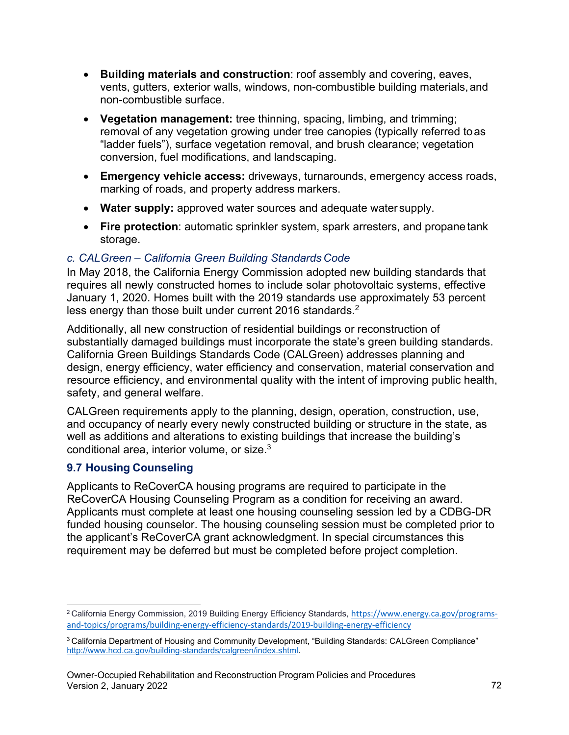- non-combustible surface. • **Building materials and construction**: roof assembly and covering, eaves, vents, gutters, exterior walls, windows, non-combustible building materials,and
- **Vegetation management:** tree thinning, spacing, limbing, and trimming; removal of any vegetation growing under tree canopies (typically referred toas "ladder fuels"), surface vegetation removal, and brush clearance; vegetation conversion, fuel modifications, and landscaping.
- marking of roads, and property address markers. • **Emergency vehicle access:** driveways, turnarounds, emergency access roads,
- **Water supply:** approved water sources and adequate water supply.
- **Fire protection**: automatic sprinkler system, spark arresters, and propanetank storage.

# *c. CALGreen – California Green Building Standards Code*

In May 2018, the California Energy Commission adopted new building standards that requires all newly constructed homes to include solar photovoltaic systems, effective January 1, 2020. Homes built with the 2019 standards use approximately 53 percent less energy than those built under current [2016 s](#page-70-0)tandards.<sup>2</sup>

Additionally, all new construction of residential buildings or reconstruction of substantially damaged buildings must incorporate the state's green building standards. California Green Buildings Standards Code (CALGreen) addresses planning and design, energy efficiency, water efficiency and conservation, material conservation and resource efficiency, and environmental quality with the intent of improving public health, safety, and general welfare.

CALGreen requirements apply to the planning, design, operation, construction, use, and occupancy of nearly every newly constructed building or structure in the state, as well as additions and alterations to existing buildings that increase the building's conditional area, interior volume, or size. $3$ 

# **9.7 Housing Counseling**

Applicants to ReCoverCA housing programs are required to participate in the ReCoverCA Housing Counseling Program as a condition for receiving an award. Applicants must complete at least one housing counseling session led by a CDBG-DR funded housing counselor. The housing counseling session must be completed prior to the applicant's ReCoverCA grant acknowledgment. In special circumstances this requirement may be deferred but must be completed before project completion.

<span id="page-70-0"></span><sup>2</sup> California Energy Commission, 2019 Building Energy Efficiency Standards, [https://www.energy.ca.gov/programs](https://www.energy.ca.gov/programs-and-topics/programs/building-energy-efficiency-standards/2019-building-energy-efficiency)[and-topics/programs/building-energy-efficiency-standards/2019-building-energy-efficiency](https://www.energy.ca.gov/programs-and-topics/programs/building-energy-efficiency-standards/2019-building-energy-efficiency) 

<span id="page-70-1"></span><sup>3</sup> California Department of Housing and Community Development, "Building Standards: CALGreen Compliance" [http://www.hcd.ca.gov/building-standards/calgreen/index.shtml.](http://www.hcd.ca.gov/building-standards/calgreen/index.shtml)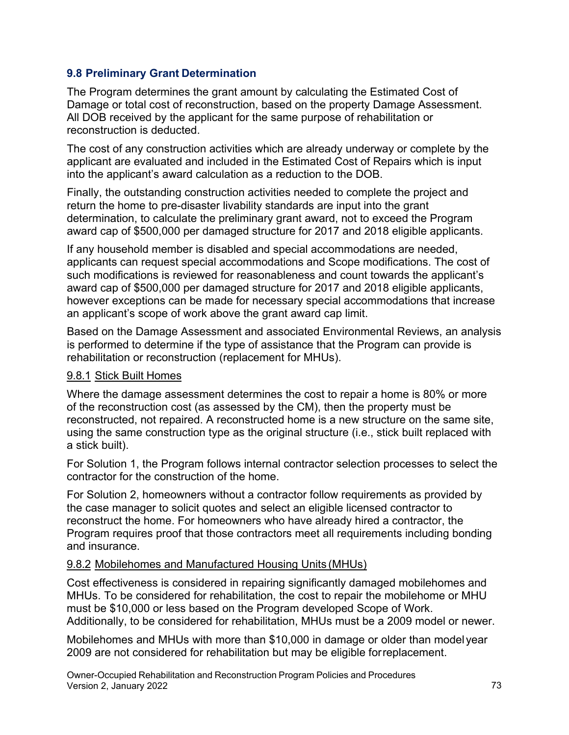# **9.8 Preliminary Grant Determination**

The Program determines the grant amount by calculating the Estimated Cost of Damage or total cost of reconstruction, based on the property Damage Assessment. All DOB received by the applicant for the same purpose of rehabilitation or reconstruction is deducted.

The cost of any construction activities which are already underway or complete by the applicant are evaluated and included in the Estimated Cost of Repairs which is input into the applicant's award calculation as a reduction to the DOB.

Finally, the outstanding construction activities needed to complete the project and return the home to pre-disaster livability standards are input into the grant determination, to calculate the preliminary grant award, not to exceed the Program award cap of \$500,000 per damaged structure for 2017 and 2018 eligible applicants.

If any household member is disabled and special accommodations are needed, applicants can request special accommodations and Scope modifications. The cost of such modifications is reviewed for reasonableness and count towards the applicant's award cap of \$500,000 per damaged structure for 2017 and 2018 eligible applicants, however exceptions can be made for necessary special accommodations that increase an applicant's scope of work above the grant award cap limit.

Based on the Damage Assessment and associated Environmental Reviews, an analysis is performed to determine if the type of assistance that the Program can provide is rehabilitation or reconstruction (replacement for MHUs).

### 9.8.1 Stick Built Homes

 of the reconstruction cost (as assessed by the CM), then the property must be Where the damage assessment determines the cost to repair a home is 80% or more reconstructed, not repaired. A reconstructed home is a new structure on the same site, using the same construction type as the original structure (i.e., stick built replaced with a stick built).

For Solution 1, the Program follows internal contractor selection processes to select the contractor for the construction of the home.

For Solution 2, homeowners without a contractor follow requirements as provided by the case manager to solicit quotes and select an eligible licensed contractor to reconstruct the home. For homeowners who have already hired a contractor, the Program requires proof that those contractors meet all requirements including bonding and insurance.

#### 9.8.2 Mobilehomes and Manufactured Housing Units (MHUs)

 MHUs. To be considered for rehabilitation, the cost to repair the mobilehome or MHU Cost effectiveness is considered in repairing significantly damaged mobilehomes and must be \$10,000 or less based on the Program developed Scope of Work. Additionally, to be considered for rehabilitation, MHUs must be a 2009 model or newer.

Mobilehomes and MHUs with more than \$10,000 in damage or older than model year 2009 are not considered for rehabilitation but may be eligible forreplacement.

Owner-Occupied Rehabilitation and Reconstruction Program Policies and Procedures Version 2, January 2022 2003 - 2004 2014 2014 2014 2015 2016 2017 2022 2023 2034 2035 2046 2051 2052 2053 2054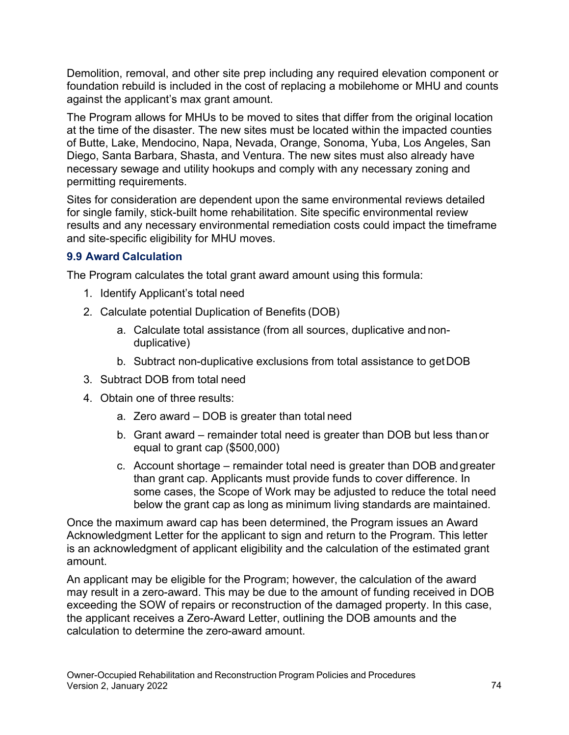foundation rebuild is included in the cost of replacing a mobilehome or MHU and counts Demolition, removal, and other site prep including any required elevation component or against the applicant's max grant amount.

 The Program allows for MHUs to be moved to sites that differ from the original location at the time of the disaster. The new sites must be located within the impacted counties of Butte, Lake, Mendocino, Napa, Nevada, Orange, Sonoma, Yuba, Los Angeles, San Diego, Santa Barbara, Shasta, and Ventura. The new sites must also already have necessary sewage and utility hookups and comply with any necessary zoning and permitting requirements.

Sites for consideration are dependent upon the same environmental reviews detailed for single family, stick-built home rehabilitation. Site specific environmental review results and any necessary environmental remediation costs could impact the timeframe and site-specific eligibility for MHU moves.

## **9.9 Award Calculation**

The Program calculates the total grant award amount using this formula:

- 1. Identify Applicant's total need
- 2. Calculate potential Duplication of Benefits (DOB)
	- a. Calculate total assistance (from all sources, duplicative and nonduplicative)
	- b. Subtract non-duplicative exclusions from total assistance to getDOB
- 3. Subtract DOB from total need
- 4. Obtain one of three results:
	- a. Zero award DOB is greater than total need
	- equal to grant cap (\$500,000) b. Grant award – remainder total need is greater than DOB but less than or
	- below the grant cap as long as minimum living standards are maintained. c. Account shortage – remainder total need is greater than DOB andgreater than grant cap. Applicants must provide funds to cover difference. In some cases, the Scope of Work may be adjusted to reduce the total need

Once the maximum award cap has been determined, the Program issues an Award Acknowledgment Letter for the applicant to sign and return to the Program. This letter is an acknowledgment of applicant eligibility and the calculation of the estimated grant amount.

An applicant may be eligible for the Program; however, the calculation of the award may result in a zero-award. This may be due to the amount of funding received in DOB exceeding the SOW of repairs or reconstruction of the damaged property. In this case, the applicant receives a Zero-Award Letter, outlining the DOB amounts and the calculation to determine the zero-award amount.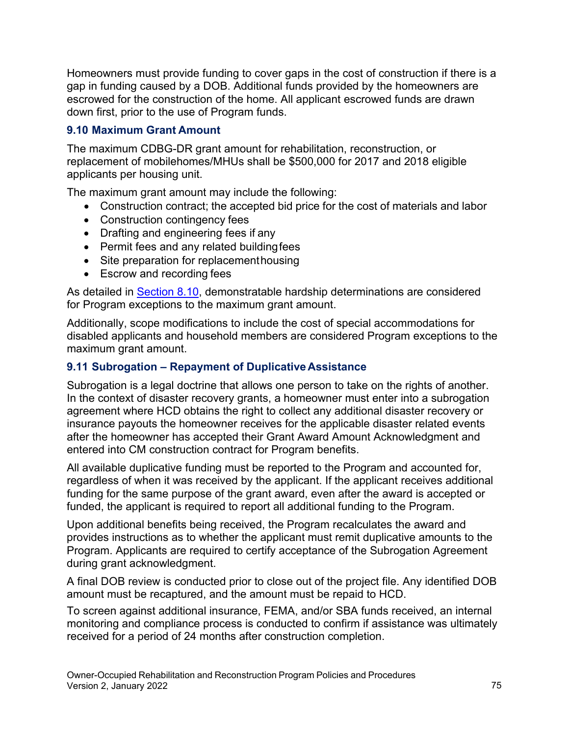Homeowners must provide funding to cover gaps in the cost of construction if there is a gap in funding caused by a DOB. Additional funds provided by the homeowners are escrowed for the construction of the home. All applicant escrowed funds are drawn down first, prior to the use of Program funds.

## **9.10 Maximum Grant Amount**

The maximum CDBG-DR grant amount for rehabilitation, reconstruction, or replacement of mobilehomes/MHUs shall be \$500,000 for 2017 and 2018 eligible applicants per housing unit.

The maximum grant amount may include the following:

- Construction contract; the accepted bid price for the cost of materials and labor
- Construction contingency fees
- Drafting and engineering fees if any
- Permit fees and any related buildingfees
- Site preparation for replacementhousing
- Escrow and recording fees

As detailed in Section 8.10, demonstratable hardship determinations are considered for Program exceptions to the maximum grant amount.

Additionally, scope modifications to include the cost of special accommodations for disabled applicants and household members are considered Program exceptions to the maximum grant amount.

### **9.11 Subrogation – Repayment of Duplicative Assistance**

Subrogation is a legal doctrine that allows one person to take on the rights of another. In the context of disaster recovery grants, a homeowner must enter into a subrogation agreement where HCD obtains the right to collect any additional disaster recovery or insurance payouts the homeowner receives for the applicable disaster related events after the homeowner has accepted their Grant Award Amount Acknowledgment and entered into CM construction contract for Program benefits.

All available duplicative funding must be reported to the Program and accounted for, regardless of when it was received by the applicant. If the applicant receives additional funding for the same purpose of the grant award, even after the award is accepted or funded, the applicant is required to report all additional funding to the Program.

Upon additional benefits being received, the Program recalculates the award and provides instructions as to whether the applicant must remit duplicative amounts to the Program. Applicants are required to certify acceptance of the Subrogation Agreement during grant acknowledgment.

A final DOB review is conducted prior to close out of the project file. Any identified DOB amount must be recaptured, and the amount must be repaid to HCD.

To screen against additional insurance, FEMA, and/or SBA funds received, an internal monitoring and compliance process is conducted to confirm if assistance was ultimately received for a period of 24 months after construction completion.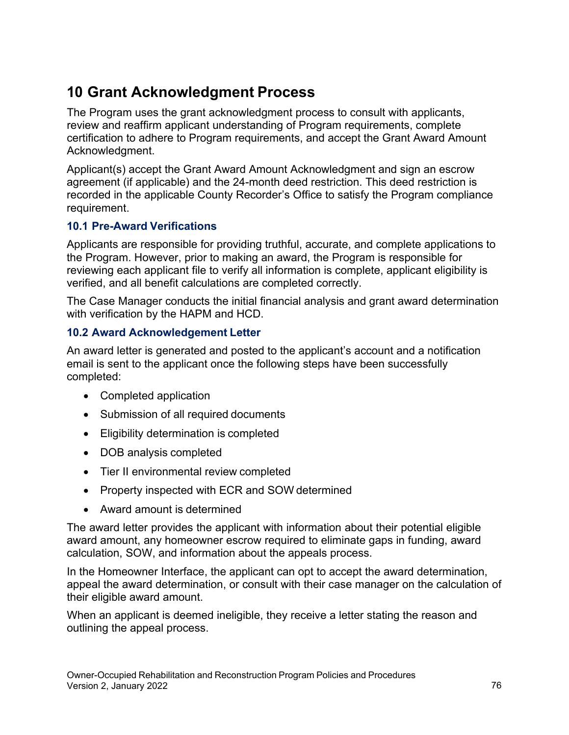## **10 Grant Acknowledgment Process**

The Program uses the grant acknowledgment process to consult with applicants, review and reaffirm applicant understanding of Program requirements, complete certification to adhere to Program requirements, and accept the Grant Award Amount Acknowledgment.

Applicant(s) accept the Grant Award Amount Acknowledgment and sign an escrow agreement (if applicable) and the 24-month deed restriction. This deed restriction is recorded in the applicable County Recorder's Office to satisfy the Program compliance requirement.

## **10.1 Pre-Award Verifications**

Applicants are responsible for providing truthful, accurate, and complete applications to the Program. However, prior to making an award, the Program is responsible for reviewing each applicant file to verify all information is complete, applicant eligibility is verified, and all benefit calculations are completed correctly.

The Case Manager conducts the initial financial analysis and grant award determination with verification by the HAPM and HCD.

## **10.2 Award Acknowledgement Letter**

An award letter is generated and posted to the applicant's account and a notification email is sent to the applicant once the following steps have been successfully completed:

- Completed application
- Submission of all required documents
- Eligibility determination is completed
- DOB analysis completed
- Tier II environmental review completed
- Property inspected with ECR and SOW determined
- Award amount is determined

 award amount, any homeowner escrow required to eliminate gaps in funding, award The award letter provides the applicant with information about their potential eligible calculation, SOW, and information about the appeals process.

In the Homeowner Interface, the applicant can opt to accept the award determination, appeal the award determination, or consult with their case manager on the calculation of their eligible award amount.

When an applicant is deemed ineligible, they receive a letter stating the reason and outlining the appeal process.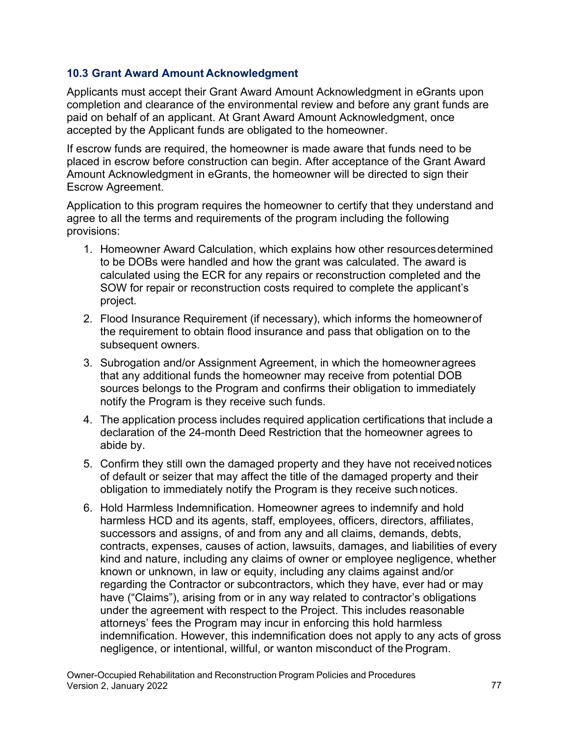### **10.3 Grant Award Amount Acknowledgment**

Applicants must accept their Grant Award Amount Acknowledgment in eGrants upon completion and clearance of the environmental review and before any grant funds are paid on behalf of an applicant. At Grant Award Amount Acknowledgment, once accepted by the Applicant funds are obligated to the homeowner.

If escrow funds are required, the homeowner is made aware that funds need to be placed in escrow before construction can begin. After acceptance of the Grant Award Amount Acknowledgment in eGrants, the homeowner will be directed to sign their Escrow Agreement.

Application to this program requires the homeowner to certify that they understand and agree to all the terms and requirements of the program including the following provisions:

- 1. Homeowner Award Calculation, which explains how other resourcesdetermined to be DOBs were handled and how the grant was calculated. The award is calculated using the ECR for any repairs or reconstruction completed and the SOW for repair or reconstruction costs required to complete the applicant's project.
- subsequent owners. 2. Flood Insurance Requirement (if necessary), which informs the homeownerof the requirement to obtain flood insurance and pass that obligation on to the
- notify the Program is they receive such funds. 3. Subrogation and/or Assignment Agreement, in which the homeowneragrees that any additional funds the homeowner may receive from potential DOB sources belongs to the Program and confirms their obligation to immediately
- 4. The application process includes required application certifications that include a abide by. declaration of the 24-month Deed Restriction that the homeowner agrees to
- obligation to immediately notify the Program is they receive such notices. 5. Confirm they still own the damaged property and they have not receivednotices of default or seizer that may affect the title of the damaged property and their
- regarding the Contractor or subcontractors, which they have, ever had or may negligence, or intentional, willful, or wanton misconduct of the Program. 6. Hold Harmless Indemnification. Homeowner agrees to indemnify and hold harmless HCD and its agents, staff, employees, officers, directors, affiliates, successors and assigns, of and from any and all claims, demands, debts, contracts, expenses, causes of action, lawsuits, damages, and liabilities of every kind and nature, including any claims of owner or employee negligence, whether known or unknown, in law or equity, including any claims against and/or have ("Claims"), arising from or in any way related to contractor's obligations under the agreement with respect to the Project. This includes reasonable attorneys' fees the Program may incur in enforcing this hold harmless indemnification. However, this indemnification does not apply to any acts of gross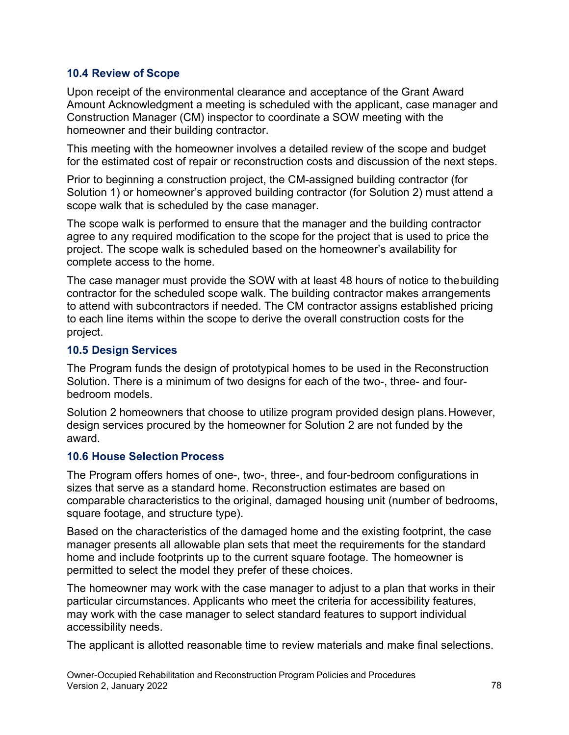### **10.4 Review of Scope**

Upon receipt of the environmental clearance and acceptance of the Grant Award Amount Acknowledgment a meeting is scheduled with the applicant, case manager and Construction Manager (CM) inspector to coordinate a SOW meeting with the homeowner and their building contractor.

This meeting with the homeowner involves a detailed review of the scope and budget for the estimated cost of repair or reconstruction costs and discussion of the next steps.

Prior to beginning a construction project, the CM-assigned building contractor (for Solution 1) or homeowner's approved building contractor (for Solution 2) must attend a scope walk that is scheduled by the case manager.

The scope walk is performed to ensure that the manager and the building contractor agree to any required modification to the scope for the project that is used to price the project. The scope walk is scheduled based on the homeowner's availability for complete access to the home.

The case manager must provide the SOW with at least 48 hours of notice to thebuilding contractor for the scheduled scope walk. The building contractor makes arrangements to attend with subcontractors if needed. The CM contractor assigns established pricing to each line items within the scope to derive the overall construction costs for the project.

### **10.5 Design Services**

 Solution. There is a minimum of two designs for each of the two-, three- and four-The Program funds the design of prototypical homes to be used in the Reconstruction bedroom models.

Solution 2 homeowners that choose to utilize program provided design plans.However, design services procured by the homeowner for Solution 2 are not funded by the award.

### **10.6 House Selection Process**

 comparable characteristics to the original, damaged housing unit (number of bedrooms, The Program offers homes of one-, two-, three-, and four-bedroom configurations in sizes that serve as a standard home. Reconstruction estimates are based on square footage, and structure type).

Based on the characteristics of the damaged home and the existing footprint, the case manager presents all allowable plan sets that meet the requirements for the standard home and include footprints up to the current square footage. The homeowner is permitted to select the model they prefer of these choices.

The homeowner may work with the case manager to adjust to a plan that works in their particular circumstances. Applicants who meet the criteria for accessibility features, may work with the case manager to select standard features to support individual accessibility needs.

The applicant is allotted reasonable time to review materials and make final selections.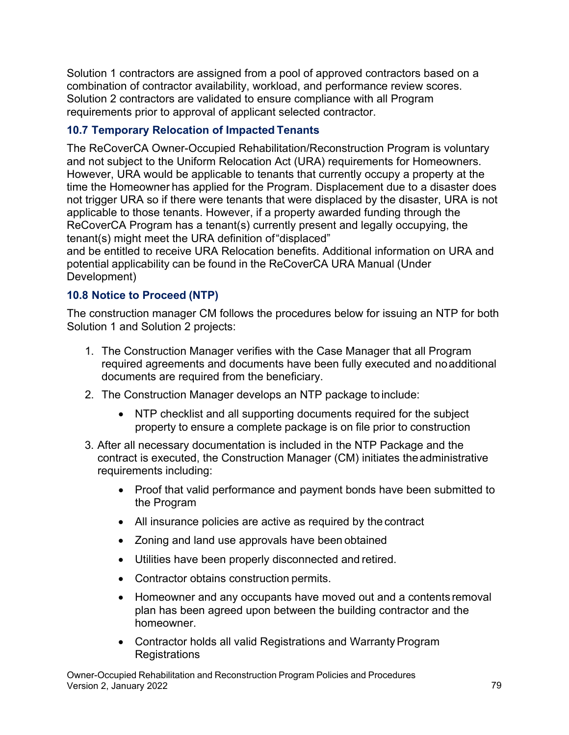Solution 2 contractors are validated to ensure compliance with all Program Solution 1 contractors are assigned from a pool of approved contractors based on a combination of contractor availability, workload, and performance review scores. requirements prior to approval of applicant selected contractor.

## **10.7 Temporary Relocation of Impacted Tenants**

 ReCoverCA Program has a tenant(s) currently present and legally occupying, the tenant(s) might meet the URA definition of"displaced" The ReCoverCA Owner-Occupied Rehabilitation/Reconstruction Program is voluntary and not subject to the Uniform Relocation Act (URA) requirements for Homeowners. However, URA would be applicable to tenants that currently occupy a property at the time the Homeowner has applied for the Program. Displacement due to a disaster does not trigger URA so if there were tenants that were displaced by the disaster, URA is not applicable to those tenants. However, if a property awarded funding through the

and be entitled to receive URA Relocation benefits. Additional information on URA and potential applicability can be found in the ReCoverCA URA Manual (Under Development)

## **10.8 Notice to Proceed (NTP)**

The construction manager CM follows the procedures below for issuing an NTP for both Solution 1 and Solution 2 projects:

- 1. The Construction Manager verifies with the Case Manager that all Program required agreements and documents have been fully executed and noadditional documents are required from the beneficiary.
- 2. The Construction Manager develops an NTP package to include:
	- property to ensure a complete package is on file prior to construction • NTP checklist and all supporting documents required for the subject
- contract is executed, the Construction Manager (CM) initiates theadministrative 3. After all necessary documentation is included in the NTP Package and the requirements including:
	- Proof that valid performance and payment bonds have been submitted to the Program
	- All insurance policies are active as required by the contract
	- Zoning and land use approvals have been obtained
	- Utilities have been properly disconnected and retired.
	- Contractor obtains construction permits.
	- Homeowner and any occupants have moved out and a contents removal plan has been agreed upon between the building contractor and the homeowner.
	- Contractor holds all valid Registrations and Warranty Program Registrations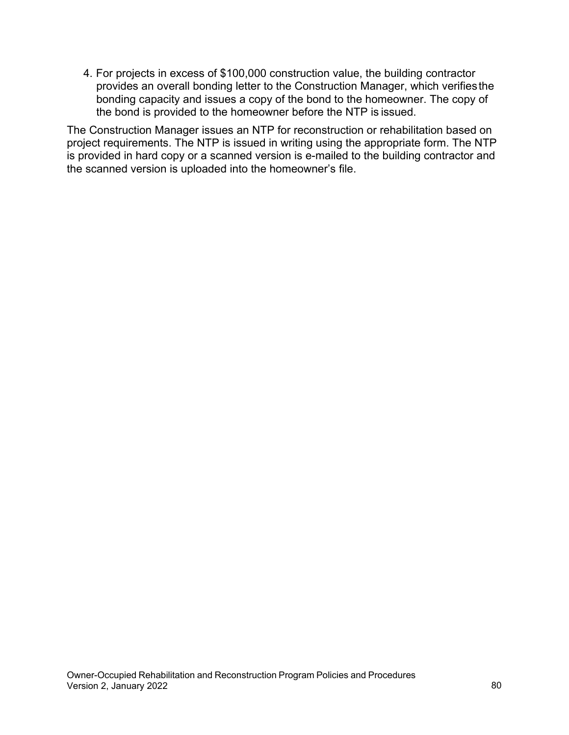the bond is provided to the homeowner before the NTP is issued. 4. For projects in excess of \$100,000 construction value, the building contractor provides an overall bonding letter to the Construction Manager, which verifiesthe bonding capacity and issues a copy of the bond to the homeowner. The copy of

The Construction Manager issues an NTP for reconstruction or rehabilitation based on project requirements. The NTP is issued in writing using the appropriate form. The NTP is provided in hard copy or a scanned version is e-mailed to the building contractor and the scanned version is uploaded into the homeowner's file.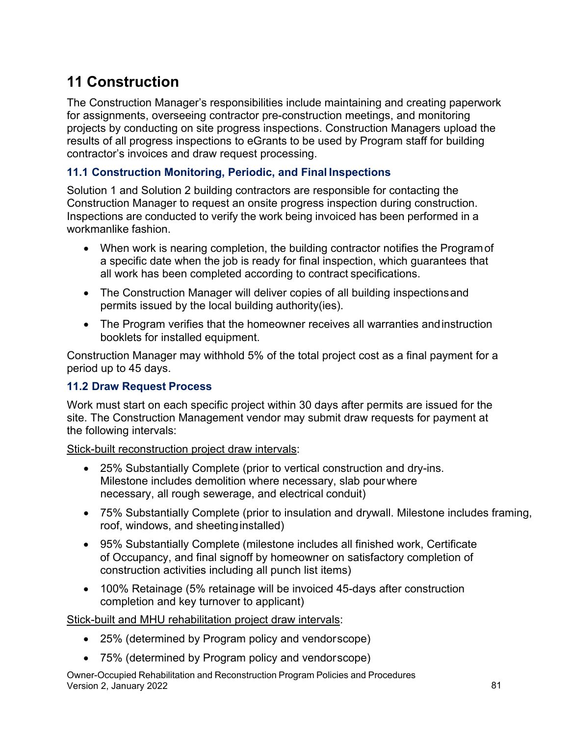# **11 Construction**

 results of all progress inspections to eGrants to be used by Program staff for building The Construction Manager's responsibilities include maintaining and creating paperwork for assignments, overseeing contractor pre-construction meetings, and monitoring projects by conducting on site progress inspections. Construction Managers upload the contractor's invoices and draw request processing.

## **11.1 Construction Monitoring, Periodic, and Final Inspections**

 Inspections are conducted to verify the work being invoiced has been performed in a workmanlike fashion. Solution 1 and Solution 2 building contractors are responsible for contacting the Construction Manager to request an onsite progress inspection during construction.

- When work is nearing completion, the building contractor notifies the Programof a specific date when the job is ready for final inspection, which guarantees that all work has been completed according to contract specifications.
- The Construction Manager will deliver copies of all building inspectionsand permits issued by the local building authority(ies).
- booklets for installed equipment. • The Program verifies that the homeowner receives all warranties andinstruction

Construction Manager may withhold 5% of the total project cost as a final payment for a period up to 45 days.

### **11.2 Draw Request Process**

Work must start on each specific project within 30 days after permits are issued for the site. The Construction Management vendor may submit draw requests for payment at the following intervals:

Stick-built reconstruction project draw intervals:

- necessary, all rough sewerage, and electrical conduit) • 25% Substantially Complete (prior to vertical construction and dry-ins. Milestone includes demolition where necessary, slab pour where
- • 75% Substantially Complete (prior to insulation and drywall. Milestone includes framing, roof, windows, and sheetinginstalled)
- • 95% Substantially Complete (milestone includes all finished work, Certificate construction activities including all punch list items) of Occupancy, and final signoff by homeowner on satisfactory completion of
- 100% Retainage (5% retainage will be invoiced 45-days after construction completion and key turnover to applicant)

Stick-built and MHU rehabilitation project draw intervals:

- 25% (determined by Program policy and vendorscope)
- 75% (determined by Program policy and vendorscope)

Owner-Occupied Rehabilitation and Reconstruction Program Policies and Procedures Version 2, January 2022 81 | 1992 81 | 1992 81 | 1992 81 | 1992 81 | 1992 81 | 1992 81 | 1992 81 | 1992 81 | 1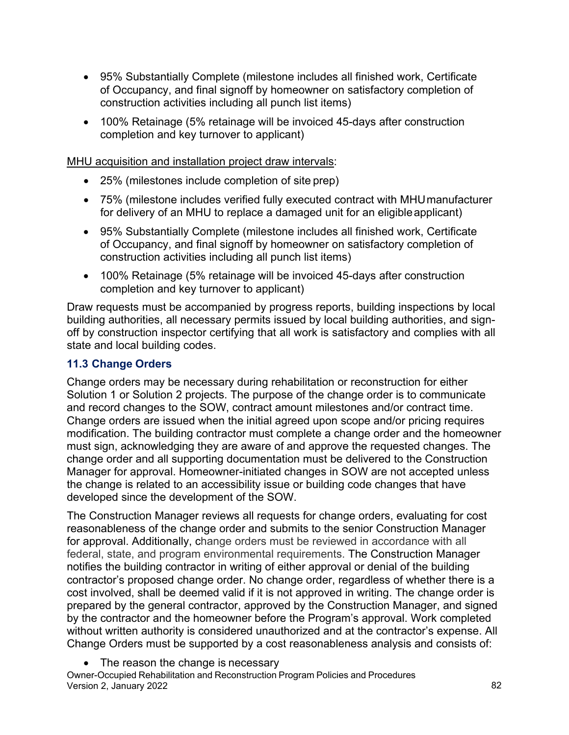- 95% Substantially Complete (milestone includes all finished work, Certificate of Occupancy, and final signoff by homeowner on satisfactory completion of construction activities including all punch list items)
- 100% Retainage (5% retainage will be invoiced 45-days after construction completion and key turnover to applicant)

MHU acquisition and installation project draw intervals:

- 25% (milestones include completion of site prep)
- for delivery of an MHU to replace a damaged unit for an eligibleapplicant) • 75% (milestone includes verified fully executed contract with MHUmanufacturer
- 95% Substantially Complete (milestone includes all finished work, Certificate of Occupancy, and final signoff by homeowner on satisfactory completion of construction activities including all punch list items)
- 100% Retainage (5% retainage will be invoiced 45-days after construction completion and key turnover to applicant)

Draw requests must be accompanied by progress reports, building inspections by local building authorities, all necessary permits issued by local building authorities, and signoff by construction inspector certifying that all work is satisfactory and complies with all state and local building codes.

### **11.3 Change Orders**

Change orders may be necessary during rehabilitation or reconstruction for either Solution 1 or Solution 2 projects. The purpose of the change order is to communicate and record changes to the SOW, contract amount milestones and/or contract time. Change orders are issued when the initial agreed upon scope and/or pricing requires modification. The building contractor must complete a change order and the homeowner must sign, acknowledging they are aware of and approve the requested changes. The change order and all supporting documentation must be delivered to the Construction Manager for approval. Homeowner-initiated changes in SOW are not accepted unless the change is related to an accessibility issue or building code changes that have developed since the development of the SOW.

The Construction Manager reviews all requests for change orders, evaluating for cost reasonableness of the change order and submits to the senior Construction Manager for approval. Additionally, change orders must be reviewed in accordance with all federal, state, and program environmental requirements. The Construction Manager notifies the building contractor in writing of either approval or denial of the building contractor's proposed change order. No change order, regardless of whether there is a cost involved, shall be deemed valid if it is not approved in writing. The change order is prepared by the general contractor, approved by the Construction Manager, and signed by the contractor and the homeowner before the Program's approval. Work completed without written authority is considered unauthorized and at the contractor's expense. All Change Orders must be supported by a cost reasonableness analysis and consists of:

• The reason the change is necessary

Owner-Occupied Rehabilitation and Reconstruction Program Policies and Procedures Version 2, January 2022 82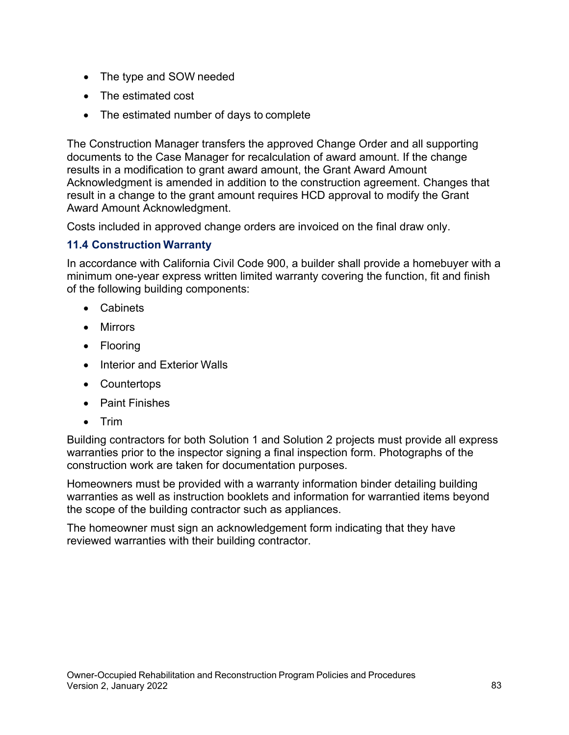- The type and SOW needed
- The estimated cost
- The estimated number of days to complete

The Construction Manager transfers the approved Change Order and all supporting documents to the Case Manager for recalculation of award amount. If the change results in a modification to grant award amount, the Grant Award Amount Acknowledgment is amended in addition to the construction agreement. Changes that result in a change to the grant amount requires HCD approval to modify the Grant Award Amount Acknowledgment.

Costs included in approved change orders are invoiced on the final draw only.

### **11.4 Construction Warranty**

In accordance with California Civil Code 900, a builder shall provide a homebuyer with a minimum one-year express written limited warranty covering the function, fit and finish of the following building components:

- Cabinets
- Mirrors
- Flooring
- Interior and Exterior Walls
- Countertops
- Paint Finishes
- $\bullet$ • Trim

 Building contractors for both Solution 1 and Solution 2 projects must provide all express warranties prior to the inspector signing a final inspection form. Photographs of the construction work are taken for documentation purposes.

Homeowners must be provided with a warranty information binder detailing building warranties as well as instruction booklets and information for warrantied items beyond the scope of the building contractor such as appliances.

The homeowner must sign an acknowledgement form indicating that they have reviewed warranties with their building contractor.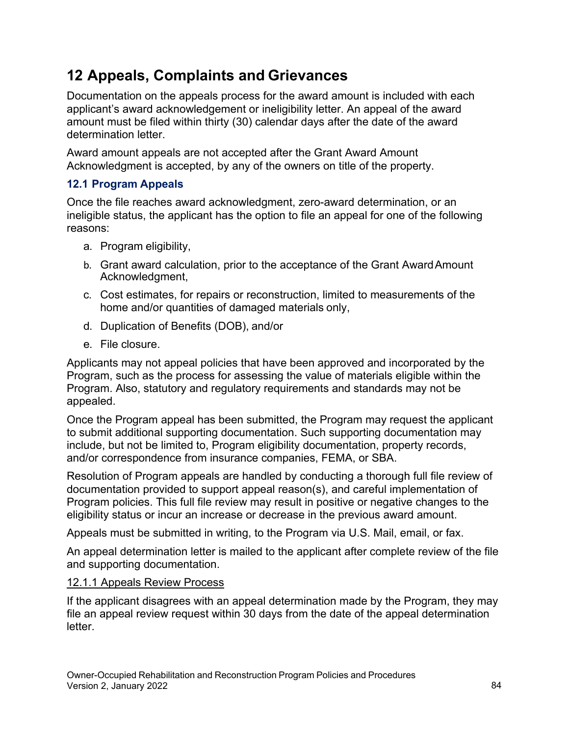## **12 Appeals, Complaints and Grievances**

Documentation on the appeals process for the award amount is included with each applicant's award acknowledgement or ineligibility letter. An appeal of the award amount must be filed within thirty (30) calendar days after the date of the award determination letter.

Award amount appeals are not accepted after the Grant Award Amount Acknowledgment is accepted, by any of the owners on title of the property.

## **12.1 Program Appeals**

Once the file reaches award acknowledgment, zero-award determination, or an ineligible status, the applicant has the option to file an appeal for one of the following reasons:

- a. Program eligibility,
- b. Grant award calculation, prior to the acceptance of the Grant AwardAmount Acknowledgment,
- home and/or quantities of damaged materials only, c. Cost estimates, for repairs or reconstruction, limited to measurements of the
- d. Duplication of Benefits (DOB), and/or
- e. File closure.

Applicants may not appeal policies that have been approved and incorporated by the Program, such as the process for assessing the value of materials eligible within the Program. Also, statutory and regulatory requirements and standards may not be appealed.

Once the Program appeal has been submitted, the Program may request the applicant to submit additional supporting documentation. Such supporting documentation may include, but not be limited to, Program eligibility documentation, property records, and/or correspondence from insurance companies, FEMA, or SBA.

Resolution of Program appeals are handled by conducting a thorough full file review of documentation provided to support appeal reason(s), and careful implementation of Program policies. This full file review may result in positive or negative changes to the eligibility status or incur an increase or decrease in the previous award amount.

Appeals must be submitted in writing, to the Program via U.S. Mail, email, or fax.

An appeal determination letter is mailed to the applicant after complete review of the file and supporting documentation.

## 12.1.1 Appeals Review Process

If the applicant disagrees with an appeal determination made by the Program, they may file an appeal review request within 30 days from the date of the appeal determination letter.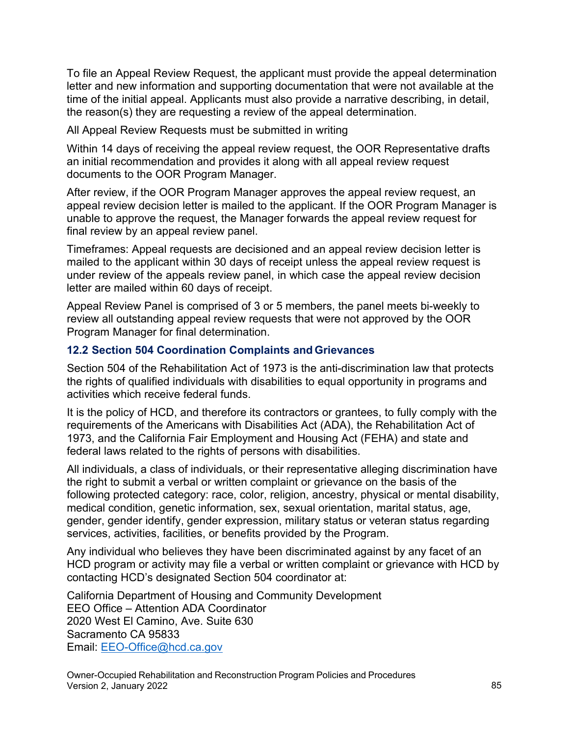To file an Appeal Review Request, the applicant must provide the appeal determination letter and new information and supporting documentation that were not available at the time of the initial appeal. Applicants must also provide a narrative describing, in detail, the reason(s) they are requesting a review of the appeal determination.

All Appeal Review Requests must be submitted in writing

Within 14 days of receiving the appeal review request, the OOR Representative drafts an initial recommendation and provides it along with all appeal review request documents to the OOR Program Manager.

 appeal review decision letter is mailed to the applicant. If the OOR Program Manager is final review by an appeal review panel. After review, if the OOR Program Manager approves the appeal review request, an unable to approve the request, the Manager forwards the appeal review request for

Timeframes: Appeal requests are decisioned and an appeal review decision letter is mailed to the applicant within 30 days of receipt unless the appeal review request is under review of the appeals review panel, in which case the appeal review decision letter are mailed within 60 days of receipt.

Appeal Review Panel is comprised of 3 or 5 members, the panel meets bi-weekly to review all outstanding appeal review requests that were not approved by the OOR Program Manager for final determination.

#### **12.2 Section 504 Coordination Complaints and Grievances**

Section 504 of the Rehabilitation Act of 1973 is the anti-discrimination law that protects the rights of qualified individuals with disabilities to equal opportunity in programs and activities which receive federal funds.

 It is the policy of HCD, and therefore its contractors or grantees, to fully comply with the federal laws related to the rights of persons with disabilities. requirements of the Americans with Disabilities Act (ADA), the Rehabilitation Act of 1973, and the California Fair Employment and Housing Act (FEHA) and state and

 following protected category: race, color, religion, ancestry, physical or mental disability, All individuals, a class of individuals, or their representative alleging discrimination have the right to submit a verbal or written complaint or grievance on the basis of the medical condition, genetic information, sex, sexual orientation, marital status, age, gender, gender identify, gender expression, military status or veteran status regarding services, activities, facilities, or benefits provided by the Program.

Any individual who believes they have been discriminated against by any facet of an HCD program or activity may file a verbal or written complaint or grievance with HCD by contacting HCD's designated Section 504 coordinator at:

California Department of Housing and Community Development EEO Office – Attention ADA Coordinator 2020 West El Camino, Ave. Suite 630 Sacramento CA 95833 Email: [EEO-Office@hcd.ca.gov](mailto:EEO-Office@hcd.ca.gov)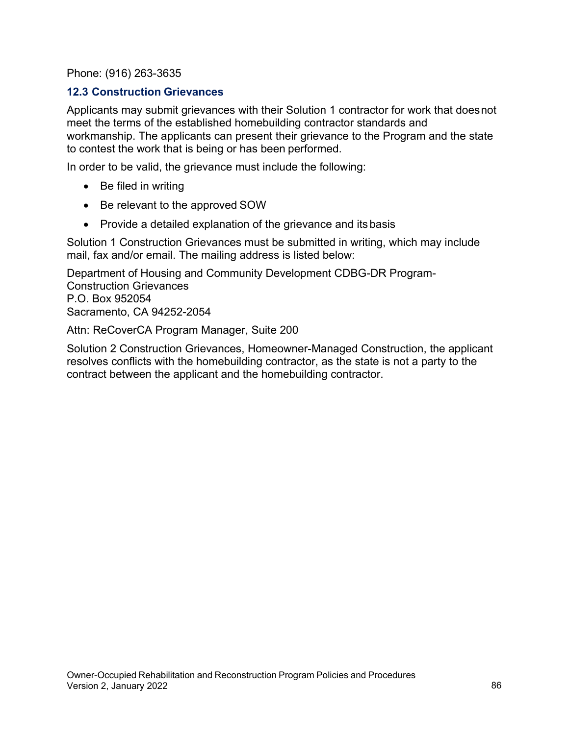Phone: (916) 263-3635

#### **12.3 Construction Grievances**

 to contest the work that is being or has been performed. Applicants may submit grievances with their Solution 1 contractor for work that doesnot meet the terms of the established homebuilding contractor standards and workmanship. The applicants can present their grievance to the Program and the state

In order to be valid, the grievance must include the following:

- Be filed in writing
- Be relevant to the approved SOW
- Provide a detailed explanation of the grievance and itsbasis

Solution 1 Construction Grievances must be submitted in writing, which may include mail, fax and/or email. The mailing address is listed below:

Department of Housing and Community Development CDBG-DR Program-Construction Grievances P.O. Box 952054 Sacramento, CA 94252-2054

Attn: ReCoverCA Program Manager, Suite 200

 resolves conflicts with the homebuilding contractor, as the state is not a party to the Solution 2 Construction Grievances, Homeowner-Managed Construction, the applicant contract between the applicant and the homebuilding contractor.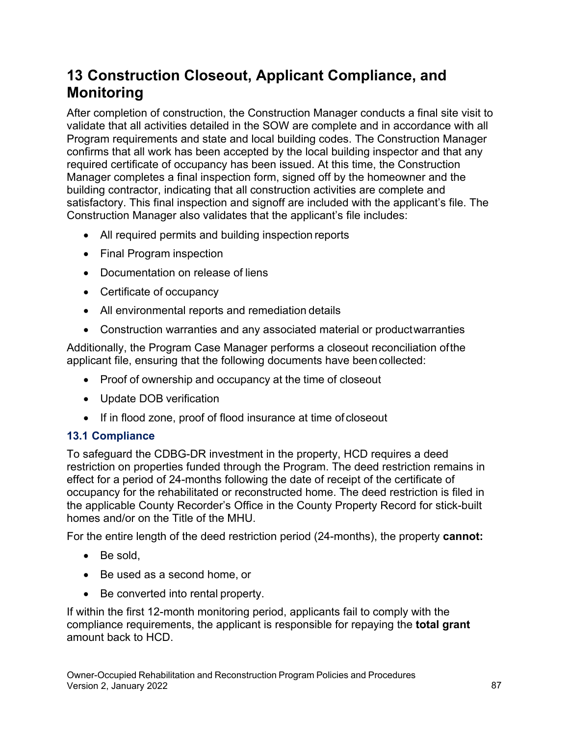## **13 Construction Closeout, Applicant Compliance, and Monitoring**

 required certificate of occupancy has been issued. At this time, the Construction After completion of construction, the Construction Manager conducts a final site visit to validate that all activities detailed in the SOW are complete and in accordance with all Program requirements and state and local building codes. The Construction Manager confirms that all work has been accepted by the local building inspector and that any Manager completes a final inspection form, signed off by the homeowner and the building contractor, indicating that all construction activities are complete and satisfactory. This final inspection and signoff are included with the applicant's file. The Construction Manager also validates that the applicant's file includes:

- All required permits and building inspection reports
- Final Program inspection
- Documentation on release of liens
- Certificate of occupancy
- All environmental reports and remediation details
- Construction warranties and any associated material or productwarranties

 applicant file, ensuring that the following documents have been collected: Additionally, the Program Case Manager performs a closeout reconciliation ofthe

- Proof of ownership and occupancy at the time of closeout
- Update DOB verification
- If in flood zone, proof of flood insurance at time of closeout

#### **13.1 Compliance**

 effect for a period of 24-months following the date of receipt of the certificate of occupancy for the rehabilitated or reconstructed home. The deed restriction is filed in To safeguard the CDBG-DR investment in the property, HCD requires a deed restriction on properties funded through the Program. The deed restriction remains in the applicable County Recorder's Office in the County Property Record for stick-built homes and/or on the Title of the MHU.

For the entire length of the deed restriction period (24-months), the property **cannot:** 

- Be sold,
- Be used as a second home, or
- Be converted into rental property.

If within the first 12-month monitoring period, applicants fail to comply with the compliance requirements, the applicant is responsible for repaying the **total grant**  amount back to HCD.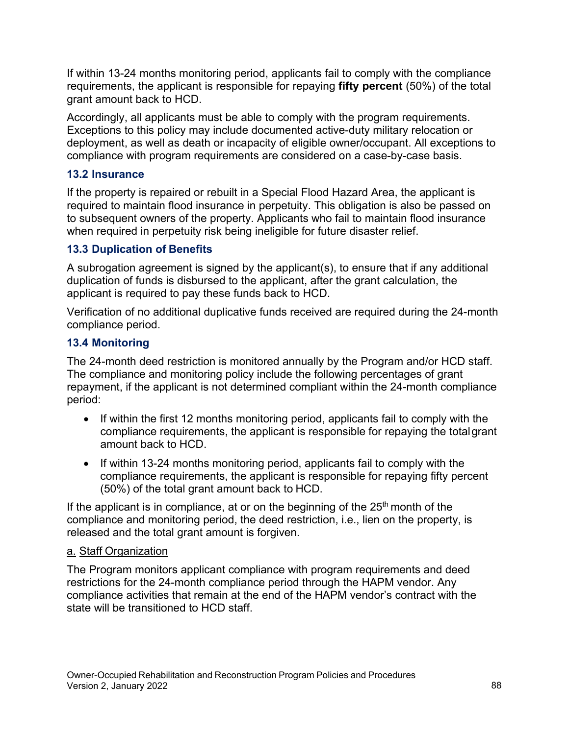requirements, the applicant is responsible for repaying **fifty percent** (50%) of the total If within 13-24 months monitoring period, applicants fail to comply with the compliance grant amount back to HCD.

Accordingly, all applicants must be able to comply with the program requirements. Exceptions to this policy may include documented active-duty military relocation or deployment, as well as death or incapacity of eligible owner/occupant. All exceptions to compliance with program requirements are considered on a case-by-case basis.

## **13.2 Insurance**

If the property is repaired or rebuilt in a Special Flood Hazard Area, the applicant is required to maintain flood insurance in perpetuity. This obligation is also be passed on to subsequent owners of the property. Applicants who fail to maintain flood insurance when required in perpetuity risk being ineligible for future disaster relief.

## **13.3 Duplication of Benefits**

A subrogation agreement is signed by the applicant(s), to ensure that if any additional duplication of funds is disbursed to the applicant, after the grant calculation, the applicant is required to pay these funds back to HCD.

Verification of no additional duplicative funds received are required during the 24-month compliance period.

## **13.4 Monitoring**

The 24-month deed restriction is monitored annually by the Program and/or HCD staff. The compliance and monitoring policy include the following percentages of grant repayment, if the applicant is not determined compliant within the 24-month compliance period:

- amount back to HCD. • If within the first 12 months monitoring period, applicants fail to comply with the compliance requirements, the applicant is responsible for repaying the totalgrant
- (50%) of the total grant amount back to HCD. • If within 13-24 months monitoring period, applicants fail to comply with the compliance requirements, the applicant is responsible for repaying fifty percent

If the applicant is in compliance, at or on the beginning of the  $25<sup>th</sup>$  month of the compliance and monitoring period, the deed restriction, i.e., lien on the property, is released and the total grant amount is forgiven.

### a. Staff Organization

The Program monitors applicant compliance with program requirements and deed restrictions for the 24-month compliance period through the HAPM vendor. Any compliance activities that remain at the end of the HAPM vendor's contract with the state will be transitioned to HCD staff.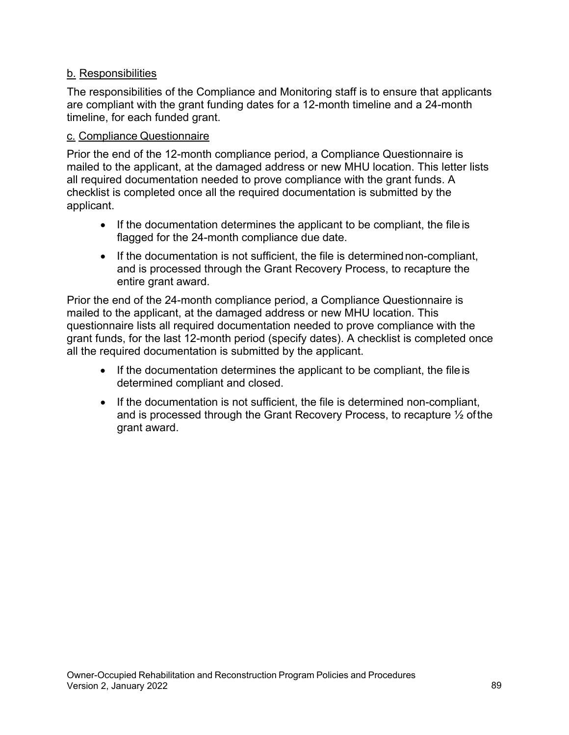## b. Responsibilities

 The responsibilities of the Compliance and Monitoring staff is to ensure that applicants are compliant with the grant funding dates for a 12-month timeline and a 24-month timeline, for each funded grant.

### c. Compliance Questionnaire

 all required documentation needed to prove compliance with the grant funds. A Prior the end of the 12-month compliance period, a Compliance Questionnaire is mailed to the applicant, at the damaged address or new MHU location. This letter lists checklist is completed once all the required documentation is submitted by the applicant.

- flagged for the 24-month compliance due date. • If the documentation determines the applicant to be compliant, the file is
- entire grant award. • If the documentation is not sufficient, the file is determinednon-compliant, and is processed through the Grant Recovery Process, to recapture the

Prior the end of the 24-month compliance period, a Compliance Questionnaire is mailed to the applicant, at the damaged address or new MHU location. This questionnaire lists all required documentation needed to prove compliance with the grant funds, for the last 12-month period (specify dates). A checklist is completed once all the required documentation is submitted by the applicant.

- determined compliant and closed. • If the documentation determines the applicant to be compliant, the file is
- grant award. • If the documentation is not sufficient, the file is determined non-compliant, and is processed through the Grant Recovery Process, to recapture ½ ofthe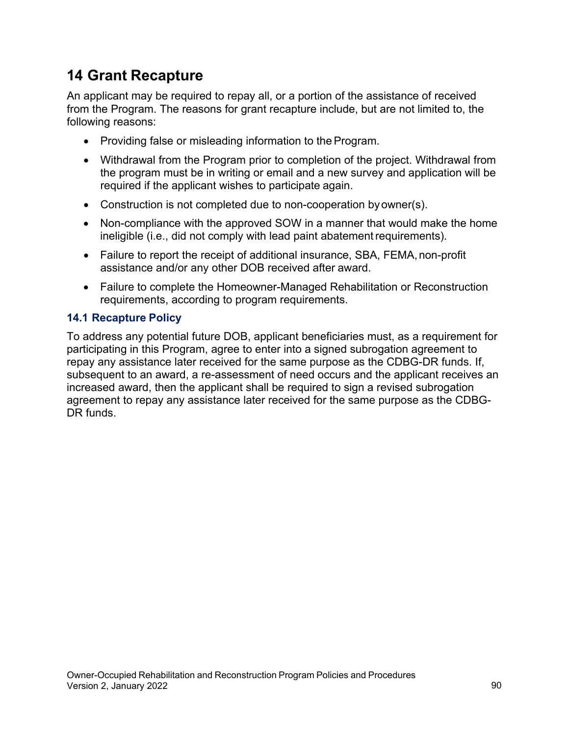## **14 Grant Recapture**

An applicant may be required to repay all, or a portion of the assistance of received from the Program. The reasons for grant recapture include, but are not limited to, the following reasons:

- Providing false or misleading information to the Program.
- the program must be in writing or email and a new survey and application will be required if the applicant wishes to participate again. • Withdrawal from the Program prior to completion of the project. Withdrawal from
- Construction is not completed due to non-cooperation byowner(s).
- Non-compliance with the approved SOW in a manner that would make the home ineligible (i.e., did not comply with lead paint abatement requirements).
- assistance and/or any other DOB received after award. • Failure to report the receipt of additional insurance, SBA, FEMA, non-profit
- Failure to complete the Homeowner-Managed Rehabilitation or Reconstruction requirements, according to program requirements.

## **14.1 Recapture Policy**

To address any potential future DOB, applicant beneficiaries must, as a requirement for participating in this Program, agree to enter into a signed subrogation agreement to repay any assistance later received for the same purpose as the CDBG-DR funds. If, subsequent to an award, a re-assessment of need occurs and the applicant receives an increased award, then the applicant shall be required to sign a revised subrogation agreement to repay any assistance later received for the same purpose as the CDBG-DR funds.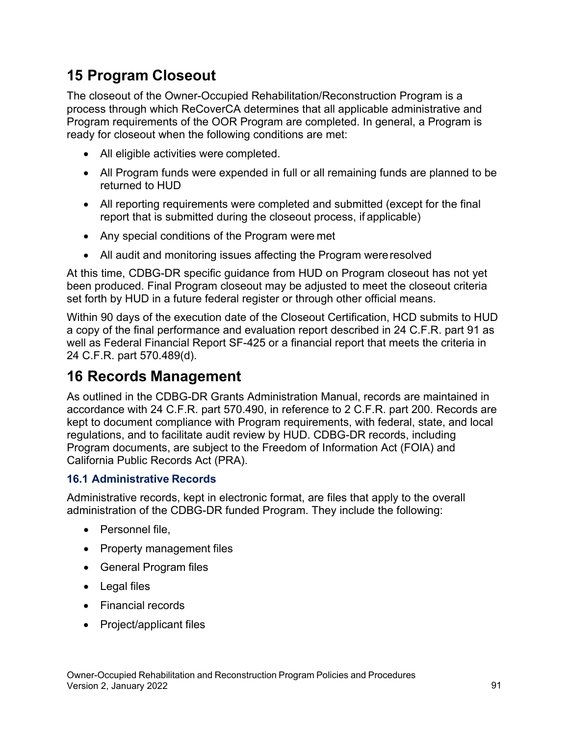## **15 Program Closeout**

The closeout of the Owner-Occupied Rehabilitation/Reconstruction Program is a process through which ReCoverCA determines that all applicable administrative and Program requirements of the OOR Program are completed. In general, a Program is ready for closeout when the following conditions are met:

- All eligible activities were completed.
- returned to HUD • All Program funds were expended in full or all remaining funds are planned to be
- • All reporting requirements were completed and submitted (except for the final report that is submitted during the closeout process, if applicable)
- Any special conditions of the Program were met
- All audit and monitoring issues affecting the Program wereresolved

At this time, CDBG-DR specific guidance from HUD on Program closeout has not yet been produced. Final Program closeout may be adjusted to meet the closeout criteria set forth by HUD in a future federal register or through other official means.

Within 90 days of the execution date of the Closeout Certification, HCD submits to HUD a copy of the final performance and evaluation report described in 24 C.F.R. part 91 as well as Federal Financial Report SF-425 or a financial report that meets the criteria in 24 C.F.R. part 570.489(d).

## **16 Records Management**

 kept to document compliance with Program requirements, with federal, state, and local As outlined in the CDBG-DR Grants Administration Manual, records are maintained in accordance with 24 C.F.R. part 570.490, in reference to 2 C.F.R. part 200. Records are regulations, and to facilitate audit review by HUD. CDBG-DR records, including Program documents, are subject to the Freedom of Information Act (FOIA) and California Public Records Act (PRA).

## **16.1 Administrative Records**

Administrative records, kept in electronic format, are files that apply to the overall administration of the CDBG-DR funded Program. They include the following:

- Personnel file,
- Property management files
- General Program files
- Legal files
- Financial records
- Project/applicant files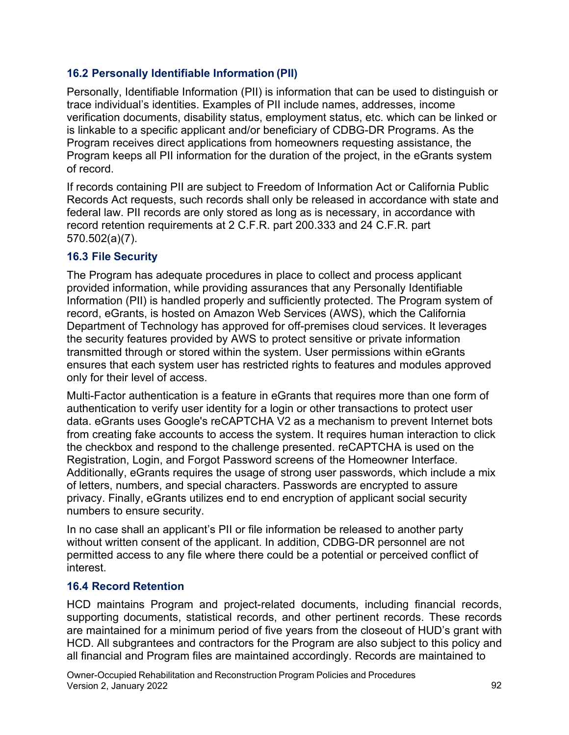## **16.2 Personally Identifiable Information (PII)**

Personally, Identifiable Information (PII) is information that can be used to distinguish or trace individual's identities. Examples of PII include names, addresses, income verification documents, disability status, employment status, etc. which can be linked or is linkable to a specific applicant and/or beneficiary of CDBG-DR Programs. As the Program receives direct applications from homeowners requesting assistance, the Program keeps all PII information for the duration of the project, in the eGrants system of record.

If records containing PII are subject to Freedom of Information Act or California Public Records Act requests, such records shall only be released in accordance with state and federal law. PII records are only stored as long as is necessary, in accordance with record retention requirements at 2 C.F.R. part 200.333 and 24 C.F.R. part 570.502(a)(7).

## **16.3 File Security**

The Program has adequate procedures in place to collect and process applicant provided information, while providing assurances that any Personally Identifiable Information (PII) is handled properly and sufficiently protected. The Program system of record, eGrants, is hosted on Amazon Web Services (AWS), which the California Department of Technology has approved for off-premises cloud services. It leverages the security features provided by AWS to protect sensitive or private information transmitted through or stored within the system. User permissions within eGrants ensures that each system user has restricted rights to features and modules approved only for their level of access.

 authentication to verify user identity for a login or other transactions to protect user Multi-Factor authentication is a feature in eGrants that requires more than one form of data. eGrants uses Google's reCAPTCHA V2 as a mechanism to prevent Internet bots from creating fake accounts to access the system. It requires human interaction to click the checkbox and respond to the challenge presented. reCAPTCHA is used on the Registration, Login, and Forgot Password screens of the Homeowner Interface. Additionally, eGrants requires the usage of strong user passwords, which include a mix of letters, numbers, and special characters. Passwords are encrypted to assure privacy. Finally, eGrants utilizes end to end encryption of applicant social security numbers to ensure security.

In no case shall an applicant's PII or file information be released to another party without written consent of the applicant. In addition, CDBG-DR personnel are not permitted access to any file where there could be a potential or perceived conflict of interest.

### **16.4 Record Retention**

HCD maintains Program and project-related documents, including financial records, supporting documents, statistical records, and other pertinent records. These records are maintained for a minimum period of five years from the closeout of HUD's grant with HCD. All subgrantees and contractors for the Program are also subject to this policy and all financial and Program files are maintained accordingly. Records are maintained to

Owner-Occupied Rehabilitation and Reconstruction Program Policies and Procedures Version 2, January 2022 92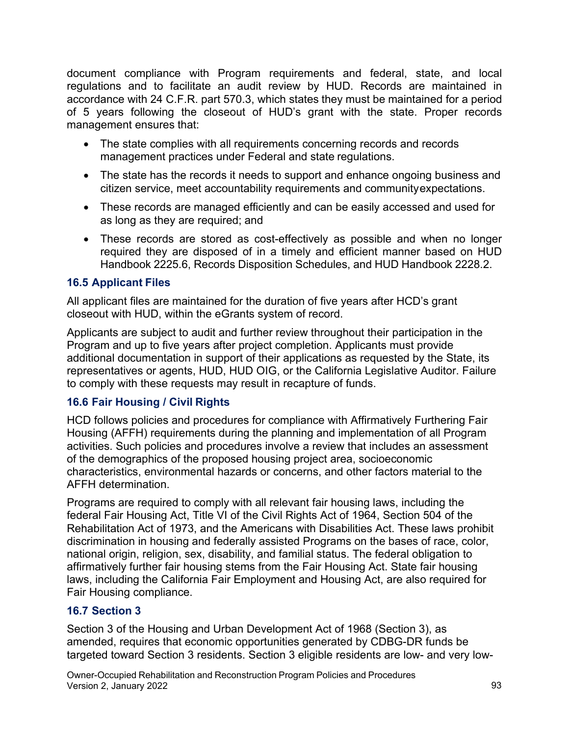accordance with 24 C.F.R. part 570.3, which states they must be maintained for a period management ensures that: document compliance with Program requirements and federal, state, and local regulations and to facilitate an audit review by HUD. Records are maintained in of 5 years following the closeout of HUD's grant with the state. Proper records

- The state complies with all requirements concerning records and records management practices under Federal and state regulations.
- The state has the records it needs to support and enhance ongoing business and citizen service, meet accountability requirements and communityexpectations.
- as long as they are required; and • These records are managed efficiently and can be easily accessed and used for
- Handbook 2225.6, Records Disposition Schedules, and HUD Handbook 2228.2. • These records are stored as cost-effectively as possible and when no longer required they are disposed of in a timely and efficient manner based on HUD

## **16.5 Applicant Files**

All applicant files are maintained for the duration of five years after HCD's grant closeout with HUD, within the eGrants system of record.

 representatives or agents, HUD, HUD OIG, or the California Legislative Auditor. Failure Applicants are subject to audit and further review throughout their participation in the Program and up to five years after project completion. Applicants must provide additional documentation in support of their applications as requested by the State, its to comply with these requests may result in recapture of funds.

## **16.6 Fair Housing / Civil Rights**

HCD follows policies and procedures for compliance with Affirmatively Furthering Fair Housing (AFFH) requirements during the planning and implementation of all Program activities. Such policies and procedures involve a review that includes an assessment of the demographics of the proposed housing project area, socioeconomic characteristics, environmental hazards or concerns, and other factors material to the AFFH determination.

Programs are required to comply with all relevant fair housing laws, including the federal Fair Housing Act, Title VI of the Civil Rights Act of 1964, Section 504 of the Rehabilitation Act of 1973, and the Americans with Disabilities Act. These laws prohibit discrimination in housing and federally assisted Programs on the bases of race, color, national origin, religion, sex, disability, and familial status. The federal obligation to affirmatively further fair housing stems from the Fair Housing Act. State fair housing laws, including the California Fair Employment and Housing Act, are also required for Fair Housing compliance.

## **16.7 Section 3**

Section 3 of the Housing and Urban Development Act of 1968 (Section 3), as amended, requires that economic opportunities generated by CDBG-DR funds be targeted toward Section 3 residents. Section 3 eligible residents are low- and very low